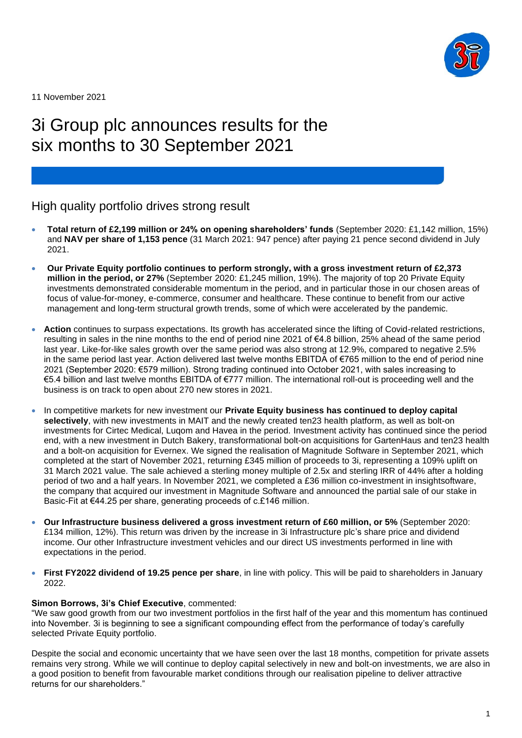

11 November 2021

# 3i Group plc announces results for the six months to 30 September 2021

## High quality portfolio drives strong result

- **Total return of £2,199 million or 24% on opening shareholders' funds** (September 2020: £1,142 million, 15%) and **NAV per share of 1,153 pence** (31 March 2021: 947 pence) after paying 21 pence second dividend in July 2021.
- **Our Private Equity portfolio continues to perform strongly, with a gross investment return of £2,373 million in the period, or 27%** (September 2020: £1,245 million, 19%). The majority of top 20 Private Equity investments demonstrated considerable momentum in the period, and in particular those in our chosen areas of focus of value-for-money, e-commerce, consumer and healthcare. These continue to benefit from our active management and long-term structural growth trends, some of which were accelerated by the pandemic.
- **Action** continues to surpass expectations. Its growth has accelerated since the lifting of Covid-related restrictions, resulting in sales in the nine months to the end of period nine 2021 of €4.8 billion, 25% ahead of the same period last year. Like-for-like sales growth over the same period was also strong at 12.9%, compared to negative 2.5% in the same period last year. Action delivered last twelve months EBITDA of €765 million to the end of period nine 2021 (September 2020: €579 million). Strong trading continued into October 2021, with sales increasing to €5.4 billion and last twelve months EBITDA of €777 million. The international roll-out is proceeding well and the business is on track to open about 270 new stores in 2021.
- In competitive markets for new investment our **Private Equity business has continued to deploy capital selectively**, with new investments in MAIT and the newly created ten23 health platform, as well as bolt-on investments for Cirtec Medical, Luqom and Havea in the period. Investment activity has continued since the period end, with a new investment in Dutch Bakery, transformational bolt-on acquisitions for GartenHaus and ten23 health and a bolt-on acquisition for Evernex. We signed the realisation of Magnitude Software in September 2021, which completed at the start of November 2021, returning £345 million of proceeds to 3i, representing a 109% uplift on 31 March 2021 value. The sale achieved a sterling money multiple of 2.5x and sterling IRR of 44% after a holding period of two and a half years. In November 2021, we completed a £36 million co-investment in insightsoftware, the company that acquired our investment in Magnitude Software and announced the partial sale of our stake in Basic-Fit at €44.25 per share, generating proceeds of c.£146 million.
- **Our Infrastructure business delivered a gross investment return of £60 million, or 5%** (September 2020: £134 million, 12%). This return was driven by the increase in 3i Infrastructure plc's share price and dividend income. Our other Infrastructure investment vehicles and our direct US investments performed in line with expectations in the period.
- **First FY2022 dividend of 19.25 pence per share**, in line with policy. This will be paid to shareholders in January 2022.

### **Simon Borrows, 3i's Chief Executive**, commented:

"We saw good growth from our two investment portfolios in the first half of the year and this momentum has continued into November. 3i is beginning to see a significant compounding effect from the performance of today's carefully selected Private Equity portfolio.

Despite the social and economic uncertainty that we have seen over the last 18 months, competition for private assets remains very strong. While we will continue to deploy capital selectively in new and bolt-on investments, we are also in a good position to benefit from favourable market conditions through our realisation pipeline to deliver attractive returns for our shareholders."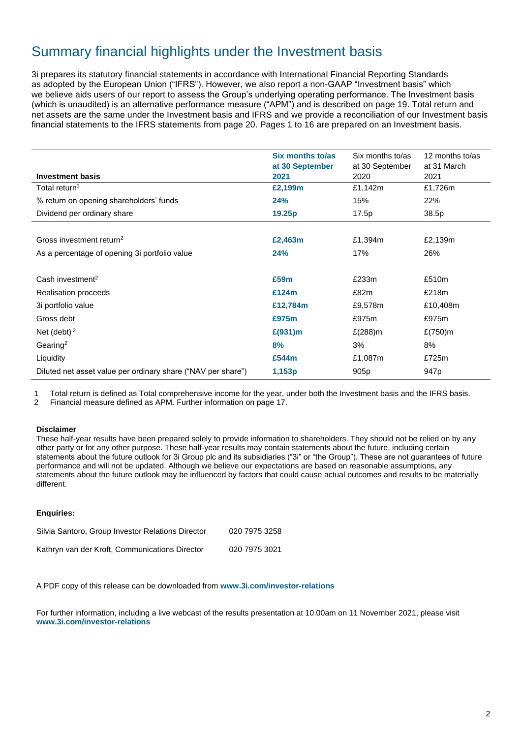## Summary financial highlights under the Investment basis

3i prepares its statutory financial statements in accordance with International Financial Reporting Standards as adopted by the European Union ("IFRS"). However, we also report a non-GAAP "Investment basis" which we believe aids users of our report to assess the Group's underlying operating performance. The Investment basis (which is unaudited) is an alternative performance measure ("APM") and is described on page 19. Total return and net assets are the same under the Investment basis and IFRS and we provide a reconciliation of our Investment basis financial statements to the IFRS statements from page 20. Pages 1 to 16 are prepared on an Investment basis.

|                                                              | Six months to/as<br>at 30 September | Six months to/as<br>at 30 September | 12 months to/as<br>at 31 March |
|--------------------------------------------------------------|-------------------------------------|-------------------------------------|--------------------------------|
| <b>Investment basis</b>                                      | 2021                                | 2020                                | 2021                           |
| Total return <sup>1</sup>                                    | £2,199m                             | £1,142m                             | £1,726m                        |
| % return on opening shareholders' funds                      | 24%                                 | 15%                                 | 22%                            |
| Dividend per ordinary share                                  | 19.25p                              | 17.5p                               | 38.5p                          |
|                                                              |                                     |                                     |                                |
| Gross investment return <sup>2</sup>                         | £2,463m                             | £1,394m                             | £2,139m                        |
| As a percentage of opening 3i portfolio value                | 24%                                 | 17%                                 | 26%                            |
|                                                              |                                     |                                     |                                |
| Cash investment <sup>2</sup>                                 | £59m                                | £233m                               | £510m                          |
| Realisation proceeds                                         | £124m                               | £82m                                | £218m                          |
| 3i portfolio value                                           | £12,784m                            | £9,578m                             | £10,408m                       |
| Gross debt                                                   | £975m                               | £975m                               | £975m                          |
| Net (debt) $2$                                               | £(931) m                            | £(288)m                             | £(750)m                        |
| Gearing <sup>2</sup>                                         | 8%                                  | 3%                                  | 8%                             |
| Liquidity                                                    | £544m                               | £1,087m                             | £725m                          |
| Diluted net asset value per ordinary share ("NAV per share") | 1,153p                              | 905 <sub>p</sub>                    | 947 <sub>p</sub>               |

1 Total return is defined as Total comprehensive income for the year, under both the Investment basis and the IFRS basis.

2 Financial measure defined as APM. Further information on page 17.

#### **Disclaimer**

These half-year results have been prepared solely to provide information to shareholders. They should not be relied on by any other party or for any other purpose. These half-year results may contain statements about the future, including certain statements about the future outlook for 3i Group plc and its subsidiaries ("3i" or "the Group"). These are not guarantees of future performance and will not be updated. Although we believe our expectations are based on reasonable assumptions, any statements about the future outlook may be influenced by factors that could cause actual outcomes and results to be materially different.

### **Enquiries:**

| Silvia Santoro, Group Investor Relations Director | 020 7975 3258 |
|---------------------------------------------------|---------------|
| Kathryn van der Kroft, Communications Director    | 020 7975 3021 |

A PDF copy of this release can be downloaded from **[www.3i.com/investor-relations](http://www.3i.com/investor-relations)**

For further information, including a live webcast of the results presentation at 10.00am on 11 November 2021, please visit **[www.3i.com/investor-relations](http://www.3i.com/investor-relations)**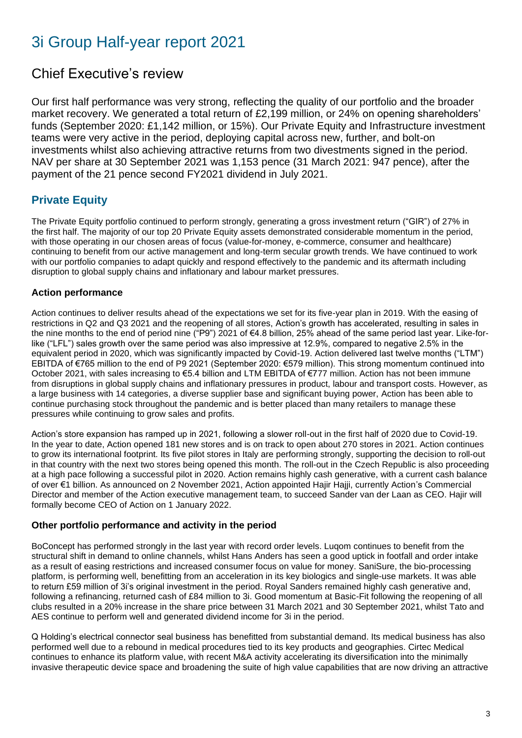# 3i Group Half-year report 2021

## Chief Executive's review

Our first half performance was very strong, reflecting the quality of our portfolio and the broader market recovery. We generated a total return of £2,199 million, or 24% on opening shareholders' funds (September 2020: £1,142 million, or 15%). Our Private Equity and Infrastructure investment teams were very active in the period, deploying capital across new, further, and bolt-on investments whilst also achieving attractive returns from two divestments signed in the period. NAV per share at 30 September 2021 was 1,153 pence (31 March 2021: 947 pence), after the payment of the 21 pence second FY2021 dividend in July 2021.

## **Private Equity**

The Private Equity portfolio continued to perform strongly, generating a gross investment return ("GIR") of 27% in the first half. The majority of our top 20 Private Equity assets demonstrated considerable momentum in the period, with those operating in our chosen areas of focus (value-for-money, e-commerce, consumer and healthcare) continuing to benefit from our active management and long-term secular growth trends. We have continued to work with our portfolio companies to adapt quickly and respond effectively to the pandemic and its aftermath including disruption to global supply chains and inflationary and labour market pressures.

## **Action performance**

Action continues to deliver results ahead of the expectations we set for its five-year plan in 2019. With the easing of restrictions in Q2 and Q3 2021 and the reopening of all stores, Action's growth has accelerated, resulting in sales in the nine months to the end of period nine ("P9") 2021 of €4.8 billion, 25% ahead of the same period last year. Like-forlike ("LFL") sales growth over the same period was also impressive at 12.9%, compared to negative 2.5% in the equivalent period in 2020, which was significantly impacted by Covid-19. Action delivered last twelve months ("LTM") EBITDA of €765 million to the end of P9 2021 (September 2020: €579 million). This strong momentum continued into October 2021, with sales increasing to €5.4 billion and LTM EBITDA of €777 million. Action has not been immune from disruptions in global supply chains and inflationary pressures in product, labour and transport costs. However, as a large business with 14 categories, a diverse supplier base and significant buying power, Action has been able to continue purchasing stock throughout the pandemic and is better placed than many retailers to manage these pressures while continuing to grow sales and profits.

Action's store expansion has ramped up in 2021, following a slower roll-out in the first half of 2020 due to Covid-19. In the year to date, Action opened 181 new stores and is on track to open about 270 stores in 2021. Action continues to grow its international footprint. Its five pilot stores in Italy are performing strongly, supporting the decision to roll-out in that country with the next two stores being opened this month. The roll-out in the Czech Republic is also proceeding at a high pace following a successful pilot in 2020. Action remains highly cash generative, with a current cash balance of over €1 billion. As announced on 2 November 2021, Action appointed Hajir Hajji, currently Action's Commercial Director and member of the Action executive management team, to succeed Sander van der Laan as CEO. Hajir will formally become CEO of Action on 1 January 2022.

## **Other portfolio performance and activity in the period**

BoConcept has performed strongly in the last year with record order levels. Luqom continues to benefit from the structural shift in demand to online channels, whilst Hans Anders has seen a good uptick in footfall and order intake as a result of easing restrictions and increased consumer focus on value for money. SaniSure, the bio-processing platform, is performing well, benefitting from an acceleration in its key biologics and single-use markets. It was able to return £59 million of 3i's original investment in the period. Royal Sanders remained highly cash generative and, following a refinancing, returned cash of £84 million to 3i. Good momentum at Basic-Fit following the reopening of all clubs resulted in a 20% increase in the share price between 31 March 2021 and 30 September 2021, whilst Tato and AES continue to perform well and generated dividend income for 3i in the period.

Q Holding's electrical connector seal business has benefitted from substantial demand. Its medical business has also performed well due to a rebound in medical procedures tied to its key products and geographies. Cirtec Medical continues to enhance its platform value, with recent M&A activity accelerating its diversification into the minimally invasive therapeutic device space and broadening the suite of high value capabilities that are now driving an attractive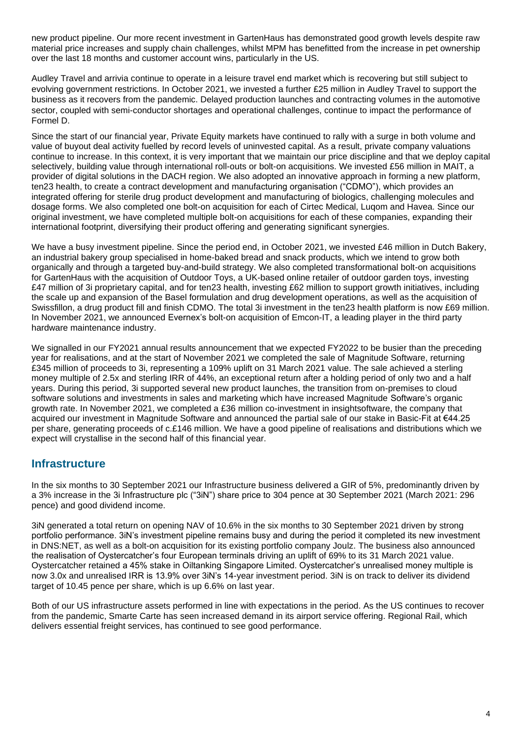new product pipeline. Our more recent investment in GartenHaus has demonstrated good growth levels despite raw material price increases and supply chain challenges, whilst MPM has benefitted from the increase in pet ownership over the last 18 months and customer account wins, particularly in the US.

Audley Travel and arrivia continue to operate in a leisure travel end market which is recovering but still subject to evolving government restrictions. In October 2021, we invested a further £25 million in Audley Travel to support the business as it recovers from the pandemic. Delayed production launches and contracting volumes in the automotive sector, coupled with semi-conductor shortages and operational challenges, continue to impact the performance of Formel D.

Since the start of our financial year, Private Equity markets have continued to rally with a surge in both volume and value of buyout deal activity fuelled by record levels of uninvested capital. As a result, private company valuations continue to increase. In this context, it is very important that we maintain our price discipline and that we deploy capital selectively, building value through international roll-outs or bolt-on acquisitions. We invested £56 million in MAIT, a provider of digital solutions in the DACH region. We also adopted an innovative approach in forming a new platform, ten23 health, to create a contract development and manufacturing organisation ("CDMO"), which provides an integrated offering for sterile drug product development and manufacturing of biologics, challenging molecules and dosage forms. We also completed one bolt-on acquisition for each of Cirtec Medical, Luqom and Havea. Since our original investment, we have completed multiple bolt-on acquisitions for each of these companies, expanding their international footprint, diversifying their product offering and generating significant synergies.

We have a busy investment pipeline. Since the period end, in October 2021, we invested £46 million in Dutch Bakery, an industrial bakery group specialised in home-baked bread and snack products, which we intend to grow both organically and through a targeted buy-and-build strategy. We also completed transformational bolt-on acquisitions for GartenHaus with the acquisition of Outdoor Toys, a UK-based online retailer of outdoor garden toys, investing £47 million of 3i proprietary capital, and for ten23 health, investing £62 million to support growth initiatives, including the scale up and expansion of the Basel formulation and drug development operations, as well as the acquisition of Swissfillon, a drug product fill and finish CDMO. The total 3i investment in the ten23 health platform is now £69 million. In November 2021, we announced Evernex's bolt-on acquisition of Emcon-IT, a leading player in the third party hardware maintenance industry.

We signalled in our FY2021 annual results announcement that we expected FY2022 to be busier than the preceding year for realisations, and at the start of November 2021 we completed the sale of Magnitude Software, returning £345 million of proceeds to 3i, representing a 109% uplift on 31 March 2021 value. The sale achieved a sterling money multiple of 2.5x and sterling IRR of 44%, an exceptional return after a holding period of only two and a half years. During this period, 3i supported several new product launches, the transition from on-premises to cloud software solutions and investments in sales and marketing which have increased Magnitude Software's organic growth rate. In November 2021, we completed a £36 million co-investment in insightsoftware, the company that acquired our investment in Magnitude Software and announced the partial sale of our stake in Basic-Fit at €44.25 per share, generating proceeds of c.£146 million. We have a good pipeline of realisations and distributions which we expect will crystallise in the second half of this financial year.

## **Infrastructure**

In the six months to 30 September 2021 our Infrastructure business delivered a GIR of 5%, predominantly driven by a 3% increase in the 3i Infrastructure plc ("3iN") share price to 304 pence at 30 September 2021 (March 2021: 296 pence) and good dividend income.

3iN generated a total return on opening NAV of 10.6% in the six months to 30 September 2021 driven by strong portfolio performance. 3iN's investment pipeline remains busy and during the period it completed its new investment in DNS:NET, as well as a bolt-on acquisition for its existing portfolio company Joulz. The business also announced the realisation of Oystercatcher's four European terminals driving an uplift of 69% to its 31 March 2021 value. Oystercatcher retained a 45% stake in Oiltanking Singapore Limited. Oystercatcher's unrealised money multiple is now 3.0x and unrealised IRR is 13.9% over 3iN's 14-year investment period. 3iN is on track to deliver its dividend target of 10.45 pence per share, which is up 6.6% on last year.

Both of our US infrastructure assets performed in line with expectations in the period. As the US continues to recover from the pandemic, Smarte Carte has seen increased demand in its airport service offering. Regional Rail, which delivers essential freight services, has continued to see good performance.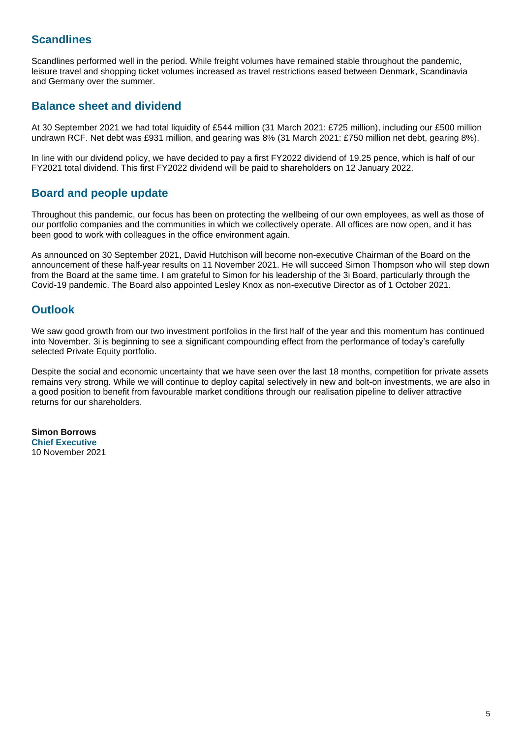## **Scandlines**

Scandlines performed well in the period. While freight volumes have remained stable throughout the pandemic, leisure travel and shopping ticket volumes increased as travel restrictions eased between Denmark, Scandinavia and Germany over the summer.

## **Balance sheet and dividend**

At 30 September 2021 we had total liquidity of £544 million (31 March 2021: £725 million), including our £500 million undrawn RCF. Net debt was £931 million, and gearing was 8% (31 March 2021: £750 million net debt, gearing 8%).

In line with our dividend policy, we have decided to pay a first FY2022 dividend of 19.25 pence, which is half of our FY2021 total dividend. This first FY2022 dividend will be paid to shareholders on 12 January 2022.

## **Board and people update**

Throughout this pandemic, our focus has been on protecting the wellbeing of our own employees, as well as those of our portfolio companies and the communities in which we collectively operate. All offices are now open, and it has been good to work with colleagues in the office environment again.

As announced on 30 September 2021, David Hutchison will become non-executive Chairman of the Board on the announcement of these half-year results on 11 November 2021. He will succeed Simon Thompson who will step down from the Board at the same time. I am grateful to Simon for his leadership of the 3i Board, particularly through the Covid-19 pandemic. The Board also appointed Lesley Knox as non-executive Director as of 1 October 2021.

## **Outlook**

We saw good growth from our two investment portfolios in the first half of the year and this momentum has continued into November. 3i is beginning to see a significant compounding effect from the performance of today's carefully selected Private Equity portfolio.

Despite the social and economic uncertainty that we have seen over the last 18 months, competition for private assets remains very strong. While we will continue to deploy capital selectively in new and bolt-on investments, we are also in a good position to benefit from favourable market conditions through our realisation pipeline to deliver attractive returns for our shareholders.

**Simon Borrows Chief Executive** 10 November 2021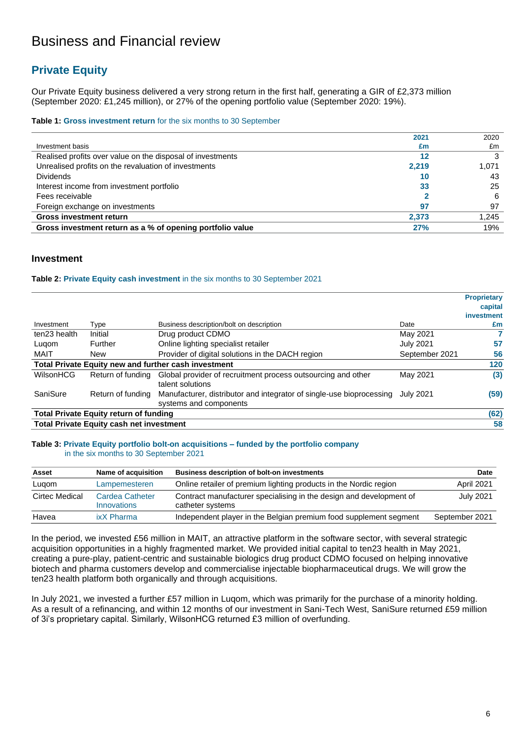## Business and Financial review

## **Private Equity**

Our Private Equity business delivered a very strong return in the first half, generating a GIR of £2,373 million (September 2020: £1,245 million), or 27% of the opening portfolio value (September 2020: 19%).

#### **Table 1: Gross investment return** for the six months to 30 September

|                                                            | 2021  | 2020  |
|------------------------------------------------------------|-------|-------|
| Investment basis                                           | £m    | £m    |
| Realised profits over value on the disposal of investments | 12    |       |
| Unrealised profits on the revaluation of investments       | 2,219 | 1.071 |
| <b>Dividends</b>                                           | 10    | 43    |
| Interest income from investment portfolio                  | 33    | 25    |
| Fees receivable                                            |       | 6     |
| Foreign exchange on investments                            | 97    | 97    |
| <b>Gross investment return</b>                             | 2,373 | 1,245 |
| Gross investment return as a % of opening portfolio value  | 27%   | 19%   |

### **Investment**

#### **Table 2: Private Equity cash investment** in the six months to 30 September 2021

|              |                                                 |                                                                                                |                  | <b>Proprietary</b> |
|--------------|-------------------------------------------------|------------------------------------------------------------------------------------------------|------------------|--------------------|
|              |                                                 |                                                                                                |                  | capital            |
|              |                                                 |                                                                                                |                  | investment         |
| Investment   | Type                                            | Business description/bolt on description                                                       | Date             | £m                 |
| ten23 health | Initial                                         | Drug product CDMO                                                                              | May 2021         |                    |
| Lugom        | Further                                         | Online lighting specialist retailer                                                            | <b>July 2021</b> | 57                 |
| MAIT         | <b>New</b>                                      | Provider of digital solutions in the DACH region                                               | September 2021   | 56                 |
|              |                                                 | Total Private Equity new and further cash investment                                           |                  | 120                |
| WilsonHCG    | Return of funding                               | Global provider of recruitment process outsourcing and other<br>talent solutions               | May 2021         | (3)                |
| SaniSure     | Return of funding                               | Manufacturer, distributor and integrator of single-use bioprocessing<br>systems and components | July 2021        | (59)               |
|              | <b>Total Private Equity return of funding</b>   |                                                                                                |                  | (62)               |
|              | <b>Total Private Equity cash net investment</b> |                                                                                                |                  | 58                 |

#### **Table 3: Private Equity portfolio bolt-on acquisitions – funded by the portfolio company**  in the six months to 30 September 2021

| Asset          | Name of acquisition                   | <b>Business description of bolt-on investments</b>                                      | Date             |
|----------------|---------------------------------------|-----------------------------------------------------------------------------------------|------------------|
| Lugom          | Lampemesteren                         | Online retailer of premium lighting products in the Nordic region                       | April 2021       |
| Cirtec Medical | Cardea Catheter<br><b>Innovations</b> | Contract manufacturer specialising in the design and development of<br>catheter systems | <b>July 2021</b> |
| Havea          | ixX Pharma                            | Independent player in the Belgian premium food supplement segment                       | September 2021   |

In the period, we invested £56 million in MAIT, an attractive platform in the software sector, with several strategic acquisition opportunities in a highly fragmented market. We provided initial capital to ten23 health in May 2021, creating a pure-play, patient-centric and sustainable biologics drug product CDMO focused on helping innovative biotech and pharma customers develop and commercialise injectable biopharmaceutical drugs. We will grow the ten23 health platform both organically and through acquisitions.

In July 2021, we invested a further £57 million in Luqom, which was primarily for the purchase of a minority holding. As a result of a refinancing, and within 12 months of our investment in Sani-Tech West, SaniSure returned £59 million of 3i's proprietary capital. Similarly, WilsonHCG returned £3 million of overfunding.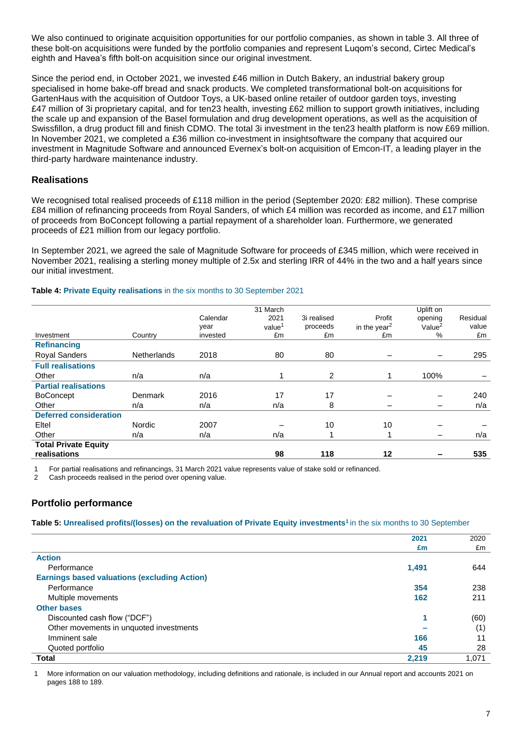We also continued to originate acquisition opportunities for our portfolio companies, as shown in table 3. All three of these bolt-on acquisitions were funded by the portfolio companies and represent Luqom's second, Cirtec Medical's eighth and Havea's fifth bolt-on acquisition since our original investment.

Since the period end, in October 2021, we invested £46 million in Dutch Bakery, an industrial bakery group specialised in home bake-off bread and snack products. We completed transformational bolt-on acquisitions for GartenHaus with the acquisition of Outdoor Toys, a UK-based online retailer of outdoor garden toys, investing £47 million of 3i proprietary capital, and for ten23 health, investing £62 million to support growth initiatives, including the scale up and expansion of the Basel formulation and drug development operations, as well as the acquisition of Swissfillon, a drug product fill and finish CDMO. The total 3i investment in the ten23 health platform is now £69 million. In November 2021, we completed a £36 million co-investment in insightsoftware the company that acquired our investment in Magnitude Software and announced Evernex's bolt-on acquisition of Emcon-IT, a leading player in the third-party hardware maintenance industry.

### **Realisations**

We recognised total realised proceeds of £118 million in the period (September 2020: £82 million). These comprise £84 million of refinancing proceeds from Royal Sanders, of which £4 million was recorded as income, and £17 million of proceeds from BoConcept following a partial repayment of a shareholder loan. Furthermore, we generated proceeds of £21 million from our legacy portfolio.

In September 2021, we agreed the sale of Magnitude Software for proceeds of £345 million, which were received in November 2021, realising a sterling money multiple of 2.5x and sterling IRR of 44% in the two and a half years since our initial investment.

### **Table 4: Private Equity realisations** in the six months to 30 September 2021

|                               |               |          | 31 March           |             |                          | Uplift on  |          |
|-------------------------------|---------------|----------|--------------------|-------------|--------------------------|------------|----------|
|                               |               | Calendar | 2021               | 3i realised | Profit                   | opening    | Residual |
|                               |               | year     | value <sup>1</sup> | proceeds    | in the year <sup>2</sup> | Value $^2$ | value    |
| Investment                    | Country       | invested | £m                 | £m          | £m                       | %          | £m       |
| <b>Refinancing</b>            |               |          |                    |             |                          |            |          |
| <b>Royal Sanders</b>          | Netherlands   | 2018     | 80                 | 80          |                          |            | 295      |
| <b>Full realisations</b>      |               |          |                    |             |                          |            |          |
| Other                         | n/a           | n/a      |                    | 2           |                          | 100%       |          |
| <b>Partial realisations</b>   |               |          |                    |             |                          |            |          |
| <b>BoConcept</b>              | Denmark       | 2016     | 17                 | 17          |                          |            | 240      |
| Other                         | n/a           | n/a      | n/a                | 8           |                          |            | n/a      |
| <b>Deferred consideration</b> |               |          |                    |             |                          |            |          |
| Eltel                         | <b>Nordic</b> | 2007     |                    | 10          | 10                       |            |          |
| Other                         | n/a           | n/a      | n/a                |             | и                        |            | n/a      |
| <b>Total Private Equity</b>   |               |          |                    |             |                          |            |          |
| realisations                  |               |          | 98                 | 118         | 12                       |            | 535      |

1 For partial realisations and refinancings, 31 March 2021 value represents value of stake sold or refinanced.

2 Cash proceeds realised in the period over opening value.

### **Portfolio performance**

**Table 5: Unrealised profits/(losses) on the revaluation of Private Equity investments<sup>1</sup>**in the six months to 30 September

|                                                     | 2021  | 2020  |
|-----------------------------------------------------|-------|-------|
|                                                     | £m    | £m    |
| <b>Action</b>                                       |       |       |
| Performance                                         | 1,491 | 644   |
| <b>Earnings based valuations (excluding Action)</b> |       |       |
| Performance                                         | 354   | 238   |
| Multiple movements                                  | 162   | 211   |
| <b>Other bases</b>                                  |       |       |
| Discounted cash flow ("DCF")                        | и     | (60)  |
| Other movements in unquoted investments             |       | (1)   |
| Imminent sale                                       | 166   | 11    |
| Quoted portfolio                                    | 45    | 28    |
| <b>Total</b>                                        | 2,219 | 1.071 |

1 More information on our valuation methodology, including definitions and rationale, is included in our Annual report and accounts 2021 on pages 188 to 189.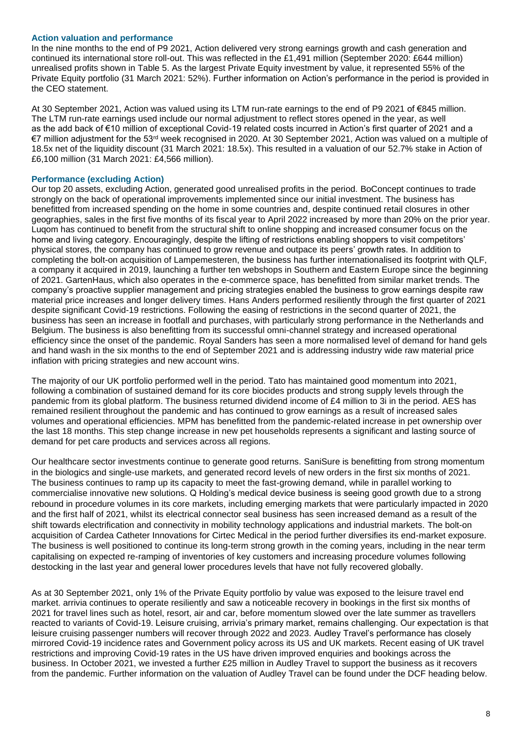### **Action valuation and performance**

In the nine months to the end of P9 2021, Action delivered very strong earnings growth and cash generation and continued its international store roll-out. This was reflected in the £1,491 million (September 2020: £644 million) unrealised profits shown in Table 5. As the largest Private Equity investment by value, it represented 55% of the Private Equity portfolio (31 March 2021: 52%). Further information on Action's performance in the period is provided in the CEO statement.

At 30 September 2021, Action was valued using its LTM run-rate earnings to the end of P9 2021 of €845 million. The LTM run-rate earnings used include our normal adjustment to reflect stores opened in the year, as well as the add back of €10 million of exceptional Covid-19 related costs incurred in Action's first quarter of 2021 and a €7 million adjustment for the 53rd week recognised in 2020. At 30 September 2021, Action was valued on a multiple of 18.5x net of the liquidity discount (31 March 2021: 18.5x). This resulted in a valuation of our 52.7% stake in Action of £6,100 million (31 March 2021: £4,566 million).

### **Performance (excluding Action)**

Our top 20 assets, excluding Action, generated good unrealised profits in the period. BoConcept continues to trade strongly on the back of operational improvements implemented since our initial investment. The business has benefitted from increased spending on the home in some countries and, despite continued retail closures in other geographies, sales in the first five months of its fiscal year to April 2022 increased by more than 20% on the prior year. Luqom has continued to benefit from the structural shift to online shopping and increased consumer focus on the home and living category. Encouragingly, despite the lifting of restrictions enabling shoppers to visit competitors' physical stores, the company has continued to grow revenue and outpace its peers' growth rates. In addition to completing the bolt-on acquisition of Lampemesteren, the business has further internationalised its footprint with QLF, a company it acquired in 2019, launching a further ten webshops in Southern and Eastern Europe since the beginning of 2021. GartenHaus, which also operates in the e-commerce space, has benefitted from similar market trends. The company's proactive supplier management and pricing strategies enabled the business to grow earnings despite raw material price increases and longer delivery times. Hans Anders performed resiliently through the first quarter of 2021 despite significant Covid-19 restrictions. Following the easing of restrictions in the second quarter of 2021, the business has seen an increase in footfall and purchases, with particularly strong performance in the Netherlands and Belgium. The business is also benefitting from its successful omni-channel strategy and increased operational efficiency since the onset of the pandemic. Royal Sanders has seen a more normalised level of demand for hand gels and hand wash in the six months to the end of September 2021 and is addressing industry wide raw material price inflation with pricing strategies and new account wins.

The majority of our UK portfolio performed well in the period. Tato has maintained good momentum into 2021, following a combination of sustained demand for its core biocides products and strong supply levels through the pandemic from its global platform. The business returned dividend income of £4 million to 3i in the period. AES has remained resilient throughout the pandemic and has continued to grow earnings as a result of increased sales volumes and operational efficiencies. MPM has benefitted from the pandemic-related increase in pet ownership over the last 18 months. This step change increase in new pet households represents a significant and lasting source of demand for pet care products and services across all regions.

Our healthcare sector investments continue to generate good returns. SaniSure is benefitting from strong momentum in the biologics and single-use markets, and generated record levels of new orders in the first six months of 2021. The business continues to ramp up its capacity to meet the fast-growing demand, while in parallel working to commercialise innovative new solutions. Q Holding's medical device business is seeing good growth due to a strong rebound in procedure volumes in its core markets, including emerging markets that were particularly impacted in 2020 and the first half of 2021, whilst its electrical connector seal business has seen increased demand as a result of the shift towards electrification and connectivity in mobility technology applications and industrial markets. The bolt-on acquisition of Cardea Catheter Innovations for Cirtec Medical in the period further diversifies its end-market exposure. The business is well positioned to continue its long-term strong growth in the coming years, including in the near term capitalising on expected re-ramping of inventories of key customers and increasing procedure volumes following destocking in the last year and general lower procedures levels that have not fully recovered globally.

As at 30 September 2021, only 1% of the Private Equity portfolio by value was exposed to the leisure travel end market. arrivia continues to operate resiliently and saw a noticeable recovery in bookings in the first six months of 2021 for travel lines such as hotel, resort, air and car, before momentum slowed over the late summer as travellers reacted to variants of Covid-19. Leisure cruising, arrivia's primary market, remains challenging. Our expectation is that leisure cruising passenger numbers will recover through 2022 and 2023. Audley Travel's performance has closely mirrored Covid-19 incidence rates and Government policy across its US and UK markets. Recent easing of UK travel restrictions and improving Covid-19 rates in the US have driven improved enquiries and bookings across the business. In October 2021, we invested a further £25 million in Audley Travel to support the business as it recovers from the pandemic. Further information on the valuation of Audley Travel can be found under the DCF heading below.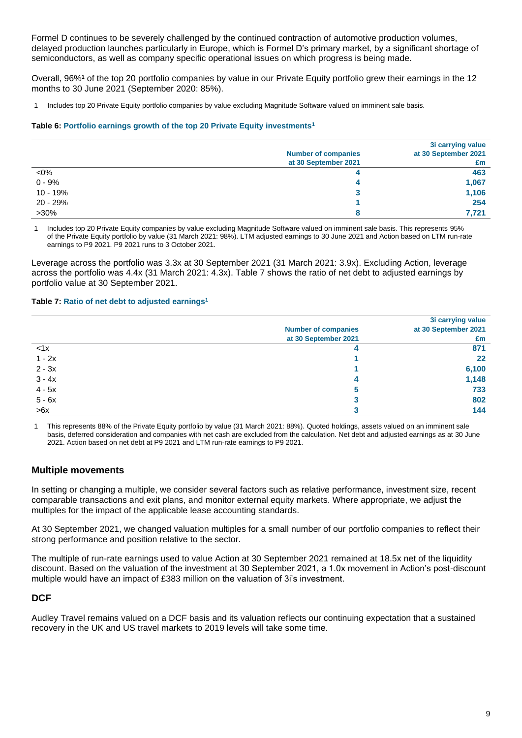Formel D continues to be severely challenged by the continued contraction of automotive production volumes, delayed production launches particularly in Europe, which is Formel D's primary market, by a significant shortage of semiconductors, as well as company specific operational issues on which progress is being made.

Overall, 96%**<sup>1</sup>** of the top 20 portfolio companies by value in our Private Equity portfolio grew their earnings in the 12 months to 30 June 2021 (September 2020: 85%).

1 Includes top 20 Private Equity portfolio companies by value excluding Magnitude Software valued on imminent sale basis.

#### **Table 6: Portfolio earnings growth of the top 20 Private Equity investments<sup>1</sup>**

|          |                            | 3i carrying value    |
|----------|----------------------------|----------------------|
|          | <b>Number of companies</b> | at 30 September 2021 |
|          | at 30 September 2021       | £m                   |
| $<$ 0%   |                            | 463                  |
| $0 - 9%$ |                            | 1,067                |
| 10 - 19% |                            | 1,106                |
| 20 - 29% |                            | 254                  |
| $>30\%$  |                            | 7.721                |

1 Includes top 20 Private Equity companies by value excluding Magnitude Software valued on imminent sale basis. This represents 95% of the Private Equity portfolio by value (31 March 2021: 98%). LTM adjusted earnings to 30 June 2021 and Action based on LTM run-rate earnings to P9 2021. P9 2021 runs to 3 October 2021.

Leverage across the portfolio was 3.3x at 30 September 2021 (31 March 2021: 3.9x). Excluding Action, leverage across the portfolio was 4.4x (31 March 2021: 4.3x). Table 7 shows the ratio of net debt to adjusted earnings by portfolio value at 30 September 2021.

### **Table 7: Ratio of net debt to adjusted earnings<sup>1</sup>**

|          |                            | 3i carrying value    |
|----------|----------------------------|----------------------|
|          | <b>Number of companies</b> | at 30 September 2021 |
|          | at 30 September 2021       | £m                   |
| < 1x     |                            | 871                  |
| $1 - 2x$ |                            | 22                   |
| $2 - 3x$ |                            | 6,100                |
| $3 - 4x$ |                            | 1,148                |
| $4 - 5x$ | 5                          | 733                  |
| $5 - 6x$ | a                          | 802                  |
| >6x      |                            | 144                  |

1 This represents 88% of the Private Equity portfolio by value (31 March 2021: 88%). Quoted holdings, assets valued on an imminent sale basis, deferred consideration and companies with net cash are excluded from the calculation. Net debt and adjusted earnings as at 30 June 2021. Action based on net debt at P9 2021 and LTM run-rate earnings to P9 2021.

### **Multiple movements**

In setting or changing a multiple, we consider several factors such as relative performance, investment size, recent comparable transactions and exit plans, and monitor external equity markets. Where appropriate, we adjust the multiples for the impact of the applicable lease accounting standards.

At 30 September 2021, we changed valuation multiples for a small number of our portfolio companies to reflect their strong performance and position relative to the sector.

The multiple of run-rate earnings used to value Action at 30 September 2021 remained at 18.5x net of the liquidity discount. Based on the valuation of the investment at 30 September 2021, a 1.0x movement in Action's post-discount multiple would have an impact of £383 million on the valuation of 3i's investment.

### **DCF**

Audley Travel remains valued on a DCF basis and its valuation reflects our continuing expectation that a sustained recovery in the UK and US travel markets to 2019 levels will take some time.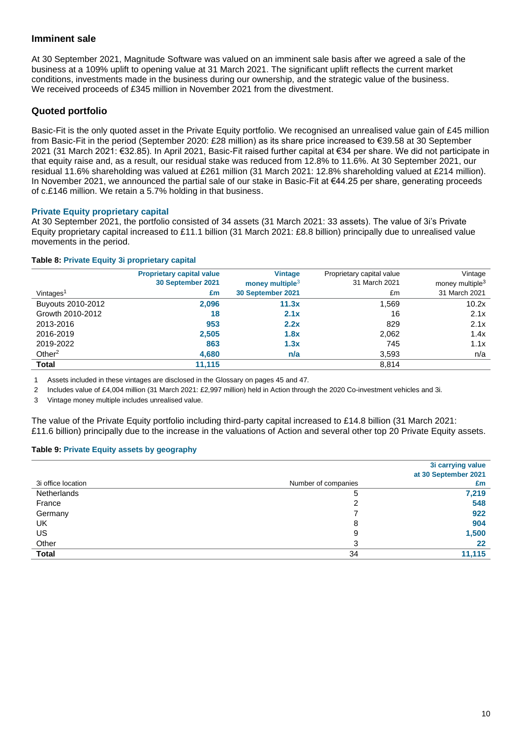### **Imminent sale**

At 30 September 2021, Magnitude Software was valued on an imminent sale basis after we agreed a sale of the business at a 109% uplift to opening value at 31 March 2021. The significant uplift reflects the current market conditions, investments made in the business during our ownership, and the strategic value of the business. We received proceeds of £345 million in November 2021 from the divestment.

### **Quoted portfolio**

Basic-Fit is the only quoted asset in the Private Equity portfolio. We recognised an unrealised value gain of £45 million from Basic-Fit in the period (September 2020: £28 million) as its share price increased to €39.58 at 30 September 2021 (31 March 2021: €32.85). In April 2021, Basic-Fit raised further capital at €34 per share. We did not participate in that equity raise and, as a result, our residual stake was reduced from 12.8% to 11.6%. At 30 September 2021, our residual 11.6% shareholding was valued at £261 million (31 March 2021: 12.8% shareholding valued at £214 million). In November 2021, we announced the partial sale of our stake in Basic-Fit at €44.25 per share, generating proceeds of c.£146 million. We retain a 5.7% holding in that business.

### **Private Equity proprietary capital**

At 30 September 2021, the portfolio consisted of 34 assets (31 March 2021: 33 assets). The value of 3i's Private Equity proprietary capital increased to £11.1 billion (31 March 2021: £8.8 billion) principally due to unrealised value movements in the period.

### **Table 8: Private Equity 3i proprietary capital**

|                       | <b>Proprietary capital value</b> | <b>Vintage</b>     | Proprietary capital value | Vintage                     |
|-----------------------|----------------------------------|--------------------|---------------------------|-----------------------------|
|                       | 30 September 2021                | money multiple $3$ | 31 March 2021             | money multiple <sup>3</sup> |
| Vintages <sup>1</sup> | £m                               | 30 September 2021  | £m                        | 31 March 2021               |
| Buyouts 2010-2012     | 2,096                            | 11.3x              | 1.569                     | 10.2x                       |
| Growth 2010-2012      | 18                               | 2.1x               | 16                        | 2.1x                        |
| 2013-2016             | 953                              | 2.2x               | 829                       | 2.1x                        |
| 2016-2019             | 2,505                            | 1.8x               | 2.062                     | 1.4x                        |
| 2019-2022             | 863                              | 1.3x               | 745                       | 1.1x                        |
| Other $2$             | 4,680                            | n/a                | 3,593                     | n/a                         |
| <b>Total</b>          | 11.115                           |                    | 8,814                     |                             |

1 Assets included in these vintages are disclosed in the Glossary on pages 45 and 47.

2 Includes value of £4,004 million (31 March 2021: £2,997 million) held in Action through the 2020 Co-investment vehicles and 3i.

3 Vintage money multiple includes unrealised value.

The value of the Private Equity portfolio including third-party capital increased to £14.8 billion (31 March 2021: £11.6 billion) principally due to the increase in the valuations of Action and several other top 20 Private Equity assets.

### **Table 9: Private Equity assets by geography**

|                    |                     | 3i carrying value<br>at 30 September 2021 |
|--------------------|---------------------|-------------------------------------------|
| 3i office location | Number of companies | £m                                        |
| Netherlands        | 5                   | 7,219                                     |
| France             | ົ                   | 548                                       |
| Germany            |                     | 922                                       |
| UK                 | 8                   | 904                                       |
| US                 | 9                   | 1,500                                     |
| Other              | 3                   | 22                                        |
| <b>Total</b>       | 34                  | 11,115                                    |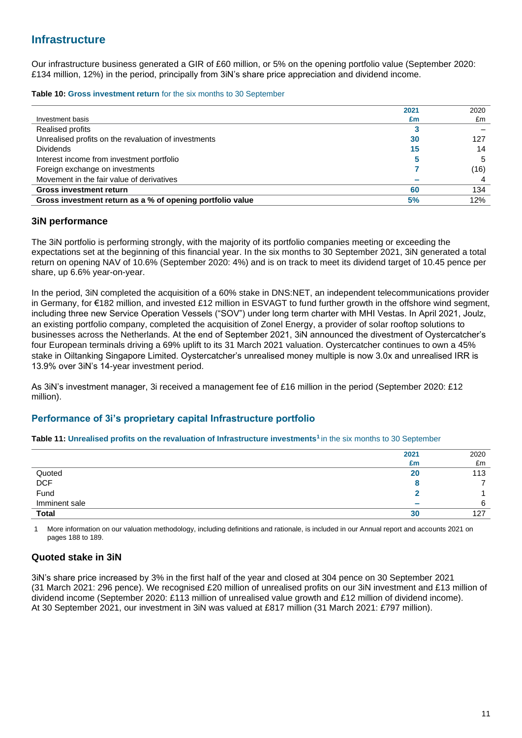## **Infrastructure**

Our infrastructure business generated a GIR of £60 million, or 5% on the opening portfolio value (September 2020: £134 million, 12%) in the period, principally from 3iN's share price appreciation and dividend income.

**Table 10: Gross investment return** for the six months to 30 September

|                                                           | 2021 | 2020 |
|-----------------------------------------------------------|------|------|
| Investment basis                                          | £m   | £m   |
| <b>Realised profits</b>                                   |      |      |
| Unrealised profits on the revaluation of investments      | 30   | 127  |
| <b>Dividends</b>                                          | 15   | 14   |
| Interest income from investment portfolio                 |      |      |
| Foreign exchange on investments                           |      | (16) |
| Movement in the fair value of derivatives                 |      |      |
| <b>Gross investment return</b>                            | 60   | 134  |
| Gross investment return as a % of opening portfolio value | 5%   | 12%  |

### **3iN performance**

The 3iN portfolio is performing strongly, with the majority of its portfolio companies meeting or exceeding the expectations set at the beginning of this financial year. In the six months to 30 September 2021, 3iN generated a total return on opening NAV of 10.6% (September 2020: 4%) and is on track to meet its dividend target of 10.45 pence per share, up 6.6% year-on-year.

In the period, 3iN completed the acquisition of a 60% stake in DNS:NET, an independent telecommunications provider in Germany, for €182 million, and invested £12 million in ESVAGT to fund further growth in the offshore wind segment, including three new Service Operation Vessels ("SOV") under long term charter with MHI Vestas. In April 2021, Joulz, an existing portfolio company, completed the acquisition of Zonel Energy, a provider of solar rooftop solutions to businesses across the Netherlands. At the end of September 2021, 3iN announced the divestment of Oystercatcher's four European terminals driving a 69% uplift to its 31 March 2021 valuation. Oystercatcher continues to own a 45% stake in Oiltanking Singapore Limited. Oystercatcher's unrealised money multiple is now 3.0x and unrealised IRR is 13.9% over 3iN's 14-year investment period.

As 3iN's investment manager, 3i received a management fee of £16 million in the period (September 2020: £12 million).

### **Performance of 3i's proprietary capital Infrastructure portfolio**

### **Table 11: Unrealised profits on the revaluation of Infrastructure investments<sup>1</sup>**in the six months to 30 September

|               | 2021         | 2020 |
|---------------|--------------|------|
|               | £m           | £m   |
| Quoted        | 20           | 113  |
| DCF<br>Fund   |              |      |
|               |              |      |
| Imminent sale | <b>COLOR</b> |      |
| <b>Total</b>  | 30           | 127  |

1 More information on our valuation methodology, including definitions and rationale, is included in our Annual report and accounts 2021 on pages 188 to 189.

### **Quoted stake in 3iN**

3iN's share price increased by 3% in the first half of the year and closed at 304 pence on 30 September 2021 (31 March 2021: 296 pence). We recognised £20 million of unrealised profits on our 3iN investment and £13 million of dividend income (September 2020: £113 million of unrealised value growth and £12 million of dividend income). At 30 September 2021, our investment in 3iN was valued at £817 million (31 March 2021: £797 million).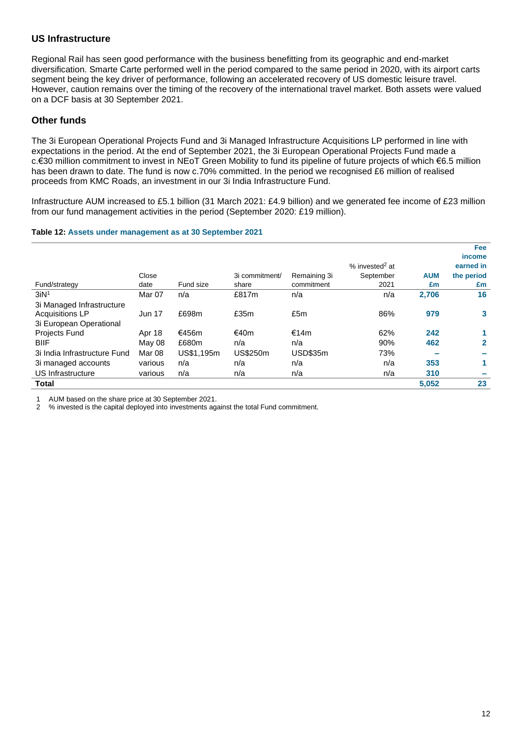### **US Infrastructure**

Regional Rail has seen good performance with the business benefitting from its geographic and end-market diversification. Smarte Carte performed well in the period compared to the same period in 2020, with its airport carts segment being the key driver of performance, following an accelerated recovery of US domestic leisure travel. However, caution remains over the timing of the recovery of the international travel market. Both assets were valued on a DCF basis at 30 September 2021.

### **Other funds**

The 3i European Operational Projects Fund and 3i Managed Infrastructure Acquisitions LP performed in line with expectations in the period. At the end of September 2021, the 3i European Operational Projects Fund made a c.€30 million commitment to invest in NEoT Green Mobility to fund its pipeline of future projects of which €6.5 million has been drawn to date. The fund is now c.70% committed. In the period we recognised £6 million of realised proceeds from KMC Roads, an investment in our 3i India Infrastructure Fund.

Infrastructure AUM increased to £5.1 billion (31 March 2021: £4.9 billion) and we generated fee income of £23 million from our fund management activities in the period (September 2020: £19 million).

### **Table 12: Assets under management as at 30 September 2021**

|                              |               |            |                 |                 |                            |            | <b>Fee</b>   |
|------------------------------|---------------|------------|-----------------|-----------------|----------------------------|------------|--------------|
|                              |               |            |                 |                 |                            |            | income       |
|                              |               |            |                 |                 | % invested <sup>2</sup> at |            | earned in    |
|                              | Close         |            | 3i commitment/  | Remaining 3i    | September                  | <b>AUM</b> | the period   |
| Fund/strategy                | date          | Fund size  | share           | commitment      | 2021                       | £m         | £m           |
| 3iN <sup>1</sup>             | Mar 07        | n/a        | £817m           | n/a             | n/a                        | 2,706      | 16           |
| 3i Managed Infrastructure    |               |            |                 |                 |                            |            |              |
| <b>Acquisitions LP</b>       | <b>Jun 17</b> | £698m      | £35m            | £5m             | 86%                        | 979        | 3            |
| 3i European Operational      |               |            |                 |                 |                            |            |              |
| Projects Fund                | Apr 18        | €456m      | €40m            | €14m            | 62%                        | 242        |              |
| <b>BIIF</b>                  | May 08        | £680m      | n/a             | n/a             | 90%                        | 462        | $\mathbf{2}$ |
| 3i India Infrastructure Fund | Mar 08        | US\$1,195m | <b>US\$250m</b> | <b>USD\$35m</b> | 73%                        |            |              |
| 3i managed accounts          | various       | n/a        | n/a             | n/a             | n/a                        | 353        |              |
| US Infrastructure            | various       | n/a        | n/a             | n/a             | n/a                        | 310        |              |
| <b>Total</b>                 |               |            |                 |                 |                            | 5,052      | 23           |

1 AUM based on the share price at 30 September 2021.<br>2 % invested is the capital deployed into investments and

2 % invested is the capital deployed into investments against the total Fund commitment.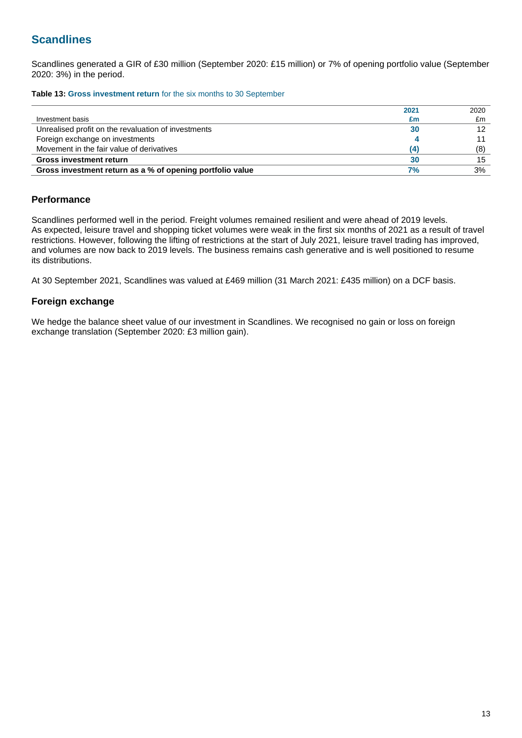## **Scandlines**

Scandlines generated a GIR of £30 million (September 2020: £15 million) or 7% of opening portfolio value (September 2020: 3%) in the period.

**Table 13: Gross investment return** for the six months to 30 September

|                                                           | 2021 | 2020 |
|-----------------------------------------------------------|------|------|
| Investment basis                                          | £m   | £m   |
| Unrealised profit on the revaluation of investments       | 30   | 12   |
| Foreign exchange on investments                           |      |      |
| Movement in the fair value of derivatives                 | (4)  | (8)  |
| <b>Gross investment return</b>                            | 30   | 15   |
| Gross investment return as a % of opening portfolio value | 7%   | 3%   |

### **Performance**

Scandlines performed well in the period. Freight volumes remained resilient and were ahead of 2019 levels. As expected, leisure travel and shopping ticket volumes were weak in the first six months of 2021 as a result of travel restrictions. However, following the lifting of restrictions at the start of July 2021, leisure travel trading has improved, and volumes are now back to 2019 levels. The business remains cash generative and is well positioned to resume its distributions.

At 30 September 2021, Scandlines was valued at £469 million (31 March 2021: £435 million) on a DCF basis.

### **Foreign exchange**

We hedge the balance sheet value of our investment in Scandlines. We recognised no gain or loss on foreign exchange translation (September 2020: £3 million gain).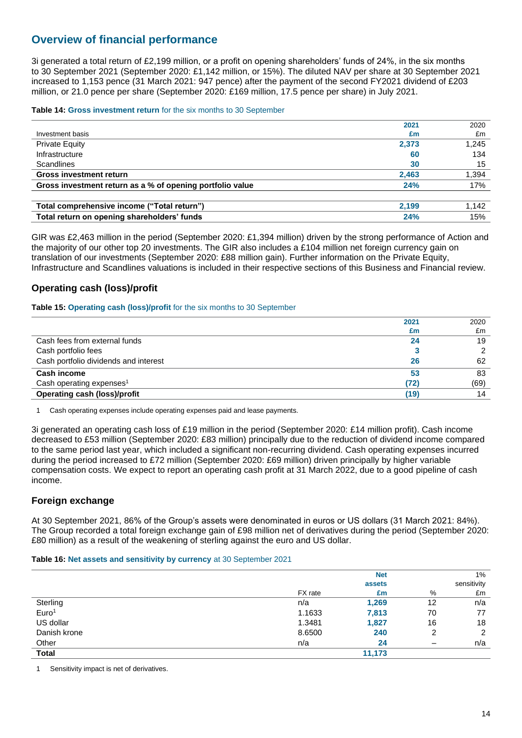## **Overview of financial performance**

3i generated a total return of £2,199 million, or a profit on opening shareholders' funds of 24%, in the six months to 30 September 2021 (September 2020: £1,142 million, or 15%). The diluted NAV per share at 30 September 2021 increased to 1,153 pence (31 March 2021: 947 pence) after the payment of the second FY2021 dividend of £203 million, or 21.0 pence per share (September 2020: £169 million, 17.5 pence per share) in July 2021.

### **Table 14: Gross investment return** for the six months to 30 September

|                                                           | 2021  | 2020  |
|-----------------------------------------------------------|-------|-------|
| Investment basis                                          | £m    | £m    |
| <b>Private Equity</b>                                     | 2,373 | 1.245 |
| Infrastructure                                            | 60    | 134   |
| Scandlines                                                | 30    | 15    |
| <b>Gross investment return</b>                            | 2.463 | 1.394 |
| Gross investment return as a % of opening portfolio value | 24%   | 17%   |
|                                                           |       |       |
| Total comprehensive income ("Total return")               | 2.199 | 1.142 |
| Total return on opening shareholders' funds               | 24%   | 15%   |

GIR was £2,463 million in the period (September 2020: £1,394 million) driven by the strong performance of Action and the majority of our other top 20 investments. The GIR also includes a £104 million net foreign currency gain on translation of our investments (September 2020: £88 million gain). Further information on the Private Equity, Infrastructure and Scandlines valuations is included in their respective sections of this Business and Financial review.

### **Operating cash (loss)/profit**

**Table 15: Operating cash (loss)/profit** for the six months to 30 September

|                                       | 2021 | 2020 |
|---------------------------------------|------|------|
|                                       | £m   | £m   |
| Cash fees from external funds         | 24   | 19   |
| Cash portfolio fees                   |      |      |
| Cash portfolio dividends and interest | 26   | 62   |
| <b>Cash income</b>                    | 53   | 83   |
| Cash operating expenses <sup>1</sup>  | (72) | (69) |
| <b>Operating cash (loss)/profit</b>   | (19) | 14   |

1 Cash operating expenses include operating expenses paid and lease payments.

3i generated an operating cash loss of £19 million in the period (September 2020: £14 million profit). Cash income decreased to £53 million (September 2020: £83 million) principally due to the reduction of dividend income compared to the same period last year, which included a significant non-recurring dividend. Cash operating expenses incurred during the period increased to £72 million (September 2020: £69 million) driven principally by higher variable compensation costs. We expect to report an operating cash profit at 31 March 2022, due to a good pipeline of cash income.

### **Foreign exchange**

At 30 September 2021, 86% of the Group's assets were denominated in euros or US dollars (31 March 2021: 84%). The Group recorded a total foreign exchange gain of £98 million net of derivatives during the period (September 2020: £80 million) as a result of the weakening of sterling against the euro and US dollar.

### **Table 16: Net assets and sensitivity by currency** at 30 September 2021

|                   |         | <b>Net</b><br>assets |    | $1\%$<br>sensitivity |
|-------------------|---------|----------------------|----|----------------------|
|                   | FX rate | £m                   | %  | £m                   |
| Sterling          | n/a     | 1,269                | 12 | n/a                  |
| Euro <sup>1</sup> | 1.1633  | 7,813                | 70 | 77                   |
| US dollar         | 1.3481  | 1,827                | 16 | 18                   |
| Danish krone      | 8.6500  | 240                  | 2  | 2                    |
| Other             | n/a     | 24                   | -  | n/a                  |
| <b>Total</b>      |         | 11,173               |    |                      |

1 Sensitivity impact is net of derivatives.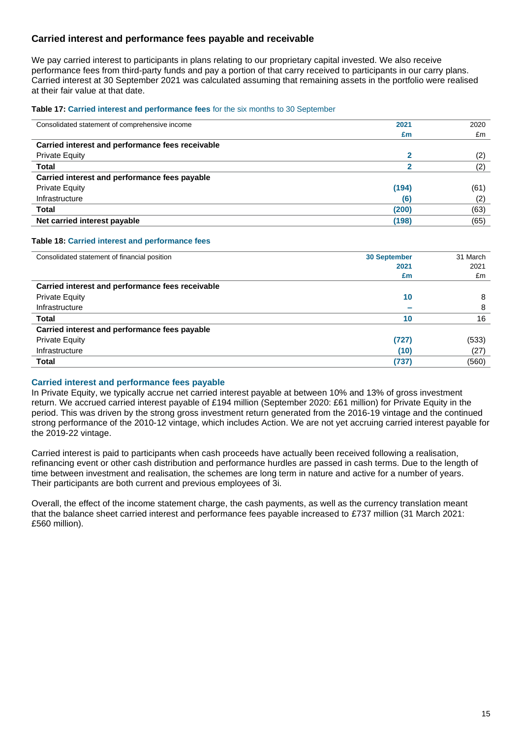### **Carried interest and performance fees payable and receivable**

We pay carried interest to participants in plans relating to our proprietary capital invested. We also receive performance fees from third-party funds and pay a portion of that carry received to participants in our carry plans. Carried interest at 30 September 2021 was calculated assuming that remaining assets in the portfolio were realised at their fair value at that date.

#### **Table 17: Carried interest and performance fees** for the six months to 30 September

| Consolidated statement of comprehensive income   | 2021  | 2020 |
|--------------------------------------------------|-------|------|
|                                                  | £m    | £m   |
| Carried interest and performance fees receivable |       |      |
| <b>Private Equity</b>                            |       | (2)  |
| <b>Total</b>                                     |       | (2)  |
| Carried interest and performance fees payable    |       |      |
| <b>Private Equity</b>                            | (194) | (61) |
| Infrastructure                                   | (6)   | (2)  |
| <b>Total</b>                                     | (200) | (63) |
| Net carried interest payable                     | (198) | (65) |

### **Table 18: Carried interest and performance fees**

| Consolidated statement of financial position     | <b>30 September</b> | 31 March |
|--------------------------------------------------|---------------------|----------|
|                                                  | 2021                | 2021     |
|                                                  | £m                  | £m       |
| Carried interest and performance fees receivable |                     |          |
| <b>Private Equity</b>                            | 10                  | 8        |
| Infrastructure                                   |                     | 8        |
| <b>Total</b>                                     | 10                  | 16       |
| Carried interest and performance fees payable    |                     |          |
| <b>Private Equity</b>                            | (727)               | (533)    |
| Infrastructure                                   | (10)                | (27)     |
| Total                                            | (737)               | (560)    |

### **Carried interest and performance fees payable**

In Private Equity, we typically accrue net carried interest payable at between 10% and 13% of gross investment return. We accrued carried interest payable of £194 million (September 2020: £61 million) for Private Equity in the period. This was driven by the strong gross investment return generated from the 2016-19 vintage and the continued strong performance of the 2010-12 vintage, which includes Action. We are not yet accruing carried interest payable for the 2019-22 vintage.

Carried interest is paid to participants when cash proceeds have actually been received following a realisation, refinancing event or other cash distribution and performance hurdles are passed in cash terms. Due to the length of time between investment and realisation, the schemes are long term in nature and active for a number of years. Their participants are both current and previous employees of 3i.

Overall, the effect of the income statement charge, the cash payments, as well as the currency translation meant that the balance sheet carried interest and performance fees payable increased to £737 million (31 March 2021: £560 million).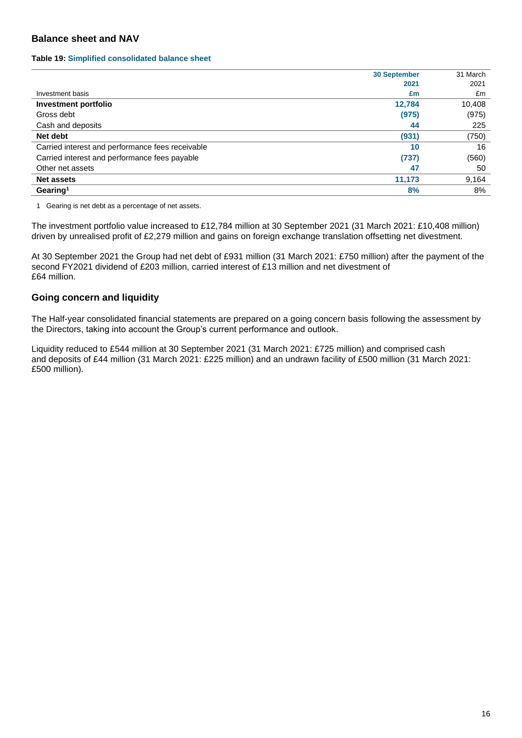### **Balance sheet and NAV**

#### **Table 19: Simplified consolidated balance sheet**

|                                                  | <b>30 September</b> | 31 March |
|--------------------------------------------------|---------------------|----------|
|                                                  | 2021                | 2021     |
| Investment basis                                 | £m                  | £m       |
| <b>Investment portfolio</b>                      | 12,784              | 10,408   |
| Gross debt                                       | (975)               | (975)    |
| Cash and deposits                                | 44                  | 225      |
| Net debt                                         | (931)               | (750)    |
| Carried interest and performance fees receivable | 10                  | 16       |
| Carried interest and performance fees payable    | (737)               | (560)    |
| Other net assets                                 | 47                  | 50       |
| <b>Net assets</b>                                | 11,173              | 9,164    |
| Gearing <sup>1</sup>                             | 8%                  | 8%       |

1 Gearing is net debt as a percentage of net assets.

The investment portfolio value increased to £12,784 million at 30 September 2021 (31 March 2021: £10,408 million) driven by unrealised profit of £2,279 million and gains on foreign exchange translation offsetting net divestment.

At 30 September 2021 the Group had net debt of £931 million (31 March 2021: £750 million) after the payment of the second FY2021 dividend of £203 million, carried interest of £13 million and net divestment of £64 million.

### **Going concern and liquidity**

The Half-year consolidated financial statements are prepared on a going concern basis following the assessment by the Directors, taking into account the Group's current performance and outlook.

Liquidity reduced to £544 million at 30 September 2021 (31 March 2021: £725 million) and comprised cash and deposits of £44 million (31 March 2021: £225 million) and an undrawn facility of £500 million (31 March 2021: £500 million).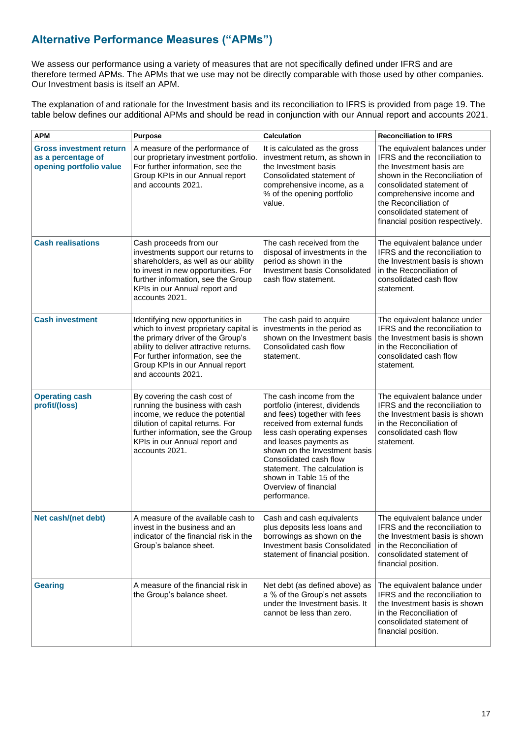## **Alternative Performance Measures ("APMs")**

We assess our performance using a variety of measures that are not specifically defined under IFRS and are therefore termed APMs. The APMs that we use may not be directly comparable with those used by other companies. Our Investment basis is itself an APM.

The explanation of and rationale for the Investment basis and its reconciliation to IFRS is provided from page 19. The table below defines our additional APMs and should be read in conjunction with our Annual report and accounts 2021.

| <b>APM</b>                                                                      | <b>Purpose</b>                                                                                                                                                                                                                                         | Calculation                                                                                                                                                                                                                                                                                                                                           | <b>Reconciliation to IFRS</b>                                                                                                                                                                                                                                                    |
|---------------------------------------------------------------------------------|--------------------------------------------------------------------------------------------------------------------------------------------------------------------------------------------------------------------------------------------------------|-------------------------------------------------------------------------------------------------------------------------------------------------------------------------------------------------------------------------------------------------------------------------------------------------------------------------------------------------------|----------------------------------------------------------------------------------------------------------------------------------------------------------------------------------------------------------------------------------------------------------------------------------|
| <b>Gross investment return</b><br>as a percentage of<br>opening portfolio value | A measure of the performance of<br>our proprietary investment portfolio.<br>For further information, see the<br>Group KPIs in our Annual report<br>and accounts 2021.                                                                                  | It is calculated as the gross<br>investment return, as shown in<br>the Investment basis<br>Consolidated statement of<br>comprehensive income, as a<br>% of the opening portfolio<br>value.                                                                                                                                                            | The equivalent balances under<br>IFRS and the reconciliation to<br>the Investment basis are<br>shown in the Reconciliation of<br>consolidated statement of<br>comprehensive income and<br>the Reconciliation of<br>consolidated statement of<br>financial position respectively. |
| <b>Cash realisations</b>                                                        | Cash proceeds from our<br>investments support our returns to<br>shareholders, as well as our ability<br>to invest in new opportunities. For<br>further information, see the Group<br>KPIs in our Annual report and<br>accounts 2021.                   | The cash received from the<br>disposal of investments in the<br>period as shown in the<br><b>Investment basis Consolidated</b><br>cash flow statement.                                                                                                                                                                                                | The equivalent balance under<br>IFRS and the reconciliation to<br>the Investment basis is shown<br>in the Reconciliation of<br>consolidated cash flow<br>statement.                                                                                                              |
| <b>Cash investment</b>                                                          | Identifying new opportunities in<br>which to invest proprietary capital is<br>the primary driver of the Group's<br>ability to deliver attractive returns.<br>For further information, see the<br>Group KPIs in our Annual report<br>and accounts 2021. | The cash paid to acquire<br>investments in the period as<br>shown on the Investment basis<br>Consolidated cash flow<br>statement.                                                                                                                                                                                                                     | The equivalent balance under<br>IFRS and the reconciliation to<br>the Investment basis is shown<br>in the Reconciliation of<br>consolidated cash flow<br>statement.                                                                                                              |
| <b>Operating cash</b><br>profit/(loss)                                          | By covering the cash cost of<br>running the business with cash<br>income, we reduce the potential<br>dilution of capital returns. For<br>further information, see the Group<br>KPIs in our Annual report and<br>accounts 2021.                         | The cash income from the<br>portfolio (interest, dividends<br>and fees) together with fees<br>received from external funds<br>less cash operating expenses<br>and leases payments as<br>shown on the Investment basis<br>Consolidated cash flow<br>statement. The calculation is<br>shown in Table 15 of the<br>Overview of financial<br>performance. | The equivalent balance under<br>IFRS and the reconciliation to<br>the Investment basis is shown<br>in the Reconciliation of<br>consolidated cash flow<br>statement.                                                                                                              |
| Net cash/(net debt)                                                             | A measure of the available cash to<br>invest in the business and an<br>indicator of the financial risk in the<br>Group's balance sheet.                                                                                                                | Cash and cash equivalents<br>plus deposits less loans and<br>borrowings as shown on the<br><b>Investment basis Consolidated</b><br>statement of financial position.                                                                                                                                                                                   | The equivalent balance under<br>IFRS and the reconciliation to<br>the Investment basis is shown<br>in the Reconciliation of<br>consolidated statement of<br>financial position.                                                                                                  |
| <b>Gearing</b>                                                                  | A measure of the financial risk in<br>the Group's balance sheet.                                                                                                                                                                                       | Net debt (as defined above) as<br>a % of the Group's net assets<br>under the Investment basis. It<br>cannot be less than zero.                                                                                                                                                                                                                        | The equivalent balance under<br>IFRS and the reconciliation to<br>the Investment basis is shown<br>in the Reconciliation of<br>consolidated statement of<br>financial position.                                                                                                  |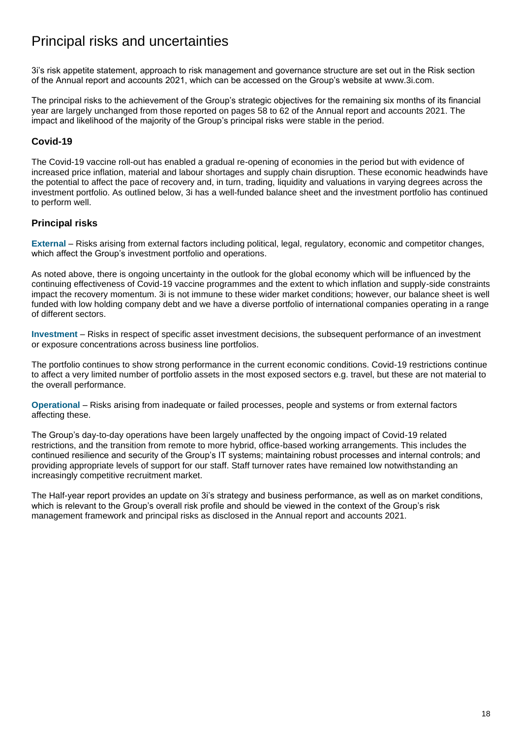# Principal risks and uncertainties

3i's risk appetite statement, approach to risk management and governance structure are set out in the Risk section of the Annual report and accounts 2021, which can be accessed on the Group's website at [www.3i.com.](http://www.3i.com/)

The principal risks to the achievement of the Group's strategic objectives for the remaining six months of its financial year are largely unchanged from those reported on pages 58 to 62 of the Annual report and accounts 2021. The impact and likelihood of the majority of the Group's principal risks were stable in the period.

### **Covid-19**

The Covid-19 vaccine roll-out has enabled a gradual re-opening of economies in the period but with evidence of increased price inflation, material and labour shortages and supply chain disruption. These economic headwinds have the potential to affect the pace of recovery and, in turn, trading, liquidity and valuations in varying degrees across the investment portfolio. As outlined below, 3i has a well-funded balance sheet and the investment portfolio has continued to perform well.

### **Principal risks**

**External** – Risks arising from external factors including political, legal, regulatory, economic and competitor changes, which affect the Group's investment portfolio and operations.

As noted above, there is ongoing uncertainty in the outlook for the global economy which will be influenced by the continuing effectiveness of Covid-19 vaccine programmes and the extent to which inflation and supply-side constraints impact the recovery momentum. 3i is not immune to these wider market conditions; however, our balance sheet is well funded with low holding company debt and we have a diverse portfolio of international companies operating in a range of different sectors.

**Investment** – Risks in respect of specific asset investment decisions, the subsequent performance of an investment or exposure concentrations across business line portfolios.

The portfolio continues to show strong performance in the current economic conditions. Covid-19 restrictions continue to affect a very limited number of portfolio assets in the most exposed sectors e.g. travel, but these are not material to the overall performance.

**Operational** – Risks arising from inadequate or failed processes, people and systems or from external factors affecting these.

The Group's day-to-day operations have been largely unaffected by the ongoing impact of Covid-19 related restrictions, and the transition from remote to more hybrid, office-based working arrangements. This includes the continued resilience and security of the Group's IT systems; maintaining robust processes and internal controls; and providing appropriate levels of support for our staff. Staff turnover rates have remained low notwithstanding an increasingly competitive recruitment market.

The Half-year report provides an update on 3i's strategy and business performance, as well as on market conditions, which is relevant to the Group's overall risk profile and should be viewed in the context of the Group's risk management framework and principal risks as disclosed in the Annual report and accounts 2021.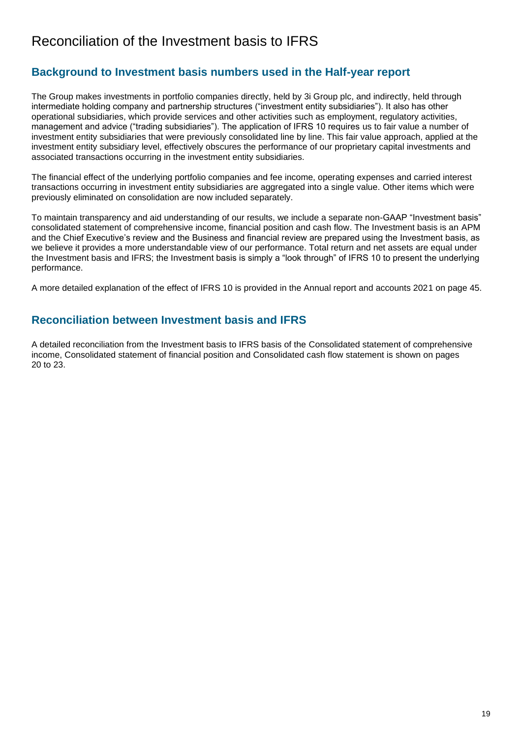## Reconciliation of the Investment basis to IFRS

## **Background to Investment basis numbers used in the Half-year report**

The Group makes investments in portfolio companies directly, held by 3i Group plc, and indirectly, held through intermediate holding company and partnership structures ("investment entity subsidiaries"). It also has other operational subsidiaries, which provide services and other activities such as employment, regulatory activities, management and advice ("trading subsidiaries"). The application of IFRS 10 requires us to fair value a number of investment entity subsidiaries that were previously consolidated line by line. This fair value approach, applied at the investment entity subsidiary level, effectively obscures the performance of our proprietary capital investments and associated transactions occurring in the investment entity subsidiaries.

The financial effect of the underlying portfolio companies and fee income, operating expenses and carried interest transactions occurring in investment entity subsidiaries are aggregated into a single value. Other items which were previously eliminated on consolidation are now included separately.

To maintain transparency and aid understanding of our results, we include a separate non-GAAP "Investment basis" consolidated statement of comprehensive income, financial position and cash flow. The Investment basis is an APM and the Chief Executive's review and the Business and financial review are prepared using the Investment basis, as we believe it provides a more understandable view of our performance. Total return and net assets are equal under the Investment basis and IFRS; the Investment basis is simply a "look through" of IFRS 10 to present the underlying performance.

A more detailed explanation of the effect of IFRS 10 is provided in the Annual report and accounts 2021 on page 45.

## **Reconciliation between Investment basis and IFRS**

A detailed reconciliation from the Investment basis to IFRS basis of the Consolidated statement of comprehensive income, Consolidated statement of financial position and Consolidated cash flow statement is shown on pages 20 to 23.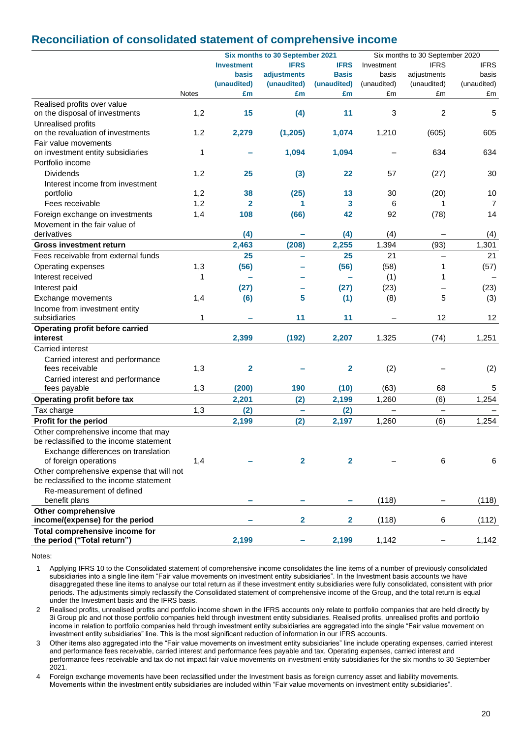## **Reconciliation of consolidated statement of comprehensive income**

|                                                                                      |              |                   | Six months to 30 September 2021 |              |             | Six months to 30 September 2020 |                |  |
|--------------------------------------------------------------------------------------|--------------|-------------------|---------------------------------|--------------|-------------|---------------------------------|----------------|--|
|                                                                                      |              | <b>Investment</b> | <b>IFRS</b>                     | <b>IFRS</b>  | Investment  | <b>IFRS</b>                     | <b>IFRS</b>    |  |
|                                                                                      |              | <b>basis</b>      | adjustments                     | <b>Basis</b> | basis       | adjustments                     | basis          |  |
|                                                                                      |              | (unaudited)       | (unaudited)                     | (unaudited)  | (unaudited) | (unaudited)                     | (unaudited)    |  |
|                                                                                      | <b>Notes</b> | £m                | £m                              | £m           | £m          | £m                              | £m             |  |
| Realised profits over value                                                          |              |                   |                                 |              |             |                                 |                |  |
| on the disposal of investments                                                       | 1,2          | 15                | (4)                             | 11           | 3           | 2                               | 5              |  |
| Unrealised profits                                                                   |              |                   |                                 |              |             |                                 |                |  |
| on the revaluation of investments                                                    | 1,2          | 2,279             | (1, 205)                        | 1,074        | 1,210       | (605)                           | 605            |  |
| Fair value movements<br>on investment entity subsidiaries                            | 1            |                   | 1,094                           | 1,094        |             | 634                             | 634            |  |
| Portfolio income                                                                     |              |                   |                                 |              |             |                                 |                |  |
| <b>Dividends</b>                                                                     |              |                   |                                 |              |             |                                 |                |  |
|                                                                                      | 1,2          | 25                | (3)                             | 22           | 57          | (27)                            | 30             |  |
| Interest income from investment<br>portfolio                                         | 1,2          | 38                | (25)                            | 13           | 30          | (20)                            | 10             |  |
| Fees receivable                                                                      | 1,2          | $\mathbf{2}$      | 1                               | 3            | 6           |                                 | $\overline{7}$ |  |
|                                                                                      | 1,4          | 108               |                                 | 42           | 92          |                                 | 14             |  |
| Foreign exchange on investments                                                      |              |                   | (66)                            |              |             | (78)                            |                |  |
| Movement in the fair value of<br>derivatives                                         |              | (4)               |                                 | (4)          | (4)         |                                 | (4)            |  |
| <b>Gross investment return</b>                                                       |              | 2,463             | (208)                           | 2,255        | 1,394       | (93)                            | 1,301          |  |
| Fees receivable from external funds                                                  |              | 25                |                                 | 25           | 21          | $\equiv$                        | 21             |  |
|                                                                                      |              |                   |                                 |              |             |                                 |                |  |
| Operating expenses                                                                   | 1,3          | (56)              |                                 | (56)         | (58)        | 1                               | (57)           |  |
| Interest received                                                                    | 1            |                   |                                 |              | (1)         | 1                               |                |  |
| Interest paid                                                                        |              | (27)              |                                 | (27)         | (23)        |                                 | (23)           |  |
| Exchange movements                                                                   | 1,4          | (6)               | 5                               | (1)          | (8)         | 5                               | (3)            |  |
| Income from investment entity                                                        |              |                   |                                 |              |             |                                 |                |  |
| subsidiaries                                                                         | 1            |                   | 11                              | 11           |             | 12                              | 12             |  |
| <b>Operating profit before carried</b><br>interest                                   |              | 2,399             | (192)                           | 2,207        | 1,325       | (74)                            | 1,251          |  |
| Carried interest                                                                     |              |                   |                                 |              |             |                                 |                |  |
| Carried interest and performance                                                     |              |                   |                                 |              |             |                                 |                |  |
| fees receivable                                                                      | 1,3          | $\mathbf 2$       |                                 | $\mathbf{2}$ | (2)         |                                 | (2)            |  |
| Carried interest and performance                                                     |              |                   |                                 |              |             |                                 |                |  |
| fees payable                                                                         | 1,3          | (200)             | 190                             | (10)         | (63)        | 68                              | 5              |  |
| Operating profit before tax                                                          |              | 2,201             | (2)                             | 2,199        | 1,260       | (6)                             | 1,254          |  |
| Tax charge                                                                           | 1,3          | (2)               | ÷                               | (2)          |             | $\overline{\phantom{0}}$        |                |  |
| Profit for the period                                                                |              | 2,199             | (2)                             | 2,197        | 1,260       | (6)                             | 1,254          |  |
| Other comprehensive income that may                                                  |              |                   |                                 |              |             |                                 |                |  |
| be reclassified to the income statement                                              |              |                   |                                 |              |             |                                 |                |  |
| Exchange differences on translation                                                  |              |                   |                                 |              |             |                                 |                |  |
| of foreign operations                                                                | 1,4          |                   | $\overline{2}$                  | $\mathbf{2}$ |             | 6                               | 6              |  |
| Other comprehensive expense that will not<br>be reclassified to the income statement |              |                   |                                 |              |             |                                 |                |  |
| Re-measurement of defined                                                            |              |                   |                                 |              |             |                                 |                |  |
| benefit plans                                                                        |              |                   |                                 |              | (118)       |                                 | (118)          |  |
| <b>Other comprehensive</b>                                                           |              |                   |                                 |              |             |                                 |                |  |
| income/(expense) for the period                                                      |              |                   | 2                               | $\mathbf{2}$ | (118)       | 6                               | (112)          |  |
| Total comprehensive income for                                                       |              |                   |                                 |              |             |                                 |                |  |
| the period ("Total return")                                                          |              | 2,199             | ۰                               | 2,199        | 1,142       | -                               | 1,142          |  |

Notes:

1 Applying IFRS 10 to the Consolidated statement of comprehensive income consolidates the line items of a number of previously consolidated subsidiaries into a single line item "Fair value movements on investment entity subsidiaries". In the Investment basis accounts we have disaggregated these line items to analyse our total return as if these investment entity subsidiaries were fully consolidated, consistent with prior periods. The adjustments simply reclassify the Consolidated statement of comprehensive income of the Group, and the total return is equal under the Investment basis and the IFRS basis.

2 Realised profits, unrealised profits and portfolio income shown in the IFRS accounts only relate to portfolio companies that are held directly by 3i Group plc and not those portfolio companies held through investment entity subsidiaries. Realised profits, unrealised profits and portfolio income in relation to portfolio companies held through investment entity subsidiaries are aggregated into the single "Fair value movement on investment entity subsidiaries" line. This is the most significant reduction of information in our IFRS accounts.

3 Other items also aggregated into the "Fair value movements on investment entity subsidiaries" line include operating expenses, carried interest and performance fees receivable, carried interest and performance fees payable and tax. Operating expenses, carried interest and performance fees receivable and tax do not impact fair value movements on investment entity subsidiaries for the six months to 30 September 2021.

4 Foreign exchange movements have been reclassified under the Investment basis as foreign currency asset and liability movements. Movements within the investment entity subsidiaries are included within "Fair value movements on investment entity subsidiaries".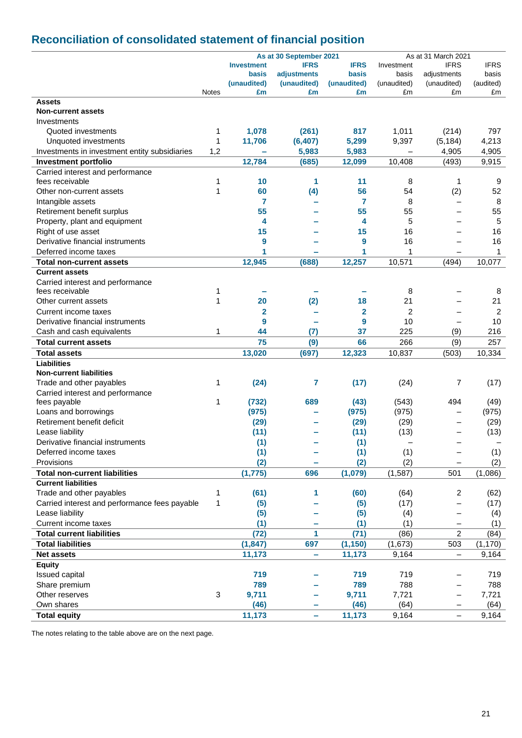## **Reconciliation of consolidated statement of financial position**

|                                                     |              |                   | As at 30 September 2021 |                   |                   | As at 31 March 2021      |                 |
|-----------------------------------------------------|--------------|-------------------|-------------------------|-------------------|-------------------|--------------------------|-----------------|
|                                                     |              | <b>Investment</b> | <b>IFRS</b>             | <b>IFRS</b>       | Investment        | <b>IFRS</b>              | <b>IFRS</b>     |
|                                                     |              | basis             | adjustments             | basis             | basis             | adjustments              | basis           |
|                                                     | <b>Notes</b> | (unaudited)<br>£m | (unaudited)<br>£m       | (unaudited)<br>£m | (unaudited)<br>£m | (unaudited)<br>£m        | (audited)<br>£m |
| <b>Assets</b>                                       |              |                   |                         |                   |                   |                          |                 |
| <b>Non-current assets</b>                           |              |                   |                         |                   |                   |                          |                 |
| Investments                                         |              |                   |                         |                   |                   |                          |                 |
| Quoted investments                                  | 1            | 1,078             | (261)                   | 817               | 1,011             | (214)                    | 797             |
|                                                     | 1            |                   | (6, 407)                | 5,299             | 9,397             | (5, 184)                 | 4,213           |
| Unquoted investments                                | 1,2          | 11,706            |                         |                   |                   | 4,905                    | 4,905           |
| Investments in investment entity subsidiaries       |              | 12,784            | 5,983                   | 5,983             |                   | (493)                    |                 |
| <b>Investment portfolio</b>                         |              |                   | (685)                   | 12,099            | 10,408            |                          | 9,915           |
| Carried interest and performance<br>fees receivable | 1            | 10                | 1                       | 11                | 8                 | 1                        | 9               |
| Other non-current assets                            | 1            | 60                | (4)                     | 56                | 54                | (2)                      | 52              |
| Intangible assets                                   |              | 7                 |                         | 7                 | 8                 | $\overline{\phantom{0}}$ | 8               |
| Retirement benefit surplus                          |              | 55                |                         | 55                | 55                | $\overline{\phantom{0}}$ | 55              |
| Property, plant and equipment                       |              | 4                 |                         | 4                 | 5                 | $\overline{\phantom{0}}$ | 5               |
| Right of use asset                                  |              | 15                |                         | 15                | 16                |                          | 16              |
| Derivative financial instruments                    |              | 9                 |                         | 9                 | 16                |                          | 16              |
| Deferred income taxes                               |              | 1                 |                         | 1                 | 1                 | $\overline{\phantom{0}}$ | $\mathbf{1}$    |
| <b>Total non-current assets</b>                     |              | 12,945            | (688)                   | 12,257            | 10,571            | (494)                    | 10,077          |
| <b>Current assets</b>                               |              |                   |                         |                   |                   |                          |                 |
| Carried interest and performance                    |              |                   |                         |                   |                   |                          |                 |
| fees receivable                                     | 1            |                   |                         |                   | 8                 |                          | 8               |
| Other current assets                                | 1            | 20                | (2)                     | 18                | 21                |                          | 21              |
| Current income taxes                                |              | $\mathbf{2}$      |                         | $\overline{2}$    | $\overline{2}$    |                          | $\overline{c}$  |
|                                                     |              |                   |                         |                   |                   |                          |                 |
| Derivative financial instruments                    |              | 9                 |                         | 9                 | 10                | $\overline{\phantom{0}}$ | 10              |
| Cash and cash equivalents                           | 1            | 44                | (7)                     | 37                | 225               | (9)                      | 216             |
| <b>Total current assets</b>                         |              | 75                | (9)                     | 66                | 266               | (9)                      | 257             |
| <b>Total assets</b>                                 |              | 13,020            | (697)                   | 12,323            | 10,837            | (503)                    | 10,334          |
| <b>Liabilities</b>                                  |              |                   |                         |                   |                   |                          |                 |
| <b>Non-current liabilities</b>                      |              |                   |                         |                   |                   |                          |                 |
| Trade and other payables                            | 1            | (24)              | 7                       | (17)              | (24)              | 7                        | (17)            |
| Carried interest and performance                    |              |                   |                         |                   |                   |                          |                 |
| fees payable                                        | 1            | (732)             | 689                     | (43)              | (543)             | 494                      | (49)            |
| Loans and borrowings                                |              | (975)             |                         | (975)             | (975)             | —                        | (975)           |
| Retirement benefit deficit                          |              | (29)              |                         | (29)              | (29)              |                          | (29)            |
| Lease liability                                     |              | (11)              |                         | (11)              | (13)              | $\overline{\phantom{0}}$ | (13)            |
| Derivative financial instruments                    |              | (1)               |                         | (1)               |                   | $\overline{\phantom{0}}$ |                 |
| Deferred income taxes                               |              | (1)               |                         | (1)               | (1)               |                          | (1)             |
| Provisions                                          |              | (2)               |                         | (2)               | (2)               |                          | (2)             |
| <b>Total non-current liabilities</b>                |              | (1, 775)          | 696                     | (1,079)           | (1, 587)          | 501                      | (1,086)         |
| <b>Current liabilities</b>                          |              |                   |                         |                   |                   |                          |                 |
| Trade and other payables                            | 1            | (61)              | 1                       | (60)              | (64)              | 2                        | (62)            |
| Carried interest and performance fees payable       | 1            | (5)               |                         | (5)               | (17)              | $\overline{\phantom{0}}$ | (17)            |
| Lease liability                                     |              | (5)               |                         | (5)               | (4)               |                          | (4)             |
| Current income taxes                                |              | (1)               | -                       | (1)               | (1)               |                          | (1)             |
| <b>Total current liabilities</b>                    |              | (72)              | 1                       | (71)              | (86)              | $\overline{2}$           | (84)            |
| <b>Total liabilities</b>                            |              | (1, 847)          | 697                     | (1, 150)          | (1,673)           | 503                      | (1, 170)        |
| <b>Net assets</b>                                   |              | 11,173            | ۰                       | 11,173            | 9,164             | $\qquad \qquad -$        | 9,164           |
| <b>Equity</b>                                       |              |                   |                         |                   |                   |                          |                 |
| Issued capital                                      |              | 719               |                         | 719               | 719               | -                        | 719             |
| Share premium                                       |              | 789               |                         | 789               | 788               | $\qquad \qquad -$        | 788             |
| Other reserves                                      | 3            | 9,711             |                         | 9,711             | 7,721             | -                        | 7,721           |
| Own shares                                          |              | (46)              | -                       | (46)              | (64)              | -                        | (64)            |
| <b>Total equity</b>                                 |              | 11,173            | ÷                       | 11,173            | 9,164             | $\qquad \qquad -$        | 9,164           |

The notes relating to the table above are on the next page.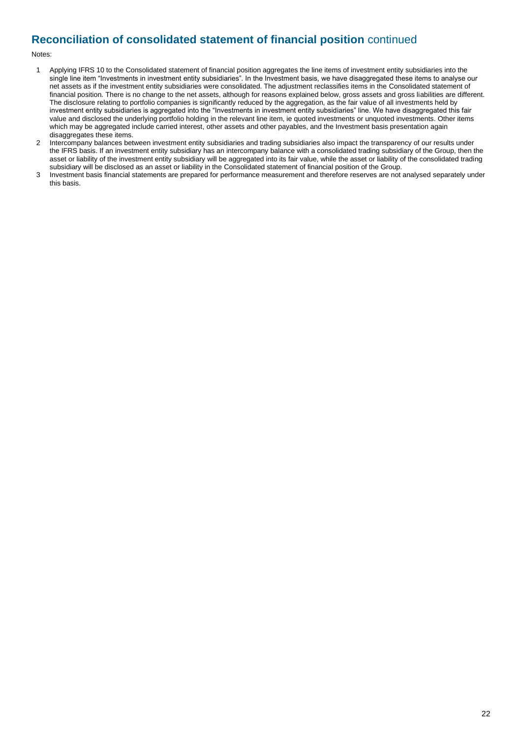## **Reconciliation of consolidated statement of financial position** continued

#### Notes:

- 1 Applying IFRS 10 to the Consolidated statement of financial position aggregates the line items of investment entity subsidiaries into the single line item "Investments in investment entity subsidiaries". In the Investment basis, we have disaggregated these items to analyse our net assets as if the investment entity subsidiaries were consolidated. The adjustment reclassifies items in the Consolidated statement of financial position. There is no change to the net assets, although for reasons explained below, gross assets and gross liabilities are different. The disclosure relating to portfolio companies is significantly reduced by the aggregation, as the fair value of all investments held by investment entity subsidiaries is aggregated into the "Investments in investment entity subsidiaries" line. We have disaggregated this fair value and disclosed the underlying portfolio holding in the relevant line item, ie quoted investments or unquoted investments. Other items which may be aggregated include carried interest, other assets and other payables, and the Investment basis presentation again disaggregates these items.
- 2 Intercompany balances between investment entity subsidiaries and trading subsidiaries also impact the transparency of our results under the IFRS basis. If an investment entity subsidiary has an intercompany balance with a consolidated trading subsidiary of the Group, then the asset or liability of the investment entity subsidiary will be aggregated into its fair value, while the asset or liability of the consolidated trading subsidiary will be disclosed as an asset or liability in the Consolidated statement of financial position of the Group.
- 3 Investment basis financial statements are prepared for performance measurement and therefore reserves are not analysed separately under this basis.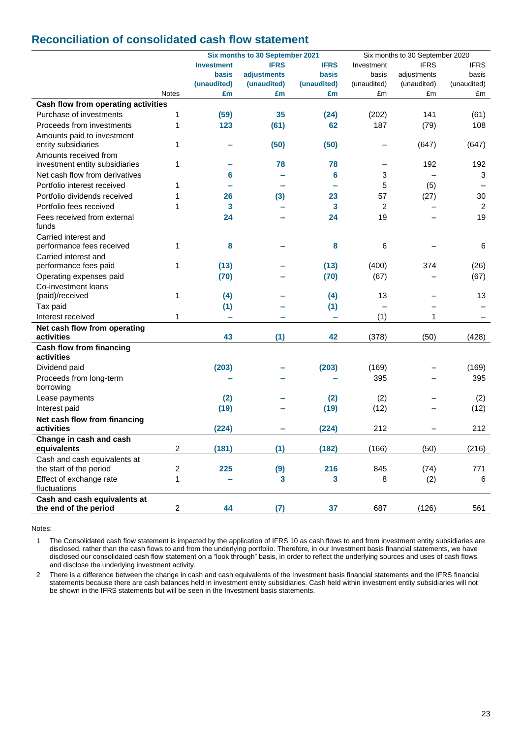## **Reconciliation of consolidated cash flow statement**

|                                                         |                         |                   | Six months to 30 September 2021 |              |                | Six months to 30 September 2020 |                |
|---------------------------------------------------------|-------------------------|-------------------|---------------------------------|--------------|----------------|---------------------------------|----------------|
|                                                         |                         | <b>Investment</b> | <b>IFRS</b>                     | <b>IFRS</b>  | Investment     | <b>IFRS</b>                     | <b>IFRS</b>    |
|                                                         |                         | basis             | <b>adiustments</b>              | <b>basis</b> | basis          | adjustments                     | basis          |
|                                                         |                         | (unaudited)       | (unaudited)                     | (unaudited)  | (unaudited)    | (unaudited)                     | (unaudited)    |
|                                                         | Notes                   | £m                | £m                              | £m           | £m             | £m                              | £m             |
| Cash flow from operating activities                     |                         |                   |                                 |              |                |                                 |                |
| Purchase of investments                                 | 1                       | (59)              | 35                              | (24)         | (202)          | 141                             | (61)           |
| Proceeds from investments                               | 1                       | 123               | (61)                            | 62           | 187            | (79)                            | 108            |
| Amounts paid to investment<br>entity subsidiaries       | 1                       |                   | (50)                            | (50)         |                | (647)                           | (647)          |
| Amounts received from<br>investment entity subsidiaries | 1                       |                   | 78                              | 78           |                | 192                             | 192            |
| Net cash flow from derivatives                          |                         | 6                 |                                 | 6            | 3              |                                 | 3              |
| Portfolio interest received                             | 1                       |                   |                                 |              | 5              | (5)                             |                |
| Portfolio dividends received                            | 1                       | 26                | (3)                             | 23           | 57             | (27)                            | 30             |
| Portfolio fees received                                 | 1                       | 3                 |                                 | 3            | $\overline{2}$ |                                 | $\overline{c}$ |
| Fees received from external                             |                         | 24                |                                 | 24           | 19             |                                 | 19             |
| funds                                                   |                         |                   |                                 |              |                |                                 |                |
| Carried interest and                                    |                         |                   |                                 |              |                |                                 |                |
| performance fees received                               | 1                       | 8                 |                                 | 8            | 6              |                                 | 6              |
| Carried interest and                                    |                         |                   |                                 |              |                |                                 |                |
| performance fees paid                                   | 1                       | (13)              |                                 | (13)         | (400)          | 374                             | (26)           |
| Operating expenses paid                                 |                         | (70)              |                                 | (70)         | (67)           |                                 | (67)           |
| Co-investment loans                                     |                         |                   |                                 |              |                |                                 |                |
| (paid)/received                                         | 1                       | (4)               |                                 | (4)          | 13             |                                 | 13             |
| Tax paid                                                |                         | (1)               |                                 | (1)          |                |                                 |                |
| Interest received                                       | 1                       | $\equiv$          |                                 | ÷            | (1)            | 1                               |                |
| Net cash flow from operating                            |                         |                   |                                 |              |                |                                 |                |
| activities                                              |                         | 43                | (1)                             | 42           | (378)          | (50)                            | (428)          |
| <b>Cash flow from financing</b>                         |                         |                   |                                 |              |                |                                 |                |
| activities                                              |                         |                   |                                 |              |                |                                 |                |
| Dividend paid                                           |                         | (203)             |                                 | (203)        | (169)          |                                 | (169)          |
| Proceeds from long-term                                 |                         |                   |                                 |              | 395            |                                 | 395            |
| borrowing                                               |                         |                   |                                 |              |                |                                 |                |
| Lease payments                                          |                         | (2)               |                                 | (2)          | (2)            |                                 | (2)            |
| Interest paid                                           |                         | (19)              |                                 | (19)         | (12)           | —                               | (12)           |
| Net cash flow from financing<br>activities              |                         | (224)             |                                 | (224)        | 212            | $\overline{\phantom{0}}$        | 212            |
| Change in cash and cash                                 |                         |                   |                                 |              |                |                                 |                |
| equivalents                                             | $\overline{c}$          | (181)             | (1)                             | (182)        | (166)          | (50)                            | (216)          |
| Cash and cash equivalents at                            |                         |                   |                                 |              |                |                                 |                |
| the start of the period                                 | 2                       | 225               | (9)                             | 216          | 845            | (74)                            | 771            |
| Effect of exchange rate                                 | 1                       |                   | 3                               | 3            | 8              | (2)                             | 6              |
| fluctuations                                            |                         |                   |                                 |              |                |                                 |                |
| Cash and cash equivalents at                            |                         |                   |                                 |              |                |                                 |                |
| the end of the period                                   | $\overline{\mathbf{c}}$ | 44                | (7)                             | 37           | 687            | (126)                           | 561            |

Notes:

1 The Consolidated cash flow statement is impacted by the application of IFRS 10 as cash flows to and from investment entity subsidiaries are disclosed, rather than the cash flows to and from the underlying portfolio. Therefore, in our Investment basis financial statements, we have disclosed our consolidated cash flow statement on a "look through" basis, in order to reflect the underlying sources and uses of cash flows and disclose the underlying investment activity.

2 There is a difference between the change in cash and cash equivalents of the Investment basis financial statements and the IFRS financial statements because there are cash balances held in investment entity subsidiaries. Cash held within investment entity subsidiaries will not be shown in the IFRS statements but will be seen in the Investment basis statements.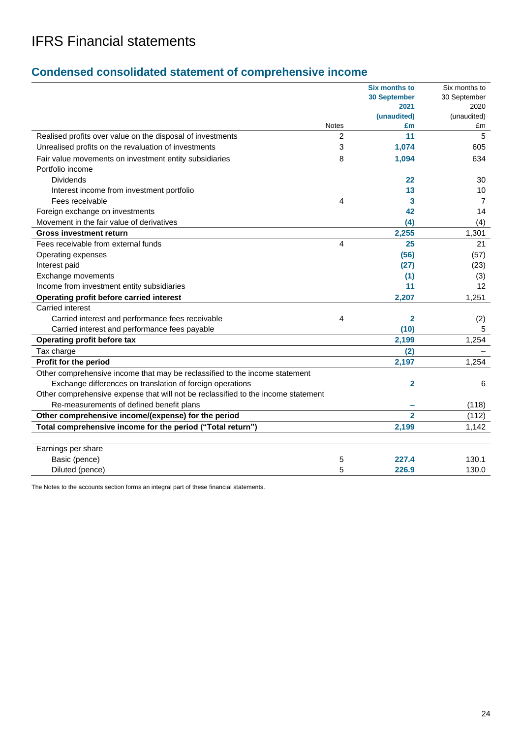## **Condensed consolidated statement of comprehensive income**

| <b>Six months to</b>                                                               | Six months to |
|------------------------------------------------------------------------------------|---------------|
| <b>30 September</b>                                                                | 30 September  |
| 2021                                                                               | 2020          |
| (unaudited)                                                                        | (unaudited)   |
| <b>Notes</b><br>£m                                                                 | £m            |
| Realised profits over value on the disposal of investments<br>$\overline{2}$<br>11 | 5             |
| 1,074<br>Unrealised profits on the revaluation of investments<br>3                 | 605           |
| Fair value movements on investment entity subsidiaries<br>8<br>1,094               | 634           |
| Portfolio income                                                                   |               |
| <b>Dividends</b><br>22                                                             | 30            |
| Interest income from investment portfolio<br>13                                    | 10            |
| Fees receivable<br>4<br>3                                                          | 7             |
| Foreign exchange on investments<br>42                                              | 14            |
| Movement in the fair value of derivatives<br>(4)                                   | (4)           |
| 2,255<br><b>Gross investment return</b>                                            | 1,301         |
| 4<br>Fees receivable from external funds<br>25                                     | 21            |
| (56)<br>Operating expenses                                                         | (57)          |
| Interest paid<br>(27)                                                              | (23)          |
| Exchange movements<br>(1)                                                          | (3)           |
| 11<br>Income from investment entity subsidiaries                                   | 12            |
| 2,207<br>Operating profit before carried interest                                  | 1,251         |
| <b>Carried interest</b>                                                            |               |
| 4<br>Carried interest and performance fees receivable<br>$\overline{2}$            | (2)           |
| Carried interest and performance fees payable<br>(10)                              | 5             |
| Operating profit before tax<br>2,199                                               | 1,254         |
| Tax charge<br>(2)                                                                  |               |
| Profit for the period<br>2,197                                                     | 1,254         |
| Other comprehensive income that may be reclassified to the income statement        |               |
| Exchange differences on translation of foreign operations<br>$\overline{2}$        | 6             |
| Other comprehensive expense that will not be reclassified to the income statement  |               |
| Re-measurements of defined benefit plans                                           | (118)         |
| $\overline{2}$<br>Other comprehensive income/(expense) for the period              | (112)         |
| Total comprehensive income for the period ("Total return")<br>2,199                | 1,142         |
|                                                                                    |               |
| Earnings per share                                                                 |               |
| Basic (pence)<br>227.4<br>5                                                        | 130.1         |
| Diluted (pence)<br>5<br>226.9                                                      | 130.0         |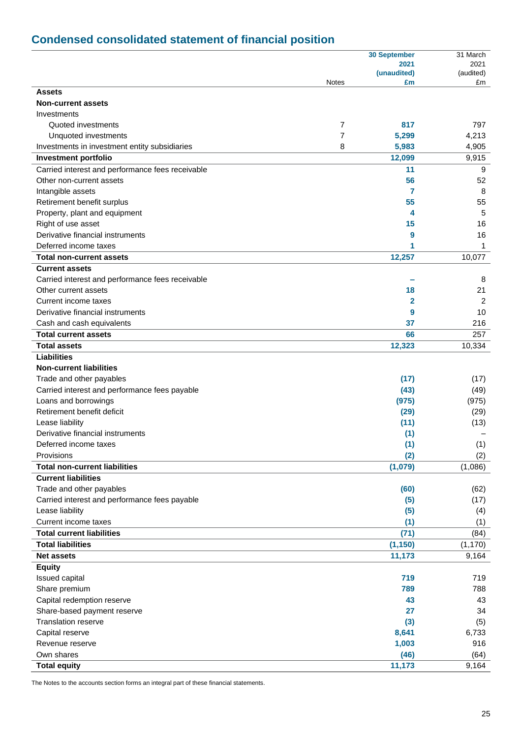# **Condensed consolidated statement of financial position**

|                                                  |              | <b>30 September</b> | 31 March        |
|--------------------------------------------------|--------------|---------------------|-----------------|
|                                                  |              | 2021                | 2021            |
|                                                  | <b>Notes</b> | (unaudited)<br>£m   | (audited)<br>£m |
| <b>Assets</b>                                    |              |                     |                 |
| <b>Non-current assets</b>                        |              |                     |                 |
| Investments                                      |              |                     |                 |
| Quoted investments                               | 7            | 817                 | 797             |
| Unquoted investments                             | 7            | 5,299               | 4,213           |
| Investments in investment entity subsidiaries    | 8            | 5,983               | 4,905           |
| <b>Investment portfolio</b>                      |              | 12,099              | 9,915           |
| Carried interest and performance fees receivable |              | 11                  | 9               |
| Other non-current assets                         |              | 56                  | 52              |
| Intangible assets                                |              | 7                   | 8               |
| Retirement benefit surplus                       |              | 55                  | 55              |
| Property, plant and equipment                    |              | 4                   | 5               |
| Right of use asset                               |              | 15                  | 16              |
| Derivative financial instruments                 |              | 9                   | 16              |
| Deferred income taxes                            |              | 1                   | 1               |
| <b>Total non-current assets</b>                  |              | 12,257              | 10,077          |
| <b>Current assets</b>                            |              |                     |                 |
| Carried interest and performance fees receivable |              |                     | 8               |
| Other current assets                             |              | 18                  | 21              |
| Current income taxes                             |              | 2                   | 2               |
| Derivative financial instruments                 |              | 9                   | 10              |
| Cash and cash equivalents                        |              | 37                  | 216             |
| <b>Total current assets</b>                      |              | 66                  | 257             |
| <b>Total assets</b>                              |              | 12,323              | 10,334          |
| <b>Liabilities</b>                               |              |                     |                 |
| <b>Non-current liabilities</b>                   |              |                     |                 |
| Trade and other payables                         |              | (17)                | (17)            |
| Carried interest and performance fees payable    |              | (43)                | (49)            |
| Loans and borrowings                             |              | (975)               | (975)           |
| Retirement benefit deficit                       |              | (29)                | (29)            |
| Lease liability                                  |              | (11)                | (13)            |
| Derivative financial instruments                 |              | (1)                 |                 |
| Deferred income taxes                            |              | (1)                 | (1)             |
| Provisions                                       |              | (2)                 | (2)             |
| <b>Total non-current liabilities</b>             |              | (1,079)             | (1,086)         |
| <b>Current liabilities</b>                       |              |                     |                 |
| Trade and other payables                         |              | (60)                | (62)            |
| Carried interest and performance fees payable    |              | (5)                 | (17)            |
| Lease liability                                  |              | (5)                 | (4)             |
| Current income taxes                             |              | (1)                 | (1)             |
| <b>Total current liabilities</b>                 |              | (71)                | (84)            |
| <b>Total liabilities</b>                         |              | (1, 150)            | (1, 170)        |
| <b>Net assets</b>                                |              | 11,173              | 9,164           |
| <b>Equity</b>                                    |              |                     |                 |
| Issued capital                                   |              | 719                 | 719             |
| Share premium                                    |              | 789                 | 788             |
| Capital redemption reserve                       |              | 43                  | 43              |
| Share-based payment reserve                      |              | 27                  | 34              |
| <b>Translation reserve</b>                       |              | (3)                 | (5)             |
| Capital reserve                                  |              | 8,641               | 6,733           |
| Revenue reserve                                  |              | 1,003               | 916             |
| Own shares                                       |              | (46)                | (64)            |
| <b>Total equity</b>                              |              | 11,173              | 9,164           |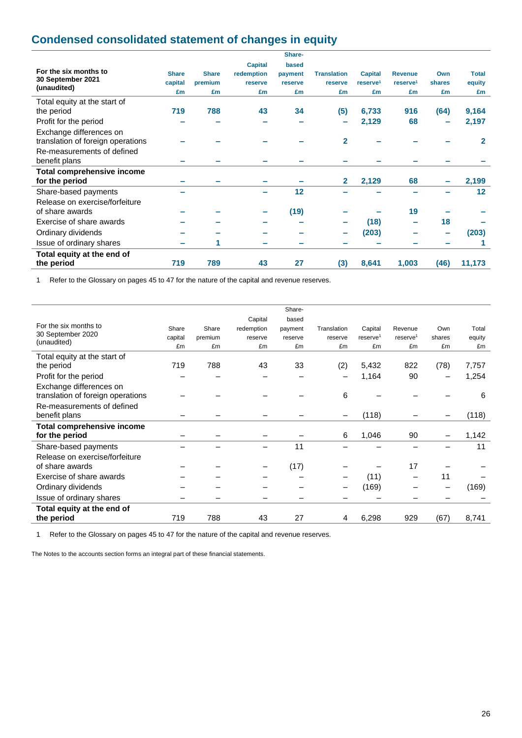## **Condensed consolidated statement of changes in equity**

| <b>Capital</b><br>based<br>For the six months to<br><b>Share</b><br><b>Share</b><br>redemption<br><b>Translation</b><br><b>Capital</b><br><b>Revenue</b><br>Own<br>payment<br>30 September 2021<br>capital<br>premium<br>shares<br>reserve <sup>1</sup><br>reserve <sup>1</sup><br>reserve<br>reserve<br>reserve<br>(unaudited)<br>£m<br>£m<br>£m<br>£m<br>£m<br>£m<br>£m<br>£m<br>Total equity at the start of<br>719<br>788<br>43<br>(64)<br>34<br>(5)<br>6,733<br>916<br>the period<br>Profit for the period<br>2,129<br>68 | <b>Total</b><br>equity<br>£m<br>9,164<br>2,197 |
|--------------------------------------------------------------------------------------------------------------------------------------------------------------------------------------------------------------------------------------------------------------------------------------------------------------------------------------------------------------------------------------------------------------------------------------------------------------------------------------------------------------------------------|------------------------------------------------|
|                                                                                                                                                                                                                                                                                                                                                                                                                                                                                                                                |                                                |
|                                                                                                                                                                                                                                                                                                                                                                                                                                                                                                                                |                                                |
|                                                                                                                                                                                                                                                                                                                                                                                                                                                                                                                                |                                                |
|                                                                                                                                                                                                                                                                                                                                                                                                                                                                                                                                |                                                |
|                                                                                                                                                                                                                                                                                                                                                                                                                                                                                                                                |                                                |
|                                                                                                                                                                                                                                                                                                                                                                                                                                                                                                                                |                                                |
|                                                                                                                                                                                                                                                                                                                                                                                                                                                                                                                                |                                                |
| Exchange differences on                                                                                                                                                                                                                                                                                                                                                                                                                                                                                                        |                                                |
| $\overline{\mathbf{2}}$<br>translation of foreign operations                                                                                                                                                                                                                                                                                                                                                                                                                                                                   | 2                                              |
| Re-measurements of defined                                                                                                                                                                                                                                                                                                                                                                                                                                                                                                     |                                                |
| benefit plans                                                                                                                                                                                                                                                                                                                                                                                                                                                                                                                  |                                                |
| <b>Total comprehensive income</b>                                                                                                                                                                                                                                                                                                                                                                                                                                                                                              |                                                |
| 2,129<br>68<br>for the period<br>$\mathbf{2}$                                                                                                                                                                                                                                                                                                                                                                                                                                                                                  | 2,199                                          |
| 12<br>Share-based payments                                                                                                                                                                                                                                                                                                                                                                                                                                                                                                     | $12 \overline{ }$                              |
| Release on exercise/forfeiture                                                                                                                                                                                                                                                                                                                                                                                                                                                                                                 |                                                |
| (19)<br>19<br>of share awards                                                                                                                                                                                                                                                                                                                                                                                                                                                                                                  |                                                |
| 18<br>Exercise of share awards<br>(18)                                                                                                                                                                                                                                                                                                                                                                                                                                                                                         |                                                |
| Ordinary dividends<br>(203)                                                                                                                                                                                                                                                                                                                                                                                                                                                                                                    | (203)                                          |
| Issue of ordinary shares<br>1<br>$\overline{\phantom{a}}$                                                                                                                                                                                                                                                                                                                                                                                                                                                                      |                                                |
| Total equity at the end of                                                                                                                                                                                                                                                                                                                                                                                                                                                                                                     |                                                |
| 719<br>789<br>43<br>27<br>(3)<br>8,641<br>1,003<br>(46)<br>11,173<br>the period                                                                                                                                                                                                                                                                                                                                                                                                                                                |                                                |

1 Refer to the Glossary on pages 45 to 47 for the nature of the capital and revenue reserves.

|                                   |         |         |            | Share-  |             |                      |                      |                          |        |
|-----------------------------------|---------|---------|------------|---------|-------------|----------------------|----------------------|--------------------------|--------|
|                                   |         |         | Capital    | based   |             |                      |                      |                          |        |
| For the six months to             | Share   | Share   | redemption | payment | Translation | Capital              | Revenue              | Own                      | Total  |
| 30 September 2020<br>(unaudited)  | capital | premium | reserve    | reserve | reserve     | reserve <sup>1</sup> | reserve <sup>1</sup> | shares                   | equity |
|                                   | £m      | £m      | £m         | £m      | £m          | £m                   | £m                   | £m                       | £m     |
| Total equity at the start of      |         |         |            |         |             |                      |                      |                          |        |
| the period                        | 719     | 788     | 43         | 33      | (2)         | 5,432                | 822                  | (78)                     | 7,757  |
| Profit for the period             |         |         |            |         | -           | 1,164                | 90                   | $\overline{\phantom{0}}$ | 1,254  |
| Exchange differences on           |         |         |            |         |             |                      |                      |                          |        |
| translation of foreign operations |         |         |            |         | 6           |                      |                      |                          | 6      |
| Re-measurements of defined        |         |         |            |         |             |                      |                      |                          |        |
| benefit plans                     |         |         |            |         |             | (118)                |                      |                          | (118)  |
| Total comprehensive income        |         |         |            |         |             |                      |                      |                          |        |
| for the period                    |         |         |            |         | 6           | 1,046                | 90                   |                          | 1,142  |
| Share-based payments              |         |         |            | 11      |             |                      |                      |                          | 11     |
| Release on exercise/forfeiture    |         |         |            |         |             |                      |                      |                          |        |
| of share awards                   |         |         |            | (17)    |             |                      | 17                   |                          |        |
| Exercise of share awards          |         |         |            |         |             | (11)                 |                      | 11                       |        |
| Ordinary dividends                |         |         |            |         |             | (169)                |                      |                          | (169)  |
| Issue of ordinary shares          |         |         |            |         |             |                      |                      |                          |        |
| Total equity at the end of        |         |         |            |         |             |                      |                      |                          |        |
| the period                        | 719     | 788     | 43         | 27      | 4           | 6,298                | 929                  | (67)                     | 8,741  |
|                                   |         |         |            |         |             |                      |                      |                          |        |

1 Refer to the Glossary on pages 45 to 47 for the nature of the capital and revenue reserves.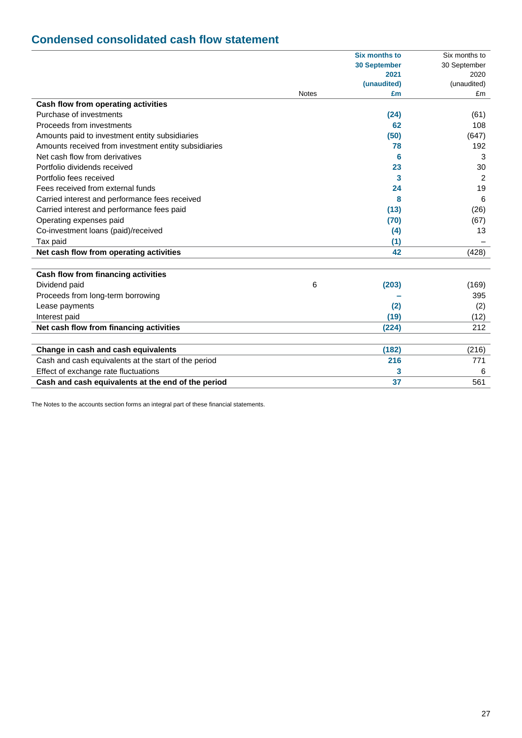## **Condensed consolidated cash flow statement**

|                                                      |              | <b>Six months to</b> | Six months to |
|------------------------------------------------------|--------------|----------------------|---------------|
|                                                      |              | <b>30 September</b>  | 30 September  |
|                                                      |              | 2021                 | 2020          |
|                                                      |              | (unaudited)          | (unaudited)   |
|                                                      | <b>Notes</b> | £m                   | £m            |
| Cash flow from operating activities                  |              |                      |               |
| Purchase of investments                              |              | (24)                 | (61)          |
| Proceeds from investments                            |              | 62                   | 108           |
| Amounts paid to investment entity subsidiaries       |              | (50)                 | (647)         |
| Amounts received from investment entity subsidiaries |              | 78                   | 192           |
| Net cash flow from derivatives                       |              | 6                    | 3             |
| Portfolio dividends received                         |              | 23                   | 30            |
| Portfolio fees received                              |              | 3                    | 2             |
| Fees received from external funds                    |              | 24                   | 19            |
| Carried interest and performance fees received       |              | 8                    | 6             |
| Carried interest and performance fees paid           |              | (13)                 | (26)          |
| Operating expenses paid                              |              | (70)                 | (67)          |
| Co-investment loans (paid)/received                  |              | (4)                  | 13            |
| Tax paid                                             |              | (1)                  |               |
| Net cash flow from operating activities              |              | 42                   | (428)         |
|                                                      |              |                      |               |
| Cash flow from financing activities                  |              |                      |               |
| Dividend paid                                        | 6            | (203)                | (169)         |
| Proceeds from long-term borrowing                    |              |                      | 395           |
| Lease payments                                       |              | (2)                  | (2)           |
| Interest paid                                        |              | (19)                 | (12)          |
| Net cash flow from financing activities              |              | (224)                | 212           |
|                                                      |              |                      |               |
| Change in cash and cash equivalents                  |              | (182)                | (216)         |
| Cash and cash equivalents at the start of the period |              | 216                  | 771           |
| Effect of exchange rate fluctuations                 |              | 3                    | 6             |
| Cash and cash equivalents at the end of the period   |              | 37                   | 561           |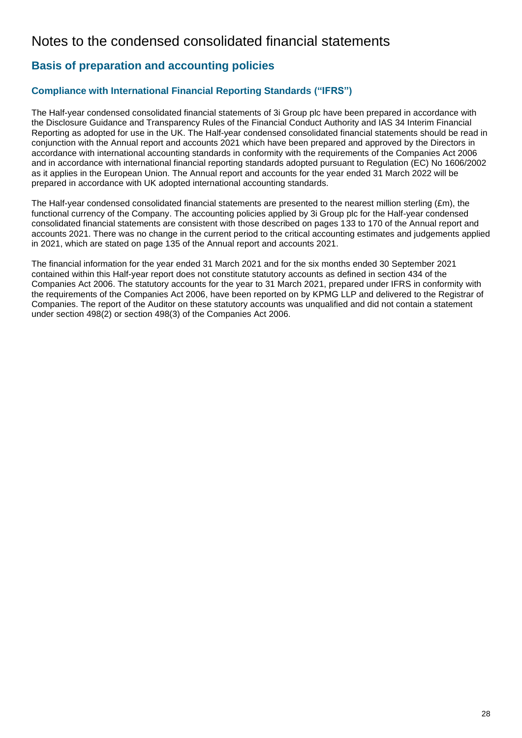## Notes to the condensed consolidated financial statements

## **Basis of preparation and accounting policies**

## **Compliance with International Financial Reporting Standards ("IFRS")**

The Half-year condensed consolidated financial statements of 3i Group plc have been prepared in accordance with the Disclosure Guidance and Transparency Rules of the Financial Conduct Authority and IAS 34 Interim Financial Reporting as adopted for use in the UK. The Half-year condensed consolidated financial statements should be read in conjunction with the Annual report and accounts 2021 which have been prepared and approved by the Directors in accordance with international accounting standards in conformity with the requirements of the Companies Act 2006 and in accordance with international financial reporting standards adopted pursuant to Regulation (EC) No 1606/2002 as it applies in the European Union. The Annual report and accounts for the year ended 31 March 2022 will be prepared in accordance with UK adopted international accounting standards.

The Half-year condensed consolidated financial statements are presented to the nearest million sterling  $(Em)$ , the functional currency of the Company. The accounting policies applied by 3i Group plc for the Half-year condensed consolidated financial statements are consistent with those described on pages 133 to 170 of the Annual report and accounts 2021. There was no change in the current period to the critical accounting estimates and judgements applied in 2021, which are stated on page 135 of the Annual report and accounts 2021.

The financial information for the year ended 31 March 2021 and for the six months ended 30 September 2021 contained within this Half-year report does not constitute statutory accounts as defined in section 434 of the Companies Act 2006. The statutory accounts for the year to 31 March 2021, prepared under IFRS in conformity with the requirements of the Companies Act 2006, have been reported on by KPMG LLP and delivered to the Registrar of Companies. The report of the Auditor on these statutory accounts was unqualified and did not contain a statement under section 498(2) or section 498(3) of the Companies Act 2006.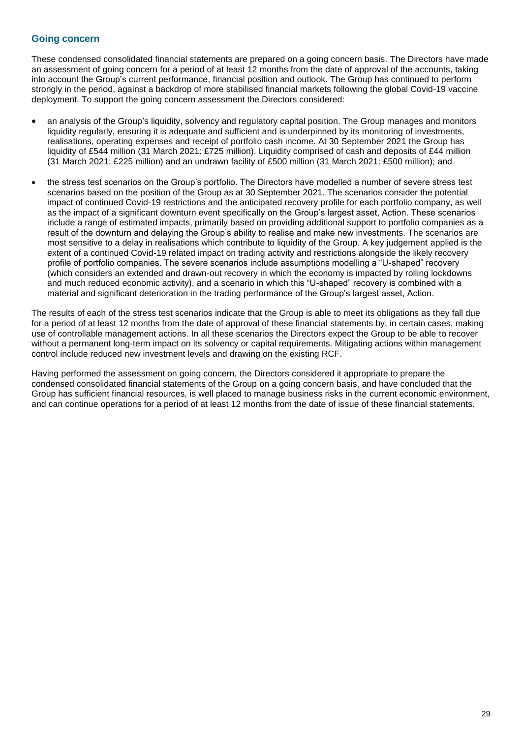### **Going concern**

These condensed consolidated financial statements are prepared on a going concern basis. The Directors have made an assessment of going concern for a period of at least 12 months from the date of approval of the accounts, taking into account the Group's current performance, financial position and outlook. The Group has continued to perform strongly in the period, against a backdrop of more stabilised financial markets following the global Covid-19 vaccine deployment. To support the going concern assessment the Directors considered:

- an analysis of the Group's liquidity, solvency and regulatory capital position. The Group manages and monitors liquidity regularly, ensuring it is adequate and sufficient and is underpinned by its monitoring of investments, realisations, operating expenses and receipt of portfolio cash income. At 30 September 2021 the Group has liquidity of £544 million (31 March 2021: £725 million). Liquidity comprised of cash and deposits of £44 million (31 March 2021: £225 million) and an undrawn facility of £500 million (31 March 2021: £500 million); and
- the stress test scenarios on the Group's portfolio. The Directors have modelled a number of severe stress test scenarios based on the position of the Group as at 30 September 2021. The scenarios consider the potential impact of continued Covid-19 restrictions and the anticipated recovery profile for each portfolio company, as well as the impact of a significant downturn event specifically on the Group's largest asset, Action. These scenarios include a range of estimated impacts, primarily based on providing additional support to portfolio companies as a result of the downturn and delaying the Group's ability to realise and make new investments. The scenarios are most sensitive to a delay in realisations which contribute to liquidity of the Group. A key judgement applied is the extent of a continued Covid-19 related impact on trading activity and restrictions alongside the likely recovery profile of portfolio companies. The severe scenarios include assumptions modelling a "U-shaped" recovery (which considers an extended and drawn-out recovery in which the economy is impacted by rolling lockdowns and much reduced economic activity), and a scenario in which this "U-shaped" recovery is combined with a material and significant deterioration in the trading performance of the Group's largest asset, Action.

The results of each of the stress test scenarios indicate that the Group is able to meet its obligations as they fall due for a period of at least 12 months from the date of approval of these financial statements by, in certain cases, making use of controllable management actions. In all these scenarios the Directors expect the Group to be able to recover without a permanent long-term impact on its solvency or capital requirements. Mitigating actions within management control include reduced new investment levels and drawing on the existing RCF.

Having performed the assessment on going concern, the Directors considered it appropriate to prepare the condensed consolidated financial statements of the Group on a going concern basis, and have concluded that the Group has sufficient financial resources, is well placed to manage business risks in the current economic environment, and can continue operations for a period of at least 12 months from the date of issue of these financial statements.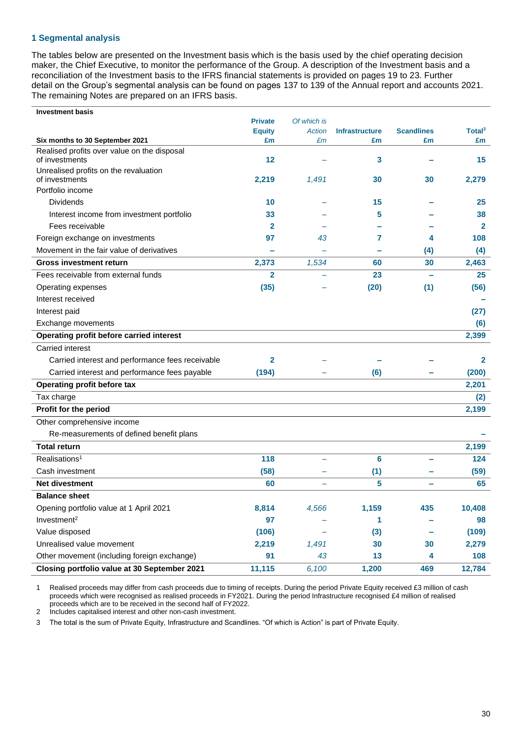### **1 Segmental analysis**

The tables below are presented on the Investment basis which is the basis used by the chief operating decision maker, the Chief Executive, to monitor the performance of the Group. A description of the Investment basis and a reconciliation of the Investment basis to the IFRS financial statements is provided on pages 19 to 23. Further detail on the Group's segmental analysis can be found on pages 137 to 139 of the Annual report and accounts 2021. The remaining Notes are prepared on an IFRS basis.

| <b>Investment basis</b>                          |                     |                                 |                             |                          |                          |
|--------------------------------------------------|---------------------|---------------------------------|-----------------------------|--------------------------|--------------------------|
|                                                  | <b>Private</b>      | Of which is                     |                             | <b>Scandlines</b>        |                          |
| Six months to 30 September 2021                  | <b>Equity</b><br>£m | <b>Action</b><br>E <sub>m</sub> | <b>Infrastructure</b><br>£m | £m                       | Total <sup>3</sup><br>£m |
| Realised profits over value on the disposal      |                     |                                 |                             |                          |                          |
| of investments                                   | 12                  |                                 | 3                           |                          | 15                       |
| Unrealised profits on the revaluation            |                     |                                 |                             |                          |                          |
| of investments<br>Portfolio income               | 2,219               | 1,491                           | 30                          | 30                       | 2,279                    |
| <b>Dividends</b>                                 |                     |                                 |                             |                          |                          |
|                                                  | 10                  |                                 | 15                          |                          | 25                       |
| Interest income from investment portfolio        | 33                  |                                 | 5                           |                          | 38                       |
| Fees receivable                                  | 2                   |                                 |                             |                          | $\mathbf{2}$             |
| Foreign exchange on investments                  | 97                  | 43                              | 7                           | 4                        | 108                      |
| Movement in the fair value of derivatives        |                     |                                 |                             | (4)                      | (4)                      |
| <b>Gross investment return</b>                   | 2,373               | 1,534                           | 60                          | 30                       | 2,463                    |
| Fees receivable from external funds              | $\overline{2}$      | $\overline{\phantom{0}}$        | 23                          | $\overline{\phantom{0}}$ | 25                       |
| Operating expenses                               | (35)                |                                 | (20)                        | (1)                      | (56)                     |
| Interest received                                |                     |                                 |                             |                          |                          |
| Interest paid                                    |                     |                                 |                             |                          | (27)                     |
| Exchange movements                               |                     |                                 |                             |                          | (6)                      |
| Operating profit before carried interest         |                     |                                 |                             |                          | 2,399                    |
| Carried interest                                 |                     |                                 |                             |                          |                          |
| Carried interest and performance fees receivable | 2                   |                                 |                             |                          | $\mathbf{2}$             |
| Carried interest and performance fees payable    | (194)               |                                 | (6)                         |                          | (200)                    |
| Operating profit before tax                      |                     |                                 |                             |                          | 2,201                    |
| Tax charge                                       |                     |                                 |                             |                          | (2)                      |
| Profit for the period                            |                     |                                 |                             |                          | 2,199                    |
| Other comprehensive income                       |                     |                                 |                             |                          |                          |
| Re-measurements of defined benefit plans         |                     |                                 |                             |                          |                          |
| <b>Total return</b>                              |                     |                                 |                             |                          | 2,199                    |
| Realisations <sup>1</sup>                        | 118                 |                                 | 6                           |                          | 124                      |
| Cash investment                                  | (58)                |                                 | (1)                         |                          | (59)                     |
| Net divestment                                   | 60                  |                                 | 5                           |                          | 65                       |
| <b>Balance sheet</b>                             |                     |                                 |                             |                          |                          |
| Opening portfolio value at 1 April 2021          | 8,814               | 4,566                           | 1,159                       | 435                      | 10,408                   |
| Investment <sup>2</sup>                          | 97                  |                                 | 1                           |                          | 98                       |
| Value disposed                                   | (106)               |                                 | (3)                         |                          | (109)                    |
| Unrealised value movement                        | 2,219               | 1,491                           | 30                          | 30                       | 2,279                    |
| Other movement (including foreign exchange)      | 91                  | 43                              | 13                          | 4                        | 108                      |
| Closing portfolio value at 30 September 2021     | 11,115              | 6,100                           | 1,200                       | 469                      | 12,784                   |

1 Realised proceeds may differ from cash proceeds due to timing of receipts. During the period Private Equity received £3 million of cash proceeds which were recognised as realised proceeds in FY2021. During the period Infrastructure recognised £4 million of realised proceeds which are to be received in the second half of FY2022.

2 Includes capitalised interest and other non-cash investment.

3 The total is the sum of Private Equity, Infrastructure and Scandlines. "Of which is Action" is part of Private Equity.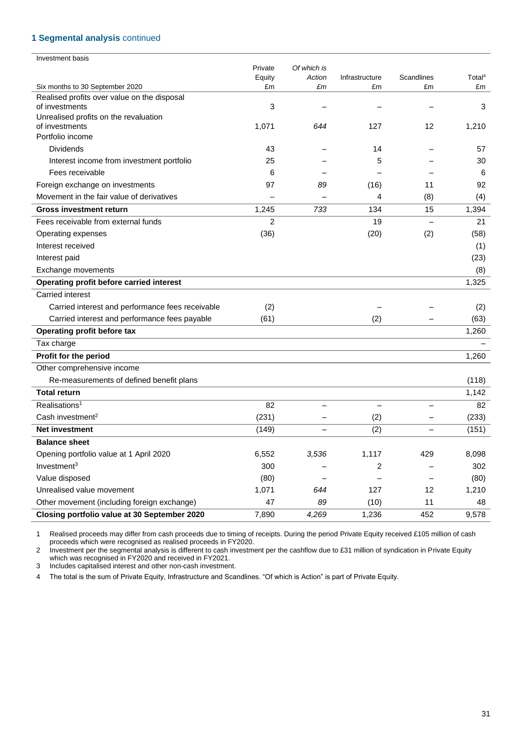### **1 Segmental analysis** continued

| Investment basis                                              |                |             |                |                          |                    |
|---------------------------------------------------------------|----------------|-------------|----------------|--------------------------|--------------------|
|                                                               | Private        | Of which is |                |                          |                    |
|                                                               | Equity         | Action      | Infrastructure | <b>Scandlines</b>        | Total <sup>4</sup> |
| Six months to 30 September 2020                               | £m             | £m          | £m             | £m                       | £m                 |
| Realised profits over value on the disposal<br>of investments | 3              |             |                |                          | 3                  |
| Unrealised profits on the revaluation                         |                |             |                |                          |                    |
| of investments                                                | 1,071          | 644         | 127            | 12                       | 1,210              |
| Portfolio income                                              |                |             |                |                          |                    |
| <b>Dividends</b>                                              | 43             |             | 14             |                          | 57                 |
| Interest income from investment portfolio                     | 25             |             | 5              |                          | 30                 |
| Fees receivable                                               | 6              |             |                |                          | 6                  |
| Foreign exchange on investments                               | 97             | 89          | (16)           | 11                       | 92                 |
| Movement in the fair value of derivatives                     |                |             | 4              | (8)                      | (4)                |
| <b>Gross investment return</b>                                | 1,245          | 733         | 134            | 15                       | 1,394              |
| Fees receivable from external funds                           | $\overline{c}$ |             | 19             |                          | 21                 |
| Operating expenses                                            | (36)           |             | (20)           | (2)                      | (58)               |
| Interest received                                             |                |             |                |                          | (1)                |
| Interest paid                                                 |                |             |                |                          | (23)               |
| Exchange movements                                            |                |             |                |                          | (8)                |
| Operating profit before carried interest                      |                |             |                |                          | 1,325              |
| Carried interest                                              |                |             |                |                          |                    |
| Carried interest and performance fees receivable              | (2)            |             |                |                          | (2)                |
| Carried interest and performance fees payable                 | (61)           |             | (2)            |                          | (63)               |
| Operating profit before tax                                   |                |             |                |                          | 1,260              |
| Tax charge                                                    |                |             |                |                          |                    |
| Profit for the period                                         |                |             |                |                          | 1,260              |
| Other comprehensive income                                    |                |             |                |                          |                    |
| Re-measurements of defined benefit plans                      |                |             |                |                          | (118)              |
| <b>Total return</b>                                           |                |             |                |                          | 1,142              |
| Realisations <sup>1</sup>                                     | 82             |             |                |                          | 82                 |
| Cash investment <sup>2</sup>                                  | (231)          |             | (2)            |                          | (233)              |
| <b>Net investment</b>                                         | (149)          |             | (2)            | $\overline{\phantom{0}}$ | (151)              |
| <b>Balance sheet</b>                                          |                |             |                |                          |                    |
| Opening portfolio value at 1 April 2020                       | 6,552          | 3,536       | 1,117          | 429                      | 8,098              |
| Investment <sup>3</sup>                                       | 300            |             | 2              |                          | 302                |
| Value disposed                                                | (80)           |             |                |                          | (80)               |
| Unrealised value movement                                     | 1,071          | 644         | 127            | 12                       | 1,210              |
| Other movement (including foreign exchange)                   | 47             | 89          | (10)           | 11                       | 48                 |
| Closing portfolio value at 30 September 2020                  | 7,890          | 4,269       | 1,236          | 452                      | 9,578              |

1 Realised proceeds may differ from cash proceeds due to timing of receipts. During the period Private Equity received £105 million of cash proceeds which were recognised as realised proceeds in FY2020.

2 Investment per the segmental analysis is different to cash investment per the cashflow due to £31 million of syndication in Private Equity which was recognised in FY2020 and received in FY2021.

3 Includes capitalised interest and other non-cash investment.

4 The total is the sum of Private Equity, Infrastructure and Scandlines. "Of which is Action" is part of Private Equity.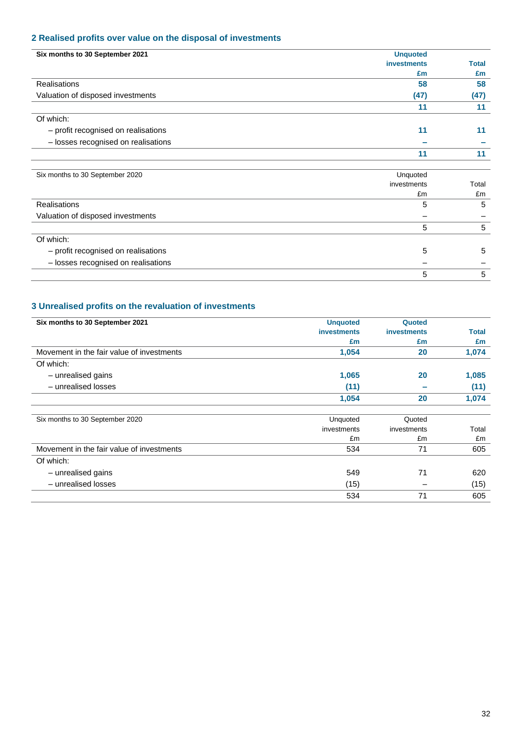### **2 Realised profits over value on the disposal of investments**

| Six months to 30 September 2021     | <b>Unquoted</b>    |              |
|-------------------------------------|--------------------|--------------|
|                                     | <b>investments</b> | <b>Total</b> |
|                                     | £m                 | £m           |
| Realisations                        | 58                 | 58           |
| Valuation of disposed investments   | (47)               | (47)         |
|                                     | 11                 | 11           |
| Of which:                           |                    |              |
| - profit recognised on realisations | 11                 | 11           |
| - losses recognised on realisations |                    |              |
|                                     | 11                 | 11           |
| Six months to 30 September 2020     | Unquoted           |              |
|                                     | investments        | Total        |
|                                     | £m                 | £m           |
| Realisations                        | 5                  | 5            |
| Valuation of disposed investments   |                    |              |
|                                     | 5                  | 5            |
| $\bigcap f$ which:                  |                    |              |

| Of which:                           |  |
|-------------------------------------|--|
| - profit recognised on realisations |  |
| - losses recognised on realisations |  |
|                                     |  |

## **3 Unrealised profits on the revaluation of investments**

| Six months to 30 September 2021           | <b>Unquoted</b>    | Quoted             |       |
|-------------------------------------------|--------------------|--------------------|-------|
|                                           | <b>investments</b> | <b>investments</b> | Total |
|                                           | £m                 | £m                 | £m    |
| Movement in the fair value of investments | 1,054              | 20                 | 1,074 |
| Of which:                                 |                    |                    |       |
| - unrealised gains                        | 1,065              | 20                 | 1,085 |
| - unrealised losses                       | (11)               |                    | (11)  |
|                                           | 1,054              | 20                 | 1,074 |
| Six months to 30 September 2020           | Unquoted           | Quoted             |       |
|                                           | investments        | investments        | Total |
|                                           | £m                 | £m                 | £m    |
| Movement in the fair value of investments | 534                | 71                 | 605   |
| Of which:                                 |                    |                    |       |
| - unrealised gains                        | 549                | 71                 | 620   |
| - unrealised losses                       | (15)               |                    | (15)  |
|                                           | 534                | 71                 | 605   |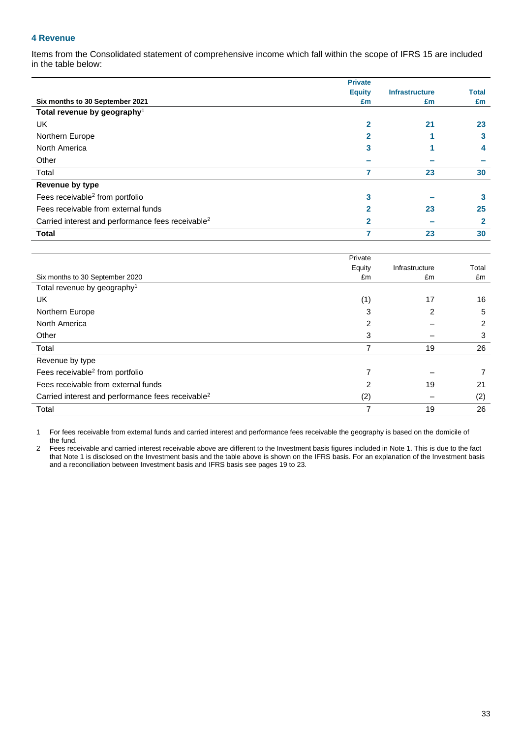### **4 Revenue**

Items from the Consolidated statement of comprehensive income which fall within the scope of IFRS 15 are included in the table below:

|                                                               | <b>Private</b> |                       |              |
|---------------------------------------------------------------|----------------|-----------------------|--------------|
|                                                               | <b>Equity</b>  | <b>Infrastructure</b> | <b>Total</b> |
| Six months to 30 September 2021                               | £m             | £m                    | £m           |
| Total revenue by geography <sup>1</sup>                       |                |                       |              |
| <b>UK</b>                                                     | $\overline{2}$ | 21                    | 23           |
| Northern Europe                                               | $\mathbf{2}$   |                       | 3            |
| North America                                                 | 3              |                       | 4            |
| Other                                                         |                |                       |              |
| Total                                                         | 7              | 23                    | 30           |
| Revenue by type                                               |                |                       |              |
| Fees receivable <sup>2</sup> from portfolio                   | 3              |                       | 3            |
| Fees receivable from external funds                           | 2              | 23                    | 25           |
| Carried interest and performance fees receivable <sup>2</sup> | $\mathbf{2}$   |                       | $\mathbf{2}$ |
| <b>Total</b>                                                  |                | 23                    | 30           |

|                                                               | Private |                |       |
|---------------------------------------------------------------|---------|----------------|-------|
|                                                               | Equity  | Infrastructure | Total |
| Six months to 30 September 2020                               | £m      | £m             | £m    |
| Total revenue by geography <sup>1</sup>                       |         |                |       |
| UK                                                            | (1)     | 17             | 16    |
| Northern Europe                                               | 3       | $\mathcal{P}$  | 5     |
| North America                                                 | 2       |                | 2     |
| Other                                                         | 3       |                | 3     |
| Total                                                         | 7       | 19             | 26    |
| Revenue by type                                               |         |                |       |
| Fees receivable <sup>2</sup> from portfolio                   | 7       |                |       |
| Fees receivable from external funds                           | 2       | 19             | 21    |
| Carried interest and performance fees receivable <sup>2</sup> | (2)     |                | (2)   |
| Total                                                         | 7       | 19             | 26    |

1 For fees receivable from external funds and carried interest and performance fees receivable the geography is based on the domicile of the fund.

2 Fees receivable and carried interest receivable above are different to the Investment basis figures included in Note 1. This is due to the fact that Note 1 is disclosed on the Investment basis and the table above is shown on the IFRS basis. For an explanation of the Investment basis that Note 1 is disclosed on the Investment basis and the table above is shown on t and a reconciliation between Investment basis and IFRS basis see pages 19 to 23.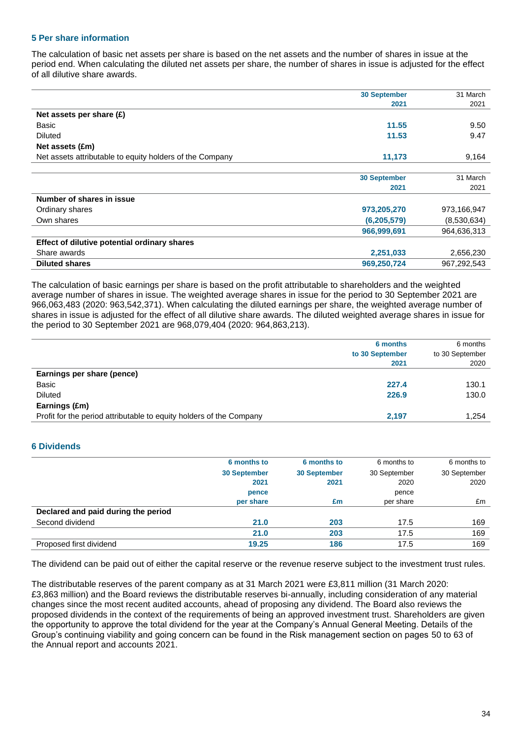### **5 Per share information**

The calculation of basic net assets per share is based on the net assets and the number of shares in issue at the period end. When calculating the diluted net assets per share, the number of shares in issue is adjusted for the effect of all dilutive share awards.

|                                                          | <b>30 September</b> | 31 March    |
|----------------------------------------------------------|---------------------|-------------|
|                                                          | 2021                | 2021        |
| Net assets per share $(E)$                               |                     |             |
| Basic                                                    | 11.55               | 9.50        |
| <b>Diluted</b>                                           | 11.53               | 9.47        |
| Net assets (£m)                                          |                     |             |
| Net assets attributable to equity holders of the Company | 11,173              | 9,164       |
|                                                          | <b>30 September</b> | 31 March    |
|                                                          | 2021                | 2021        |
| Number of shares in issue                                |                     |             |
| Ordinary shares                                          | 973,205,270         | 973,166,947 |
| Own shares                                               | (6, 205, 579)       | (8,530,634) |
|                                                          | 966,999,691         | 964,636,313 |
| Effect of dilutive potential ordinary shares             |                     |             |
| Share awards                                             | 2,251,033           | 2,656,230   |
| <b>Diluted shares</b>                                    | 969,250,724         | 967,292,543 |

The calculation of basic earnings per share is based on the profit attributable to shareholders and the weighted average number of shares in issue. The weighted average shares in issue for the period to 30 September 2021 are 966,063,483 (2020: 963,542,371). When calculating the diluted earnings per share, the weighted average number of shares in issue is adjusted for the effect of all dilutive share awards. The diluted weighted average shares in issue for the period to 30 September 2021 are 968,079,404 (2020: 964,863,213).

| 6 months        | 6 months        |
|-----------------|-----------------|
| to 30 September | to 30 September |
| 2021            | 2020            |
|                 |                 |
| 227.4           | 130.1           |
| 226.9           | 130.0           |
|                 |                 |
| 2.197           | 1.254           |
|                 |                 |

### **6 Dividends**

|                                     | 6 months to         | 6 months to         | 6 months to  | 6 months to  |
|-------------------------------------|---------------------|---------------------|--------------|--------------|
|                                     | <b>30 September</b> | <b>30 September</b> | 30 September | 30 September |
|                                     | 2021                | 2021                | 2020         | 2020         |
|                                     | pence               |                     | pence        |              |
|                                     | per share           | £m                  | per share    | £m           |
| Declared and paid during the period |                     |                     |              |              |
| Second dividend                     | 21.0                | 203                 | 17.5         | 169          |
|                                     | 21.0                | 203                 | 17.5         | 169          |
| Proposed first dividend             | 19.25               | 186                 | 17.5         | 169          |

The dividend can be paid out of either the capital reserve or the revenue reserve subject to the investment trust rules.

The distributable reserves of the parent company as at 31 March 2021 were £3,811 million (31 March 2020: £3,863 million) and the Board reviews the distributable reserves bi-annually, including consideration of any material changes since the most recent audited accounts, ahead of proposing any dividend. The Board also reviews the proposed dividends in the context of the requirements of being an approved investment trust. Shareholders are given the opportunity to approve the total dividend for the year at the Company's Annual General Meeting. Details of the Group's continuing viability and going concern can be found in the Risk management section on pages 50 to 63 of the Annual report and accounts 2021.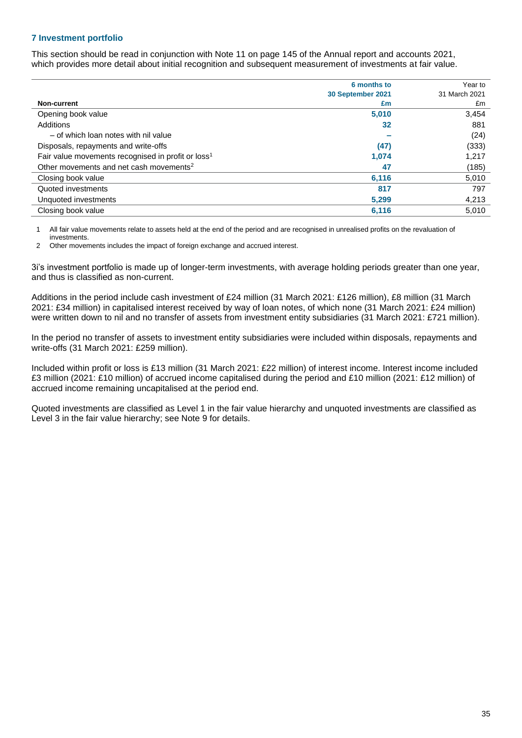### **7 Investment portfolio**

This section should be read in conjunction with Note 11 on page 145 of the Annual report and accounts 2021, which provides more detail about initial recognition and subsequent measurement of investments at fair value.

|                                                                | 6 months to       | Year to       |
|----------------------------------------------------------------|-------------------|---------------|
|                                                                | 30 September 2021 | 31 March 2021 |
| Non-current                                                    | £m                | £m            |
| Opening book value                                             | 5,010             | 3,454         |
| Additions                                                      | 32                | 881           |
| - of which loan notes with nil value                           |                   | (24)          |
| Disposals, repayments and write-offs                           | (47)              | (333)         |
| Fair value movements recognised in profit or loss <sup>1</sup> | 1,074             | 1,217         |
| Other movements and net cash movements <sup>2</sup>            | 47                | (185)         |
| Closing book value                                             | 6,116             | 5,010         |
| Quoted investments                                             | 817               | 797           |
| Unquoted investments                                           | 5,299             | 4,213         |
| Closing book value                                             | 6,116             | 5,010         |

1 All fair value movements relate to assets held at the end of the period and are recognised in unrealised profits on the revaluation of investments.

2 Other movements includes the impact of foreign exchange and accrued interest.

3i's investment portfolio is made up of longer-term investments, with average holding periods greater than one year, and thus is classified as non-current.

Additions in the period include cash investment of £24 million (31 March 2021: £126 million), £8 million (31 March 2021: £34 million) in capitalised interest received by way of loan notes, of which none (31 March 2021: £24 million) were written down to nil and no transfer of assets from investment entity subsidiaries (31 March 2021: £721 million).

In the period no transfer of assets to investment entity subsidiaries were included within disposals, repayments and write-offs (31 March 2021: £259 million).

Included within profit or loss is £13 million (31 March 2021: £22 million) of interest income. Interest income included £3 million (2021: £10 million) of accrued income capitalised during the period and £10 million (2021: £12 million) of accrued income remaining uncapitalised at the period end.

Quoted investments are classified as Level 1 in the fair value hierarchy and unquoted investments are classified as Level 3 in the fair value hierarchy; see Note 9 for details.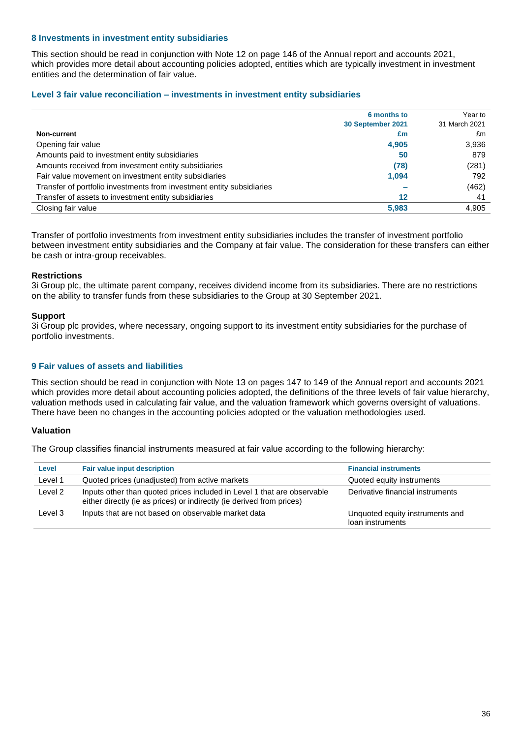### **8 Investments in investment entity subsidiaries**

This section should be read in conjunction with Note 12 on page 146 of the Annual report and accounts 2021, which provides more detail about accounting policies adopted, entities which are typically investment in investment entities and the determination of fair value.

### **Level 3 fair value reconciliation – investments in investment entity subsidiaries**

|                                                                       | 6 months to       | Year to       |
|-----------------------------------------------------------------------|-------------------|---------------|
|                                                                       | 30 September 2021 | 31 March 2021 |
| <b>Non-current</b>                                                    | £m                | £m            |
| Opening fair value                                                    | 4,905             | 3,936         |
| Amounts paid to investment entity subsidiaries                        | 50                | 879           |
| Amounts received from investment entity subsidiaries                  | (78)              | (281)         |
| Fair value movement on investment entity subsidiaries                 | 1,094             | 792           |
| Transfer of portfolio investments from investment entity subsidiaries |                   | (462)         |
| Transfer of assets to investment entity subsidiaries                  | 12                | 41            |
| Closing fair value                                                    | 5.983             | 4.905         |

Transfer of portfolio investments from investment entity subsidiaries includes the transfer of investment portfolio between investment entity subsidiaries and the Company at fair value. The consideration for these transfers can either be cash or intra-group receivables.

### **Restrictions**

3i Group plc, the ultimate parent company, receives dividend income from its subsidiaries. There are no restrictions on the ability to transfer funds from these subsidiaries to the Group at 30 September 2021.

### **Support**

3i Group plc provides, where necessary, ongoing support to its investment entity subsidiaries for the purchase of portfolio investments.

### **9 Fair values of assets and liabilities**

This section should be read in conjunction with Note 13 on pages 147 to 149 of the Annual report and accounts 2021 which provides more detail about accounting policies adopted, the definitions of the three levels of fair value hierarchy, valuation methods used in calculating fair value, and the valuation framework which governs oversight of valuations. There have been no changes in the accounting policies adopted or the valuation methodologies used.

### **Valuation**

The Group classifies financial instruments measured at fair value according to the following hierarchy:

| Level   | <b>Fair value input description</b>                                                                                                              | <b>Financial instruments</b>                        |
|---------|--------------------------------------------------------------------------------------------------------------------------------------------------|-----------------------------------------------------|
| Level 1 | Quoted prices (unadjusted) from active markets                                                                                                   | Quoted equity instruments                           |
| Level 2 | Inputs other than quoted prices included in Level 1 that are observable<br>either directly (ie as prices) or indirectly (ie derived from prices) | Derivative financial instruments                    |
| Level 3 | Inputs that are not based on observable market data                                                                                              | Unquoted equity instruments and<br>loan instruments |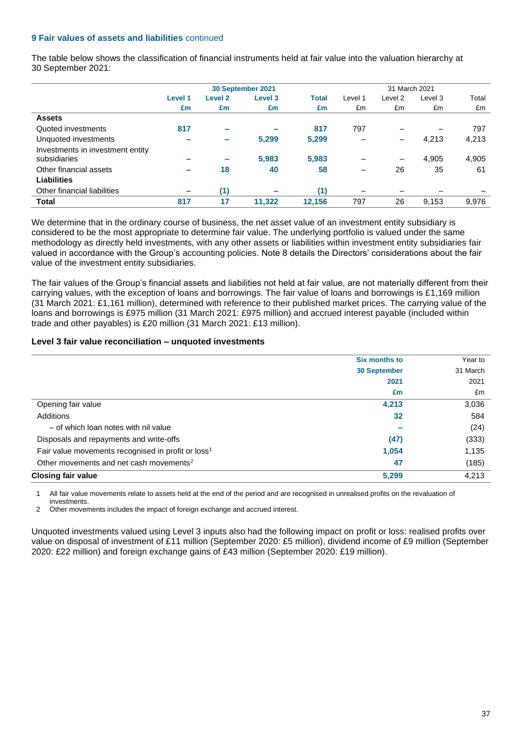### **9 Fair values of assets and liabilities** continued

The table below shows the classification of financial instruments held at fair value into the valuation hierarchy at 30 September 2021:

|                                  |                          |                          | 30 September 2021  |              |         | 31 March 2021 |         |       |
|----------------------------------|--------------------------|--------------------------|--------------------|--------------|---------|---------------|---------|-------|
|                                  | Level 1                  | <b>Level 2</b>           | Level <sub>3</sub> | <b>Total</b> | Level 1 | Level 2       | Level 3 | Total |
|                                  | £m                       | £m                       | £m                 | £m           | £m      | £m            | £m      | £m    |
| <b>Assets</b>                    |                          |                          |                    |              |         |               |         |       |
| Quoted investments               | 817                      | $\sim$                   |                    | 817          | 797     |               |         | 797   |
| Unquoted investments             |                          | $\overline{\phantom{a}}$ | 5,299              | 5,299        |         | -             | 4,213   | 4,213 |
| Investments in investment entity |                          |                          |                    |              |         |               |         |       |
| subsidiaries                     | -                        | $\overline{\phantom{a}}$ | 5,983              | 5,983        |         | —             | 4,905   | 4,905 |
| Other financial assets           | $\overline{\phantom{a}}$ | 18                       | 40                 | 58           |         | 26            | 35      | 61    |
| <b>Liabilities</b>               |                          |                          |                    |              |         |               |         |       |
| Other financial liabilities      | $\overline{\phantom{a}}$ | (1)                      |                    | (1)          |         |               |         |       |
| <b>Total</b>                     | 817                      | 17                       | 11,322             | 12,156       | 797     | 26            | 9,153   | 9,976 |

We determine that in the ordinary course of business, the net asset value of an investment entity subsidiary is considered to be the most appropriate to determine fair value. The underlying portfolio is valued under the same methodology as directly held investments, with any other assets or liabilities within investment entity subsidiaries fair valued in accordance with the Group's accounting policies. Note 8 details the Directors' considerations about the fair value of the investment entity subsidiaries.

The fair values of the Group's financial assets and liabilities not held at fair value, are not materially different from their carrying values, with the exception of loans and borrowings. The fair value of loans and borrowings is £1,169 million (31 March 2021: £1,161 million), determined with reference to their published market prices. The carrying value of the loans and borrowings is £975 million (31 March 2021: £975 million) and accrued interest payable (included within trade and other payables) is £20 million (31 March 2021: £13 million).

### **Level 3 fair value reconciliation – unquoted investments**

|                                                                | Six months to       | Year to  |
|----------------------------------------------------------------|---------------------|----------|
|                                                                | <b>30 September</b> | 31 March |
|                                                                | 2021                | 2021     |
|                                                                | £m                  | £m       |
| Opening fair value                                             | 4,213               | 3,036    |
| Additions                                                      | 32                  | 584      |
| - of which loan notes with nil value                           |                     | (24)     |
| Disposals and repayments and write-offs                        | (47)                | (333)    |
| Fair value movements recognised in profit or loss <sup>1</sup> | 1,054               | 1,135    |
| Other movements and net cash movements <sup>2</sup>            | 47                  | (185)    |
| <b>Closing fair value</b>                                      | 5,299               | 4,213    |

1 All fair value movements relate to assets held at the end of the period and are recognised in unrealised profits on the revaluation of investments.

2 Other movements includes the impact of foreign exchange and accrued interest.

Unquoted investments valued using Level 3 inputs also had the following impact on profit or loss: realised profits over value on disposal of investment of £11 million (September 2020: £5 million), dividend income of £9 million (September 2020: £22 million) and foreign exchange gains of £43 million (September 2020: £19 million).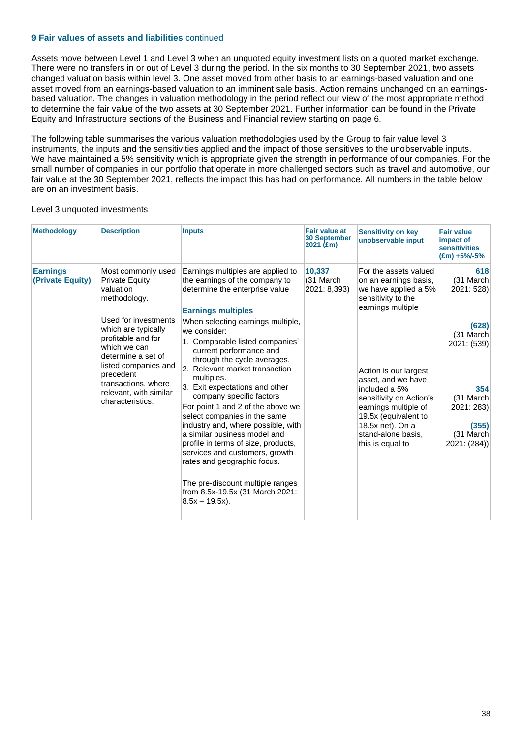### **9 Fair values of assets and liabilities** continued

Assets move between Level 1 and Level 3 when an unquoted equity investment lists on a quoted market exchange. There were no transfers in or out of Level 3 during the period. In the six months to 30 September 2021, two assets changed valuation basis within level 3. One asset moved from other basis to an earnings-based valuation and one asset moved from an earnings-based valuation to an imminent sale basis. Action remains unchanged on an earningsbased valuation. The changes in valuation methodology in the period reflect our view of the most appropriate method to determine the fair value of the two assets at 30 September 2021. Further information can be found in the Private Equity and Infrastructure sections of the Business and Financial review starting on page 6.

The following table summarises the various valuation methodologies used by the Group to fair value level 3 instruments, the inputs and the sensitivities applied and the impact of those sensitives to the unobservable inputs. We have maintained a 5% sensitivity which is appropriate given the strength in performance of our companies. For the small number of companies in our portfolio that operate in more challenged sectors such as travel and automotive, our fair value at the 30 September 2021, reflects the impact this has had on performance. All numbers in the table below are on an investment basis.

### Level 3 unquoted investments

| <b>Methodology</b>                  | <b>Description</b>                                                                                                                                                                                                | <b>Inputs</b>                                                                                                                                                                                                                                                                                                                                                                                                                                                                                                                                                                                               | <b>Fair value at</b><br><b>30 September</b><br>$2021$ (£m) | <b>Sensitivity on key</b><br>unobservable input                                                                                                                                                       | <b>Fair value</b><br>impact of<br><b>sensitivities</b><br>$E(m) + 5\% - 5\%$                              |
|-------------------------------------|-------------------------------------------------------------------------------------------------------------------------------------------------------------------------------------------------------------------|-------------------------------------------------------------------------------------------------------------------------------------------------------------------------------------------------------------------------------------------------------------------------------------------------------------------------------------------------------------------------------------------------------------------------------------------------------------------------------------------------------------------------------------------------------------------------------------------------------------|------------------------------------------------------------|-------------------------------------------------------------------------------------------------------------------------------------------------------------------------------------------------------|-----------------------------------------------------------------------------------------------------------|
| <b>Earnings</b><br>(Private Equity) | Most commonly used<br><b>Private Equity</b><br>valuation<br>methodology.                                                                                                                                          | Earnings multiples are applied to<br>the earnings of the company to<br>determine the enterprise value<br><b>Earnings multiples</b>                                                                                                                                                                                                                                                                                                                                                                                                                                                                          | 10,337<br>(31 March<br>2021: 8,393)                        | For the assets valued<br>on an earnings basis,<br>we have applied a 5%<br>sensitivity to the<br>earnings multiple                                                                                     | 618<br>(31 March<br>2021: 528)                                                                            |
|                                     | Used for investments<br>which are typically<br>profitable and for<br>which we can<br>determine a set of<br>listed companies and<br>precedent<br>transactions, where<br>relevant, with similar<br>characteristics. | When selecting earnings multiple,<br>we consider:<br>1. Comparable listed companies'<br>current performance and<br>through the cycle averages.<br>2. Relevant market transaction<br>multiples.<br>3. Exit expectations and other<br>company specific factors<br>For point 1 and 2 of the above we<br>select companies in the same<br>industry and, where possible, with<br>a similar business model and<br>profile in terms of size, products,<br>services and customers, growth<br>rates and geographic focus.<br>The pre-discount multiple ranges<br>from 8.5x-19.5x (31 March 2021:<br>$8.5x - 19.5x$ ). |                                                            | Action is our largest<br>asset, and we have<br>included a 5%<br>sensitivity on Action's<br>earnings multiple of<br>19.5x (equivalent to<br>18.5x net). On a<br>stand-alone basis.<br>this is equal to | (628)<br>(31 March<br>2021: (539)<br>354<br>(31 March<br>2021: 283)<br>(355)<br>(31 March<br>2021: (284)) |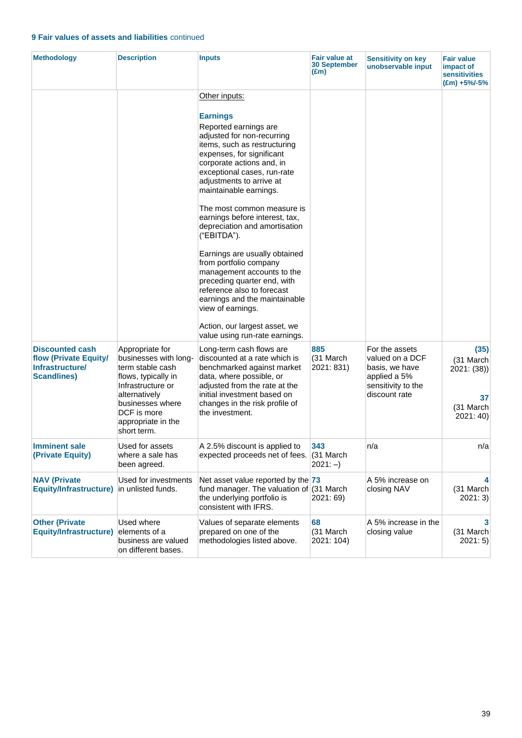### **9 Fair values of assets and liabilities** continued

| <b>Methodology</b>                                                                              | <b>Description</b>                                                                                                                                                                                | <b>Inputs</b>                                                                                                                                                                                                                                                                                                                                                                                                                                                                                                                                                                                                                                                         | Fair value at<br><b>30 September</b><br>$(\text{Em})$ | <b>Sensitivity on key</b><br>unobservable input                                                            | <b>Fair value</b><br>impact of<br><b>sensitivities</b><br>$(\text{Em}) + 5\% - 5\%$ |
|-------------------------------------------------------------------------------------------------|---------------------------------------------------------------------------------------------------------------------------------------------------------------------------------------------------|-----------------------------------------------------------------------------------------------------------------------------------------------------------------------------------------------------------------------------------------------------------------------------------------------------------------------------------------------------------------------------------------------------------------------------------------------------------------------------------------------------------------------------------------------------------------------------------------------------------------------------------------------------------------------|-------------------------------------------------------|------------------------------------------------------------------------------------------------------------|-------------------------------------------------------------------------------------|
|                                                                                                 |                                                                                                                                                                                                   | Other inputs:<br><b>Earnings</b><br>Reported earnings are<br>adjusted for non-recurring<br>items, such as restructuring<br>expenses, for significant<br>corporate actions and, in<br>exceptional cases, run-rate<br>adjustments to arrive at<br>maintainable earnings.<br>The most common measure is<br>earnings before interest, tax,<br>depreciation and amortisation<br>("EBITDA").<br>Earnings are usually obtained<br>from portfolio company<br>management accounts to the<br>preceding quarter end, with<br>reference also to forecast<br>earnings and the maintainable<br>view of earnings.<br>Action, our largest asset, we<br>value using run-rate earnings. |                                                       |                                                                                                            |                                                                                     |
| <b>Discounted cash</b><br>flow (Private Equity/<br><b>Infrastructure/</b><br><b>Scandlines)</b> | Appropriate for<br>businesses with long-<br>term stable cash<br>flows, typically in<br>Infrastructure or<br>alternatively<br>businesses where<br>DCF is more<br>appropriate in the<br>short term. | Long-term cash flows are<br>discounted at a rate which is<br>benchmarked against market<br>data, where possible, or<br>adjusted from the rate at the<br>initial investment based on<br>changes in the risk profile of<br>the investment.                                                                                                                                                                                                                                                                                                                                                                                                                              | 885<br>(31 March<br>2021: 831)                        | For the assets<br>valued on a DCF<br>basis, we have<br>applied a 5%<br>sensitivity to the<br>discount rate | (35)<br>(31 March<br>2021: (38)<br>37<br>(31 March<br>2021:40                       |
| <b>Imminent sale</b><br>(Private Equity)                                                        | Used for assets<br>where a sale has<br>been agreed.                                                                                                                                               | A 2.5% discount is applied to<br>expected proceeds net of fees.                                                                                                                                                                                                                                                                                                                                                                                                                                                                                                                                                                                                       | 343<br>(31 March<br>$2021:-)$                         | n/a                                                                                                        | n/a                                                                                 |
| <b>NAV (Private</b><br>Equity/Infrastructure) in unlisted funds.                                | Used for investments                                                                                                                                                                              | Net asset value reported by the $ 73 $<br>fund manager. The valuation of $(31$ March<br>the underlying portfolio is<br>consistent with IFRS.                                                                                                                                                                                                                                                                                                                                                                                                                                                                                                                          | 2021: 69)                                             | A 5% increase on<br>closing NAV                                                                            | 4<br>(31 March<br>2021:3)                                                           |
| <b>Other (Private</b><br><b>Equity/Infrastructure)</b>                                          | Used where<br>elements of a<br>business are valued<br>on different bases.                                                                                                                         | Values of separate elements<br>prepared on one of the<br>methodologies listed above.                                                                                                                                                                                                                                                                                                                                                                                                                                                                                                                                                                                  | 68<br>(31 March<br>2021: 104)                         | A 5% increase in the<br>closing value                                                                      | 3<br>(31 March<br>2021:5)                                                           |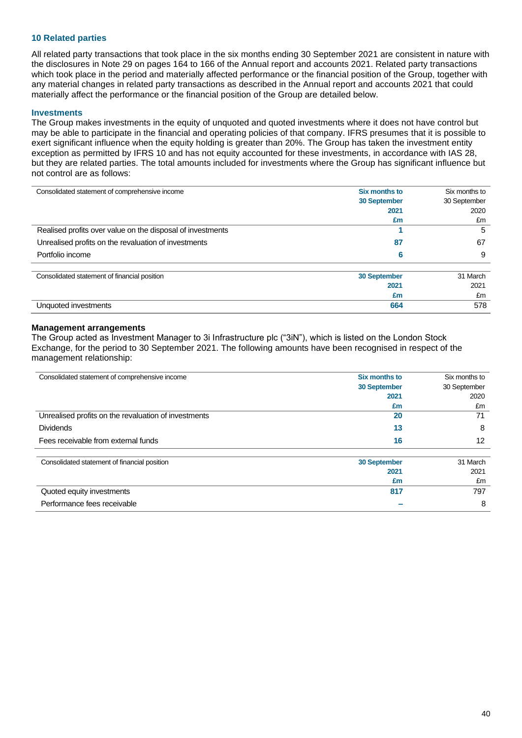### **10 Related parties**

All related party transactions that took place in the six months ending 30 September 2021 are consistent in nature with the disclosures in Note 29 on pages 164 to 166 of the Annual report and accounts 2021. Related party transactions which took place in the period and materially affected performance or the financial position of the Group, together with any material changes in related party transactions as described in the Annual report and accounts 2021 that could materially affect the performance or the financial position of the Group are detailed below.

### **Investments**

The Group makes investments in the equity of unquoted and quoted investments where it does not have control but may be able to participate in the financial and operating policies of that company. IFRS presumes that it is possible to exert significant influence when the equity holding is greater than 20%. The Group has taken the investment entity exception as permitted by IFRS 10 and has not equity accounted for these investments, in accordance with IAS 28, but they are related parties. The total amounts included for investments where the Group has significant influence but not control are as follows:

| Consolidated statement of comprehensive income             | Six months to       | Six months to |
|------------------------------------------------------------|---------------------|---------------|
|                                                            | 30 September        | 30 September  |
|                                                            | 2021                | 2020          |
|                                                            | £m                  | £m            |
| Realised profits over value on the disposal of investments |                     | 5             |
| Unrealised profits on the revaluation of investments       | 87                  | 67            |
| Portfolio income                                           | 6                   | 9             |
| Consolidated statement of financial position               | <b>30 September</b> | 31 March      |
|                                                            | 2021                | 2021          |
|                                                            | £m                  | £m            |
| Unquoted investments                                       | 664                 | 578           |

### **Management arrangements**

The Group acted as Investment Manager to 3i Infrastructure plc ("3iN"), which is listed on the London Stock Exchange, for the period to 30 September 2021. The following amounts have been recognised in respect of the management relationship:

| Consolidated statement of comprehensive income       | <b>Six months to</b> | Six months to |  |
|------------------------------------------------------|----------------------|---------------|--|
|                                                      | <b>30 September</b>  | 30 September  |  |
|                                                      | 2021                 | 2020          |  |
|                                                      | £m                   | £m            |  |
| Unrealised profits on the revaluation of investments | 20                   | 71            |  |
| <b>Dividends</b>                                     | 13                   | 8             |  |
| Fees receivable from external funds                  | 16                   | 12            |  |
| Consolidated statement of financial position         | 30 September         | 31 March      |  |
|                                                      | 2021                 | 2021          |  |
|                                                      | £m                   | £m            |  |
| Quoted equity investments                            | 817                  | 797           |  |

| Quoted equity investments   | 797 |
|-----------------------------|-----|
| Performance fees receivable |     |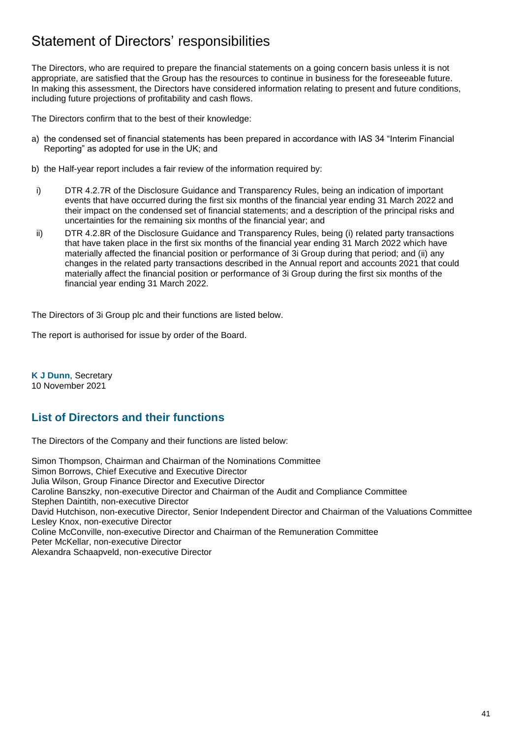## Statement of Directors' responsibilities

The Directors, who are required to prepare the financial statements on a going concern basis unless it is not appropriate, are satisfied that the Group has the resources to continue in business for the foreseeable future. In making this assessment, the Directors have considered information relating to present and future conditions, including future projections of profitability and cash flows.

The Directors confirm that to the best of their knowledge:

- a) the condensed set of financial statements has been prepared in accordance with IAS 34 "Interim Financial Reporting" as adopted for use in the UK; and
- b) the Half-year report includes a fair review of the information required by:
- i) DTR 4.2.7R of the Disclosure Guidance and Transparency Rules, being an indication of important events that have occurred during the first six months of the financial year ending 31 March 2022 and their impact on the condensed set of financial statements; and a description of the principal risks and uncertainties for the remaining six months of the financial year; and
- ii) DTR 4.2.8R of the Disclosure Guidance and Transparency Rules, being (i) related party transactions that have taken place in the first six months of the financial year ending 31 March 2022 which have materially affected the financial position or performance of 3i Group during that period; and (ii) any changes in the related party transactions described in the Annual report and accounts 2021 that could materially affect the financial position or performance of 3i Group during the first six months of the financial year ending 31 March 2022.

The Directors of 3i Group plc and their functions are listed below.

The report is authorised for issue by order of the Board.

**K J Dunn**, Secretary 10 November 2021

## **List of Directors and their functions**

The Directors of the Company and their functions are listed below:

Simon Thompson, Chairman and Chairman of the Nominations Committee Simon Borrows, Chief Executive and Executive Director Julia Wilson, Group Finance Director and Executive Director Caroline Banszky, non-executive Director and Chairman of the Audit and Compliance Committee Stephen Daintith, non-executive Director David Hutchison, non-executive Director, Senior Independent Director and Chairman of the Valuations Committee Lesley Knox, non-executive Director Coline McConville, non-executive Director and Chairman of the Remuneration Committee Peter McKellar, non-executive Director Alexandra Schaapveld, non-executive Director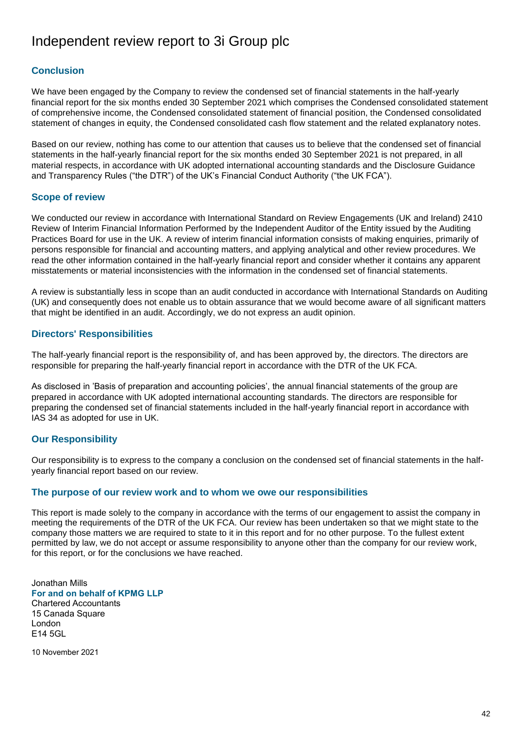## Independent review report to 3i Group plc

## **Conclusion**

We have been engaged by the Company to review the condensed set of financial statements in the half-yearly financial report for the six months ended 30 September 2021 which comprises the Condensed consolidated statement of comprehensive income, the Condensed consolidated statement of financial position, the Condensed consolidated statement of changes in equity, the Condensed consolidated cash flow statement and the related explanatory notes.

Based on our review, nothing has come to our attention that causes us to believe that the condensed set of financial statements in the half-yearly financial report for the six months ended 30 September 2021 is not prepared, in all material respects, in accordance with UK adopted international accounting standards and the Disclosure Guidance and Transparency Rules ("the DTR") of the UK's Financial Conduct Authority ("the UK FCA").

### **Scope of review**

We conducted our review in accordance with International Standard on Review Engagements (UK and Ireland) 2410 Review of Interim Financial Information Performed by the Independent Auditor of the Entity issued by the Auditing Practices Board for use in the UK. A review of interim financial information consists of making enquiries, primarily of persons responsible for financial and accounting matters, and applying analytical and other review procedures. We read the other information contained in the half-yearly financial report and consider whether it contains any apparent misstatements or material inconsistencies with the information in the condensed set of financial statements.

A review is substantially less in scope than an audit conducted in accordance with International Standards on Auditing (UK) and consequently does not enable us to obtain assurance that we would become aware of all significant matters that might be identified in an audit. Accordingly, we do not express an audit opinion.

### **Directors' Responsibilities**

The half-yearly financial report is the responsibility of, and has been approved by, the directors. The directors are responsible for preparing the half-yearly financial report in accordance with the DTR of the UK FCA.

As disclosed in 'Basis of preparation and accounting policies', the annual financial statements of the group are prepared in accordance with UK adopted international accounting standards. The directors are responsible for preparing the condensed set of financial statements included in the half-yearly financial report in accordance with IAS 34 as adopted for use in UK.

### **Our Responsibility**

Our responsibility is to express to the company a conclusion on the condensed set of financial statements in the halfyearly financial report based on our review.

### **The purpose of our review work and to whom we owe our responsibilities**

This report is made solely to the company in accordance with the terms of our engagement to assist the company in meeting the requirements of the DTR of the UK FCA. Our review has been undertaken so that we might state to the company those matters we are required to state to it in this report and for no other purpose. To the fullest extent permitted by law, we do not accept or assume responsibility to anyone other than the company for our review work, for this report, or for the conclusions we have reached.

Jonathan Mills **For and on behalf of KPMG LLP** Chartered Accountants 15 Canada Square London E14 5GL

10 November 2021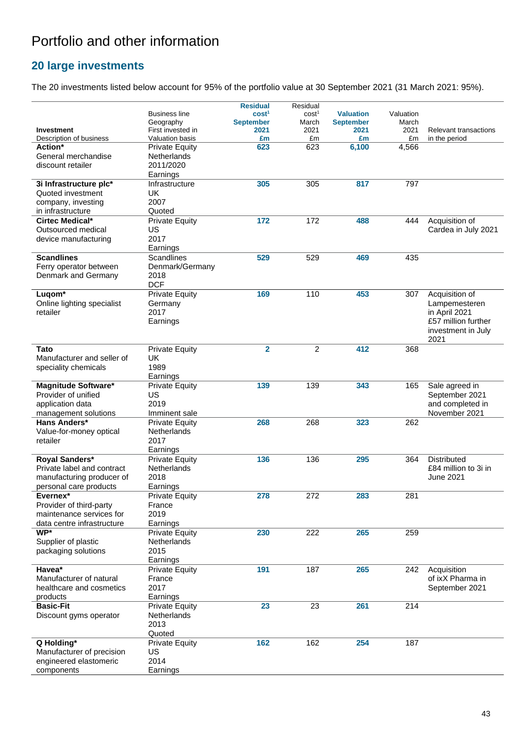# Portfolio and other information

## **20 large investments**

The 20 investments listed below account for 95% of the portfolio value at 30 September 2021 (31 March 2021: 95%).

|                                   |                        | <b>Residual</b>   | Residual          |                  |           |                       |
|-----------------------------------|------------------------|-------------------|-------------------|------------------|-----------|-----------------------|
|                                   | <b>Business line</b>   | cost <sup>1</sup> | cost <sup>1</sup> | <b>Valuation</b> | Valuation |                       |
|                                   | Geography              | <b>September</b>  | March             | <b>September</b> | March     |                       |
| <b>Investment</b>                 | First invested in      | 2021              | 2021              | 2021             | 2021      | Relevant transactions |
| Description of business           | <b>Valuation basis</b> | £m                | £m                | £m               | £m        | in the period         |
| Action*                           | <b>Private Equity</b>  | 623               | 623               | 6,100            | 4,566     |                       |
| General merchandise               | <b>Netherlands</b>     |                   |                   |                  |           |                       |
| discount retailer                 | 2011/2020              |                   |                   |                  |           |                       |
|                                   | Earnings               |                   |                   |                  |           |                       |
| 3i Infrastructure plc*            | Infrastructure         | 305               | 305               | 817              | 797       |                       |
| Quoted investment                 | <b>UK</b>              |                   |                   |                  |           |                       |
| company, investing                | 2007                   |                   |                   |                  |           |                       |
| in infrastructure                 | Quoted                 |                   |                   |                  |           |                       |
| Cirtec Medical*                   | <b>Private Equity</b>  | 172               | 172               | 488              | 444       | Acquisition of        |
| Outsourced medical                | US                     |                   |                   |                  |           | Cardea in July 2021   |
| device manufacturing              | 2017                   |                   |                   |                  |           |                       |
|                                   | Earnings               |                   |                   |                  |           |                       |
| <b>Scandlines</b>                 | Scandlines             | 529               | 529               | 469              | 435       |                       |
| Ferry operator between            | Denmark/Germany        |                   |                   |                  |           |                       |
| Denmark and Germany               | 2018                   |                   |                   |                  |           |                       |
|                                   | <b>DCF</b>             |                   |                   |                  |           |                       |
| Luqom <sup>*</sup>                | <b>Private Equity</b>  | 169               | 110               | 453              | 307       | Acquisition of        |
| Online lighting specialist        | Germany                |                   |                   |                  |           | Lampemesteren         |
| retailer                          | 2017                   |                   |                   |                  |           | in April 2021         |
|                                   | Earnings               |                   |                   |                  |           | £57 million further   |
|                                   |                        |                   |                   |                  |           | investment in July    |
|                                   |                        |                   |                   |                  |           | 2021                  |
| <b>Tato</b>                       | <b>Private Equity</b>  | $\overline{2}$    | $\overline{2}$    | 412              | 368       |                       |
| Manufacturer and seller of        | UK                     |                   |                   |                  |           |                       |
| speciality chemicals              | 1989                   |                   |                   |                  |           |                       |
|                                   | Earnings               |                   |                   |                  |           |                       |
| <b>Magnitude Software*</b>        | <b>Private Equity</b>  | 139               | 139               | 343              | 165       | Sale agreed in        |
| Provider of unified               | US                     |                   |                   |                  |           | September 2021        |
| application data                  | 2019                   |                   |                   |                  |           | and completed in      |
| management solutions              | Imminent sale          |                   |                   |                  |           | November 2021         |
| Hans Anders*                      | <b>Private Equity</b>  | 268               | 268               | 323              | 262       |                       |
| Value-for-money optical           | <b>Netherlands</b>     |                   |                   |                  |           |                       |
| retailer                          | 2017                   |                   |                   |                  |           |                       |
|                                   | Earnings               |                   |                   |                  |           |                       |
| Royal Sanders*                    | <b>Private Equity</b>  | 136               | 136               | 295              | 364       | Distributed           |
| Private label and contract        | <b>Netherlands</b>     |                   |                   |                  |           | £84 million to 3i in  |
| manufacturing producer of         | 2018                   |                   |                   |                  |           | June 2021             |
| personal care products            |                        |                   |                   |                  |           |                       |
|                                   | Earnings               |                   |                   |                  |           |                       |
| Evernex*                          | <b>Private Equity</b>  | 278               | 272               | 283              | 281       |                       |
| Provider of third-party           | France                 |                   |                   |                  |           |                       |
| maintenance services for          | 2019                   |                   |                   |                  |           |                       |
| data centre infrastructure<br>WP* | Earnings               |                   |                   |                  |           |                       |
|                                   | <b>Private Equity</b>  | 230               | 222               | 265              | 259       |                       |
| Supplier of plastic               | Netherlands            |                   |                   |                  |           |                       |
| packaging solutions               | 2015                   |                   |                   |                  |           |                       |
|                                   | Earnings               |                   |                   |                  |           |                       |
| Havea*                            | <b>Private Equity</b>  | 191               | 187               | 265              | 242       | Acquisition           |
| Manufacturer of natural           | France                 |                   |                   |                  |           | of ixX Pharma in      |
| healthcare and cosmetics          | 2017                   |                   |                   |                  |           | September 2021        |
| products                          | Earnings               |                   |                   |                  |           |                       |
| <b>Basic-Fit</b>                  | <b>Private Equity</b>  | 23                | 23                | 261              | 214       |                       |
| Discount gyms operator            | Netherlands            |                   |                   |                  |           |                       |
|                                   | 2013                   |                   |                   |                  |           |                       |
|                                   | Quoted                 |                   |                   |                  |           |                       |
| Q Holding*                        | <b>Private Equity</b>  | 162               | 162               | 254              | 187       |                       |
| Manufacturer of precision         | US                     |                   |                   |                  |           |                       |
| engineered elastomeric            | 2014                   |                   |                   |                  |           |                       |
| components                        | Earnings               |                   |                   |                  |           |                       |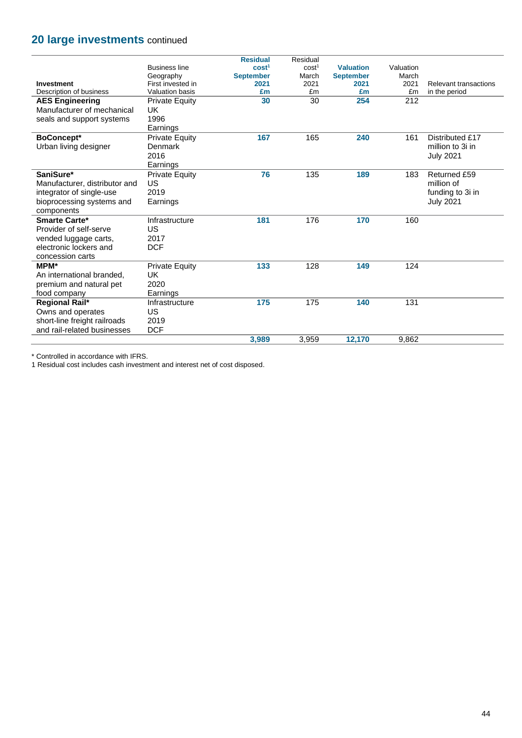## **20 large investments** continued

|                               |                       | <b>Residual</b>   | Residual          |                  |           |                              |
|-------------------------------|-----------------------|-------------------|-------------------|------------------|-----------|------------------------------|
|                               | <b>Business line</b>  | cost <sup>1</sup> | cost <sup>1</sup> | <b>Valuation</b> | Valuation |                              |
|                               | Geography             | <b>September</b>  | March             | <b>September</b> | March     |                              |
| <b>Investment</b>             | First invested in     | 2021              | 2021              | 2021             | 2021      | <b>Relevant transactions</b> |
| Description of business       | Valuation basis       | £m                | £m                | £m               | £m        | in the period                |
| <b>AES Engineering</b>        | <b>Private Equity</b> | 30                | 30                | 254              | 212       |                              |
| Manufacturer of mechanical    | UK.                   |                   |                   |                  |           |                              |
| seals and support systems     | 1996                  |                   |                   |                  |           |                              |
|                               | Earnings              |                   |                   |                  |           |                              |
| <b>BoConcept*</b>             | <b>Private Equity</b> | 167               | 165               | 240              | 161       | Distributed £17              |
| Urban living designer         | Denmark               |                   |                   |                  |           | million to 3i in             |
|                               | 2016                  |                   |                   |                  |           | <b>July 2021</b>             |
|                               | Earnings              |                   |                   |                  |           |                              |
| SaniSure*                     | <b>Private Equity</b> | 76                | 135               | 189              | 183       | Returned £59                 |
| Manufacturer, distributor and | <b>US</b>             |                   |                   |                  |           | million of                   |
| integrator of single-use      | 2019                  |                   |                   |                  |           | funding to 3i in             |
| bioprocessing systems and     | Earnings              |                   |                   |                  |           | <b>July 2021</b>             |
| components                    |                       |                   |                   |                  |           |                              |
| <b>Smarte Carte*</b>          | Infrastructure        | 181               | 176               | 170              | 160       |                              |
| Provider of self-serve        | US                    |                   |                   |                  |           |                              |
| vended luggage carts,         | 2017                  |                   |                   |                  |           |                              |
| electronic lockers and        | <b>DCF</b>            |                   |                   |                  |           |                              |
| concession carts              |                       |                   |                   |                  |           |                              |
| <b>MPM*</b>                   | <b>Private Equity</b> | 133               | 128               | 149              | 124       |                              |
| An international branded.     | <b>UK</b>             |                   |                   |                  |           |                              |
| premium and natural pet       | 2020                  |                   |                   |                  |           |                              |
| food company                  | Earnings              |                   |                   |                  |           |                              |
| Regional Rail*                | Infrastructure        | 175               | 175               | 140              | 131       |                              |
| Owns and operates             | <b>US</b>             |                   |                   |                  |           |                              |
| short-line freight railroads  | 2019                  |                   |                   |                  |           |                              |
| and rail-related businesses   | <b>DCF</b>            |                   |                   |                  |           |                              |
|                               |                       |                   |                   |                  |           |                              |
|                               |                       | 3,989             | 3,959             | 12,170           | 9,862     |                              |

\* Controlled in accordance with IFRS.

1 Residual cost includes cash investment and interest net of cost disposed.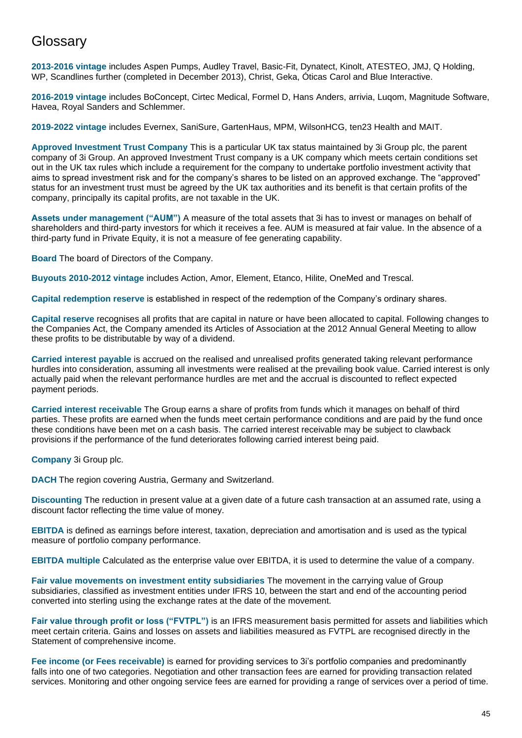## **Glossary**

**2013-2016 vintage** includes Aspen Pumps, Audley Travel, Basic-Fit, Dynatect, Kinolt, ATESTEO, JMJ, Q Holding, WP, Scandlines further (completed in December 2013), Christ, Geka, Óticas Carol and Blue Interactive.

**2016-2019 vintage** includes BoConcept, Cirtec Medical, Formel D, Hans Anders, arrivia, Luqom, Magnitude Software, Havea, Royal Sanders and Schlemmer.

**2019-2022 vintage** includes Evernex, SaniSure, GartenHaus, MPM, WilsonHCG, ten23 Health and MAIT.

**Approved Investment Trust Company** This is a particular UK tax status maintained by 3i Group plc, the parent company of 3i Group. An approved Investment Trust company is a UK company which meets certain conditions set out in the UK tax rules which include a requirement for the company to undertake portfolio investment activity that aims to spread investment risk and for the company's shares to be listed on an approved exchange. The "approved" status for an investment trust must be agreed by the UK tax authorities and its benefit is that certain profits of the company, principally its capital profits, are not taxable in the UK.

**Assets under management ("AUM")** A measure of the total assets that 3i has to invest or manages on behalf of shareholders and third-party investors for which it receives a fee. AUM is measured at fair value. In the absence of a third-party fund in Private Equity, it is not a measure of fee generating capability.

**Board** The board of Directors of the Company.

**Buyouts 2010-2012 vintage** includes Action, Amor, Element, Etanco, Hilite, OneMed and Trescal.

**Capital redemption reserve** is established in respect of the redemption of the Company's ordinary shares.

**Capital reserve** recognises all profits that are capital in nature or have been allocated to capital. Following changes to the Companies Act, the Company amended its Articles of Association at the 2012 Annual General Meeting to allow these profits to be distributable by way of a dividend.

**Carried interest payable** is accrued on the realised and unrealised profits generated taking relevant performance hurdles into consideration, assuming all investments were realised at the prevailing book value. Carried interest is only actually paid when the relevant performance hurdles are met and the accrual is discounted to reflect expected payment periods.

**Carried interest receivable** The Group earns a share of profits from funds which it manages on behalf of third parties. These profits are earned when the funds meet certain performance conditions and are paid by the fund once these conditions have been met on a cash basis. The carried interest receivable may be subject to clawback provisions if the performance of the fund deteriorates following carried interest being paid.

**Company** 3i Group plc.

**DACH** The region covering Austria, Germany and Switzerland.

**Discounting** The reduction in present value at a given date of a future cash transaction at an assumed rate, using a discount factor reflecting the time value of money.

**EBITDA** is defined as earnings before interest, taxation, depreciation and amortisation and is used as the typical measure of portfolio company performance.

**EBITDA multiple** Calculated as the enterprise value over EBITDA, it is used to determine the value of a company.

**Fair value movements on investment entity subsidiaries** The movement in the carrying value of Group subsidiaries, classified as investment entities under IFRS 10, between the start and end of the accounting period converted into sterling using the exchange rates at the date of the movement.

**Fair value through profit or loss ("FVTPL")** is an IFRS measurement basis permitted for assets and liabilities which meet certain criteria. Gains and losses on assets and liabilities measured as FVTPL are recognised directly in the Statement of comprehensive income.

**Fee income (or Fees receivable)** is earned for providing services to 3i's portfolio companies and predominantly falls into one of two categories. Negotiation and other transaction fees are earned for providing transaction related services. Monitoring and other ongoing service fees are earned for providing a range of services over a period of time.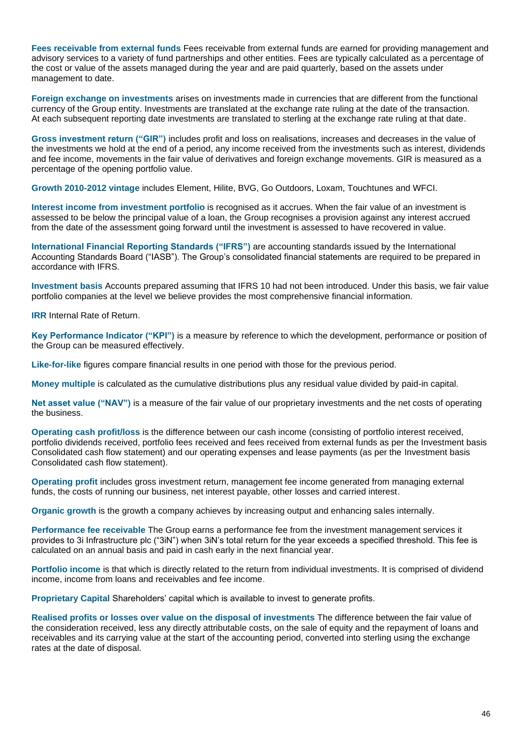**Fees receivable from external funds** Fees receivable from external funds are earned for providing management and advisory services to a variety of fund partnerships and other entities. Fees are typically calculated as a percentage of the cost or value of the assets managed during the year and are paid quarterly, based on the assets under management to date.

**Foreign exchange on investments** arises on investments made in currencies that are different from the functional currency of the Group entity. Investments are translated at the exchange rate ruling at the date of the transaction. At each subsequent reporting date investments are translated to sterling at the exchange rate ruling at that date.

**Gross investment return ("GIR")** includes profit and loss on realisations, increases and decreases in the value of the investments we hold at the end of a period, any income received from the investments such as interest, dividends and fee income, movements in the fair value of derivatives and foreign exchange movements. GIR is measured as a percentage of the opening portfolio value.

**Growth 2010-2012 vintage** includes Element, Hilite, BVG, Go Outdoors, Loxam, Touchtunes and WFCI.

**Interest income from investment portfolio** is recognised as it accrues. When the fair value of an investment is assessed to be below the principal value of a loan, the Group recognises a provision against any interest accrued from the date of the assessment going forward until the investment is assessed to have recovered in value.

**International Financial Reporting Standards ("IFRS")** are accounting standards issued by the International Accounting Standards Board ("IASB"). The Group's consolidated financial statements are required to be prepared in accordance with IFRS.

**Investment basis** Accounts prepared assuming that IFRS 10 had not been introduced. Under this basis, we fair value portfolio companies at the level we believe provides the most comprehensive financial information.

**IRR** Internal Rate of Return.

**Key Performance Indicator ("KPI")** is a measure by reference to which the development, performance or position of the Group can be measured effectively.

**Like-for-like** [figures](https://dictionary.cambridge.org/dictionary/english/figure) [compare](https://dictionary.cambridge.org/dictionary/english/compare) [financial](https://dictionary.cambridge.org/dictionary/english/finance) [results](https://dictionary.cambridge.org/dictionary/english/result) in one [period](https://dictionary.cambridge.org/dictionary/english/period) with those for the [previous](https://dictionary.cambridge.org/dictionary/english/previous) [period](https://dictionary.cambridge.org/dictionary/english/period).

**Money multiple** is calculated as the cumulative distributions plus any residual value divided by paid-in capital.

**Net asset value ("NAV")** is a measure of the fair value of our proprietary investments and the net costs of operating the business.

**Operating cash profit/loss** is the difference between our cash income (consisting of portfolio interest received, portfolio dividends received, portfolio fees received and fees received from external funds as per the Investment basis Consolidated cash flow statement) and our operating expenses and lease payments (as per the Investment basis Consolidated cash flow statement).

**Operating profit** includes gross investment return, management fee income generated from managing external funds, the costs of running our business, net interest payable, other losses and carried interest.

**Organic growth** is the growth a company achieves by increasing output and enhancing sales internally.

**Performance fee receivable** The Group earns a performance fee from the investment management services it provides to 3i Infrastructure plc ("3iN") when 3iN's total return for the year exceeds a specified threshold. This fee is calculated on an annual basis and paid in cash early in the next financial year.

**Portfolio income** is that which is directly related to the return from individual investments. It is comprised of dividend income, income from loans and receivables and fee income.

**Proprietary Capital** Shareholders' capital which is available to invest to generate profits.

**Realised profits or losses over value on the disposal of investments** The difference between the fair value of the consideration received, less any directly attributable costs, on the sale of equity and the repayment of loans and receivables and its carrying value at the start of the accounting period, converted into sterling using the exchange rates at the date of disposal.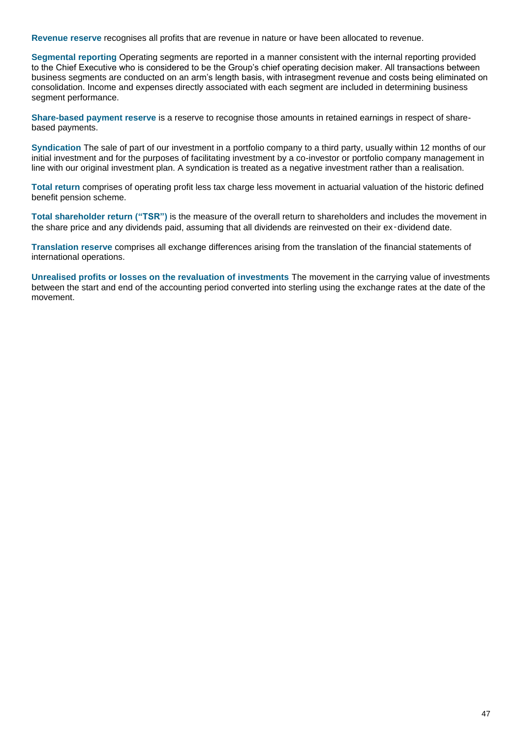**Revenue reserve** recognises all profits that are revenue in nature or have been allocated to revenue.

**Segmental reporting** Operating segments are reported in a manner consistent with the internal reporting provided to the Chief Executive who is considered to be the Group's chief operating decision maker. All transactions between business segments are conducted on an arm's length basis, with intrasegment revenue and costs being eliminated on consolidation. Income and expenses directly associated with each segment are included in determining business segment performance.

**Share-based payment reserve** is a reserve to recognise those amounts in retained earnings in respect of sharebased payments.

**Syndication** The sale of part of our investment in a portfolio company to a third party, usually within 12 months of our initial investment and for the purposes of facilitating investment by a co-investor or portfolio company management in line with our original investment plan. A syndication is treated as a negative investment rather than a realisation.

**Total return** comprises of operating profit less tax charge less movement in actuarial valuation of the historic defined benefit pension scheme.

**Total shareholder return ("TSR")** is the measure of the overall return to shareholders and includes the movement in the share price and any dividends paid, assuming that all dividends are reinvested on their ex-dividend date.

**Translation reserve** comprises all exchange differences arising from the translation of the financial statements of international operations.

**Unrealised profits or losses on the revaluation of investments** The movement in the carrying value of investments between the start and end of the accounting period converted into sterling using the exchange rates at the date of the movement.